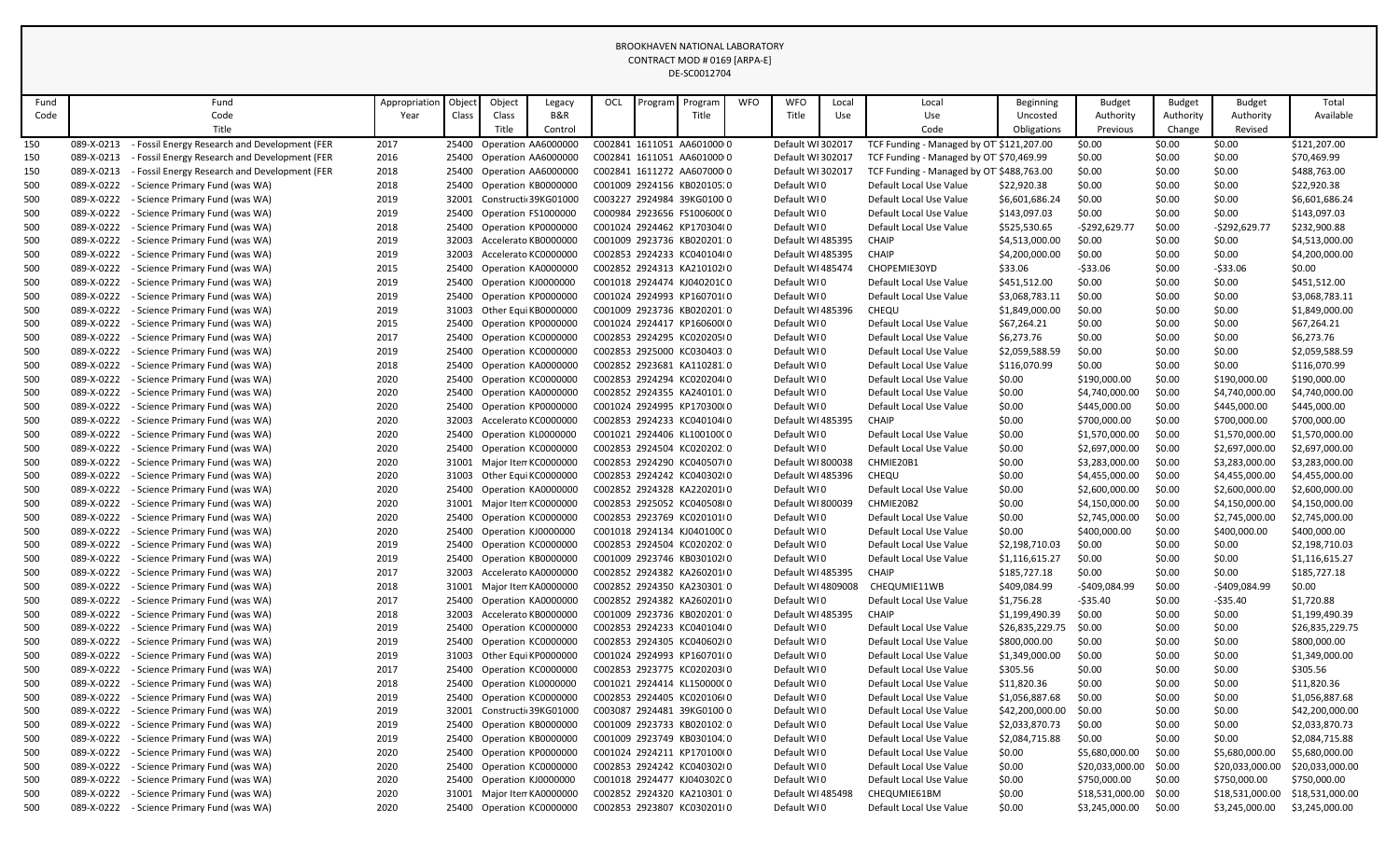|      |            |                                               |               |        |        |                            |     |         | BROOKHAVEN NATIONAL LABORATORY |            |                    |       |                                          |                 |                 |               |                 |                 |
|------|------------|-----------------------------------------------|---------------|--------|--------|----------------------------|-----|---------|--------------------------------|------------|--------------------|-------|------------------------------------------|-----------------|-----------------|---------------|-----------------|-----------------|
|      |            |                                               |               |        |        |                            |     |         | CONTRACT MOD # 0169 [ARPA-E]   |            |                    |       |                                          |                 |                 |               |                 |                 |
|      |            |                                               |               |        |        |                            |     |         | DE-SC0012704                   |            |                    |       |                                          |                 |                 |               |                 |                 |
|      |            |                                               |               |        |        |                            |     |         |                                |            |                    |       |                                          |                 |                 |               |                 |                 |
| Fund |            | Fund                                          | Appropriation | Object | Object | Legacy                     | OCL | Program | Program                        | <b>WFO</b> | <b>WFO</b>         | Local | Local                                    | Beginning       | <b>Budget</b>   | <b>Budget</b> | <b>Budget</b>   | Total           |
| Code |            | Code                                          | Year          | Class  | Class  | B&R                        |     |         | Title                          |            | Title              | Use   | Use                                      | Uncosted        | Authority       | Authority     | Authority       | Available       |
|      |            | Title                                         |               |        | Title  | Control                    |     |         |                                |            |                    |       | Code                                     | Obligations     | Previous        | Change        | Revised         |                 |
| 150  | 089-X-0213 | - Fossil Energy Research and Development (FER | 2017          | 25400  |        | Operation AA6000000        |     |         | C002841 1611051 AA601000 0     |            | Default WI 302017  |       | TCF Funding - Managed by OT \$121,207.00 |                 | \$0.00          | \$0.00        | \$0.00          | \$121,207.00    |
| 150  | 089-X-0213 | Fossil Energy Research and Development (FER   | 2016          |        |        | 25400 Operation AA6000000  |     |         | C002841 1611051 AA601000 0     |            | Default WI 302017  |       | TCF Funding - Managed by OT \$70,469.99  |                 | \$0.00          | \$0.00        | \$0.00          | \$70,469.99     |
| 150  | 089-X-0213 | - Fossil Energy Research and Development (FER | 2018          | 25400  |        | Operation AA6000000        |     |         | C002841 1611272 AA607000 0     |            | Default WI 302017  |       | TCF Funding - Managed by OT \$488,763.00 |                 | \$0.00          | \$0.00        | \$0.00          | \$488,763.00    |
| 500  | 089-X-0222 | - Science Primary Fund (was WA)               | 2018          |        |        | 25400 Operation KB0000000  |     |         | C001009 2924156 KB020105.0     |            | Default WI0        |       | Default Local Use Value                  | \$22,920.38     | \$0.00          | \$0.00        | \$0.00          | \$22,920.38     |
| 500  | 089-X-0222 | - Science Primary Fund (was WA)               | 2019          |        |        | 32001 Constructi 39KG01000 |     |         | C003227 2924984 39KG0100 0     |            | Default WI0        |       | Default Local Use Value                  | \$6,601,686.24  | \$0.00          | \$0.00        | \$0.00          | \$6,601,686.24  |
| 500  | 089-X-0222 | - Science Primary Fund (was WA)               | 2019          | 25400  |        | Operation FS1000000        |     |         | C000984 2923656 FS10060000     |            | Default WI0        |       | Default Local Use Value                  | \$143,097.03    | \$0.00          | \$0.00        | \$0.00          | \$143,097.03    |
| 500  | 089-X-0222 | - Science Primary Fund (was WA)               | 2018          |        |        | 25400 Operation KP0000000  |     |         | C001024 2924462 KP170304(0     |            | Default WI0        |       | Default Local Use Value                  | \$525,530.65    | $-$292,629.77$  | \$0.00        | -\$292,629.77   | \$232,900.88    |
| 500  | 089-X-0222 | - Science Primary Fund (was WA)               | 2019          | 32003  |        | Accelerato KB0000000       |     |         | C001009 2923736 KB020201:0     |            | Default WI 485395  |       | <b>CHAIP</b>                             | \$4,513,000.00  | \$0.00          | \$0.00        | \$0.00          | \$4,513,000.00  |
| 500  | 089-X-0222 | - Science Primary Fund (was WA)               | 2019          | 32003  |        | Accelerato KC0000000       |     |         | C002853 2924233 KC040104(0     |            | Default WI 485395  |       | <b>CHAIP</b>                             | \$4,200,000.00  | \$0.00          | \$0.00        | \$0.00          | \$4,200,000.00  |
| 500  | 089-X-0222 | - Science Primary Fund (was WA)               | 2015          |        |        | 25400 Operation KA0000000  |     |         | C002852 2924313 KA210102(0     |            | Default WI 485474  |       | CHOPEMIE30YD                             | \$33.06         | -\$33.06        | \$0.00        | -\$33.06        | \$0.00          |
| 500  | 089-X-0222 | Science Primary Fund (was WA)                 | 2019          |        |        | 25400 Operation KJ0000000  |     |         | C001018 2924474 KJ04020100     |            | Default WI0        |       | Default Local Use Value                  | \$451,512.00    | \$0.00          | \$0.00        | \$0.00          | \$451,512.00    |
| 500  | 089-X-0222 | - Science Primary Fund (was WA)               | 2019          | 25400  |        | Operation KP0000000        |     |         | C001024 2924993 KP160701(0     |            | Default WI0        |       | Default Local Use Value                  | \$3,068,783.11  | \$0.00          | \$0.00        | \$0.00          | \$3,068,783.11  |
| 500  | 089-X-0222 | - Science Primary Fund (was WA)               | 2019          | 31003  |        | Other Equi KB0000000       |     |         | C001009 2923736 KB020201:0     |            | Default WI 485396  |       | CHEQU                                    | \$1,849,000.00  | \$0.00          | \$0.00        | \$0.00          | \$1,849,000.00  |
| 500  | 089-X-0222 | - Science Primary Fund (was WA)               | 2015          |        |        | 25400 Operation KP0000000  |     |         | C001024 2924417 KP160600(0     |            | Default WI0        |       | Default Local Use Value                  | \$67,264.21     | \$0.00          | \$0.00        | \$0.00          | \$67,264.21     |
| 500  | 089-X-0222 | - Science Primary Fund (was WA)               | 2017          |        |        | 25400 Operation KC0000000  |     |         | C002853 2924295 KC020205(0     |            | Default WI0        |       | Default Local Use Value                  | \$6,273.76      | \$0.00          | \$0.00        | \$0.00          | \$6,273.76      |
| 500  | 089-X-0222 | - Science Primary Fund (was WA)               | 2019          |        |        | 25400 Operation KC0000000  |     |         | C002853 2925000 KC030403:0     |            | Default WI0        |       | Default Local Use Value                  | \$2,059,588.59  | \$0.00          | \$0.00        | \$0.00          | \$2,059,588.59  |
| 500  | 089-X-0222 | - Science Primary Fund (was WA)               | 2018          |        |        | 25400 Operation KA0000000  |     |         | C002852 2923681 KA110281.0     |            | Default WI0        |       | Default Local Use Value                  | \$116,070.99    | \$0.00          | \$0.00        | \$0.00          | \$116,070.99    |
| 500  | 089-X-0222 | - Science Primary Fund (was WA)               | 2020          |        |        | 25400 Operation KC0000000  |     |         | C002853 2924294 KC020204(0     |            | Default WI0        |       | Default Local Use Value                  | \$0.00          | \$190,000.00    | \$0.00        | \$190,000.00    | \$190,000.00    |
| 500  | 089-X-0222 | - Science Primary Fund (was WA)               | 2020          |        |        | 25400 Operation KA0000000  |     |         | C002852 2924355 KA240101.0     |            | Default WI0        |       | Default Local Use Value                  | \$0.00          | \$4,740,000.00  | \$0.00        | \$4,740,000.00  | \$4,740,000.00  |
| 500  | 089-X-0222 | - Science Primary Fund (was WA)               | 2020          |        |        | 25400 Operation KP0000000  |     |         | C001024 2924995 KP170300(0     |            | Default WI0        |       | Default Local Use Value                  | \$0.00          | \$445,000.00    | \$0.00        | \$445,000.00    | \$445,000.00    |
| 500  | 089-X-0222 | - Science Primary Fund (was WA)               | 2020          | 32003  |        | Accelerato KC0000000       |     |         | C002853 2924233 KC040104(0     |            | Default WI 485395  |       | <b>CHAIP</b>                             | \$0.00          | \$700,000.00    | \$0.00        | \$700,000.00    | \$700,000.00    |
| 500  | 089-X-0222 | - Science Primary Fund (was WA)               | 2020          |        |        | 25400 Operation KL0000000  |     |         | C001021 2924406 KL10010000     |            | Default WI0        |       | Default Local Use Value                  | \$0.00          | \$1,570,000.00  | \$0.00        | \$1,570,000.00  | \$1,570,000.00  |
| 500  | 089-X-0222 | - Science Primary Fund (was WA)               | 2020          |        |        | 25400 Operation KC0000000  |     |         | C002853 2924504 KC020202:0     |            | Default WI0        |       | Default Local Use Value                  | \$0.00          | \$2,697,000.00  | \$0.00        | \$2,697,000.00  | \$2,697,000.00  |
| 500  | 089-X-0222 | - Science Primary Fund (was WA)               | 2020          | 31001  |        | Major Iten KC0000000       |     |         | C002853 2924290 KC040507(0     |            | Default WI 800038  |       | CHMIE20B1                                | \$0.00          | \$3,283,000.00  | \$0.00        | \$3,283,000.00  | \$3,283,000.00  |
| 500  | 089-X-0222 | - Science Primary Fund (was WA)               | 2020          | 31003  |        | Other Equi KC0000000       |     |         | C002853 2924242 KC040302(0     |            | Default WI 485396  |       | CHEQU                                    | \$0.00          | \$4,455,000.00  | \$0.00        | \$4,455,000.00  | \$4,455,000.00  |
| 500  | 089-X-0222 | - Science Primary Fund (was WA)               | 2020          |        |        | 25400 Operation KA0000000  |     |         | C002852 2924328 KA220201(0     |            | Default WI0        |       | Default Local Use Value                  | \$0.00          | \$2,600,000.00  | \$0.00        | \$2,600,000.00  | \$2,600,000.00  |
| 500  | 089-X-0222 | - Science Primary Fund (was WA)               | 2020          |        |        | 31001 Major Iten KC0000000 |     |         | C002853 2925052 KC040508(0     |            | Default WI 800039  |       | CHMIE20B2                                | \$0.00          | \$4,150,000.00  | \$0.00        | \$4,150,000.00  | \$4,150,000.00  |
| 500  | 089-X-0222 | - Science Primary Fund (was WA)               | 2020          |        |        | 25400 Operation KC0000000  |     |         | C002853 2923769 KC020101(0     |            | Default WI0        |       | Default Local Use Value                  | \$0.00          | \$2,745,000.00  | \$0.00        | \$2,745,000.00  | \$2,745,000.00  |
| 500  | 089-X-0222 | - Science Primary Fund (was WA)               | 2020          |        |        | 25400 Operation KJ0000000  |     |         | C001018 2924134 KJ04010000     |            | Default WI0        |       | Default Local Use Value                  | \$0.00          | \$400,000.00    | \$0.00        | \$400,000.00    | \$400,000.00    |
| 500  | 089-X-0222 | - Science Primary Fund (was WA)               | 2019          |        |        | 25400 Operation KC0000000  |     |         | C002853 2924504 KC020202:0     |            | Default WI0        |       | Default Local Use Value                  | \$2,198,710.03  | \$0.00          | \$0.00        | \$0.00          | \$2,198,710.03  |
| 500  | 089-X-0222 | - Science Primary Fund (was WA)               | 2019          |        |        | 25400 Operation KB0000000  |     |         | C001009 2923746 KB030102(0     |            | Default WI0        |       | Default Local Use Value                  | \$1,116,615.27  | \$0.00          | \$0.00        | \$0.00          | \$1,116,615.27  |
| 500  | 089-X-0222 | - Science Primary Fund (was WA)               | 2017          | 32003  |        | Accelerato KA0000000       |     |         | C002852 2924382 KA260201(0     |            | Default WI 485395  |       | <b>CHAIP</b>                             | \$185,727.18    | \$0.00          | \$0.00        | \$0.00          | \$185,727.18    |
| 500  | 089-X-0222 | - Science Primary Fund (was WA)               | 2018          | 31001  |        | Major Iten KA0000000       |     |         | C002852 2924350 KA230301:0     |            | Default WI 4809008 |       | CHEQUMIE11WB                             | \$409,084.99    | $-$409,084.99$  | \$0.00        | -\$409,084.99   | \$0.00          |
| 500  | 089-X-0222 | - Science Primary Fund (was WA)               | 2017          | 25400  |        | Operation KA0000000        |     |         | C002852 2924382 KA260201(0     |            | Default WI0        |       | Default Local Use Value                  | \$1,756.28      | -\$35.40        | \$0.00        | -\$35.40        | \$1,720.88      |
| 500  | 089-X-0222 | - Science Primary Fund (was WA)               | 2018          | 32003  |        | Accelerato KB0000000       |     |         | C001009 2923736 KB020201:0     |            | Default WI 485395  |       | <b>CHAIP</b>                             | \$1,199,490.39  | \$0.00          | \$0.00        | \$0.00          | \$1,199,490.39  |
| 500  | 089-X-0222 | - Science Primary Fund (was WA)               | 2019          | 25400  |        | Operation KC0000000        |     |         | C002853 2924233 KC040104(0     |            | Default WI0        |       | Default Local Use Value                  | \$26,835,229.75 | \$0.00          | \$0.00        | \$0.00          | \$26,835,229.75 |
| 500  | 089-X-0222 | - Science Primary Fund (was WA)               | 2019          | 25400  |        | Operation KC0000000        |     |         | C002853 2924305 KC040602(0     |            | Default WI0        |       | Default Local Use Value                  | \$800,000.00    | \$0.00          | \$0.00        | \$0.00          | \$800,000.00    |
| 500  | 089-X-0222 | - Science Primary Fund (was WA)               | 2019          |        |        | 31003 Other Equi KP0000000 |     |         | C001024 2924993 KP160701(0     |            | Default WI0        |       | Default Local Use Value                  | \$1,349,000.00  | \$0.00          | \$0.00        | \$0.00          | \$1,349,000.00  |
| 500  | 089-X-0222 | - Science Primary Fund (was WA)               | 2017          |        |        | 25400 Operation KC0000000  |     |         | C002853 2923775 KC020203(0     |            | Default WI0        |       | Default Local Use Value                  | \$305.56        | \$0.00          | \$0.00        | \$0.00          | \$305.56        |
| 500  | 089-X-0222 | - Science Primary Fund (was WA)               | 2018          |        |        | 25400 Operation KL0000000  |     |         | C001021 2924414 KL150000C0     |            | Default WI0        |       | Default Local Use Value                  | \$11,820.36     | \$0.00          | \$0.00        | \$0.00          | \$11,820.36     |
| 500  | 089-X-0222 | - Science Primary Fund (was WA)               | 2019          |        |        | 25400 Operation KC0000000  |     |         | C002853 2924405 KC020106(0     |            | Default WI0        |       | Default Local Use Value                  | \$1,056,887.68  | \$0.00          | \$0.00        | \$0.00          | \$1,056,887.68  |
| 500  | 089-X-0222 | - Science Primary Fund (was WA)               | 2019          |        |        | 32001 Constructi 39KG01000 |     |         | C003087 2924481 39KG0100 0     |            | Default WI0        |       | Default Local Use Value                  | \$42,200,000.00 | \$0.00          | \$0.00        | \$0.00          | \$42,200,000.00 |
| 500  | 089-X-0222 | - Science Primary Fund (was WA)               | 2019          |        |        | 25400 Operation KB0000000  |     |         | C001009 2923733 KB020102:0     |            | Default WI0        |       | Default Local Use Value                  | \$2,033,870.73  | \$0.00          | \$0.00        | \$0.00          | \$2,033,870.73  |
| 500  | 089-X-0222 | - Science Primary Fund (was WA)               | 2019          |        |        | 25400 Operation KB0000000  |     |         | C001009 2923749 KB030104.0     |            | Default WI0        |       | Default Local Use Value                  | \$2,084,715.88  | \$0.00          | \$0.00        | \$0.00          | \$2,084,715.88  |
| 500  | 089-X-0222 | - Science Primary Fund (was WA)               | 2020          |        |        | 25400 Operation KP0000000  |     |         | C001024 2924211 KP170100(0     |            | Default WI0        |       | Default Local Use Value                  | \$0.00          | \$5,680,000.00  | \$0.00        | \$5,680,000.00  | \$5,680,000.00  |
| 500  | 089-X-0222 | - Science Primary Fund (was WA)               | 2020          |        |        | 25400 Operation KC0000000  |     |         | C002853 2924242 KC040302(0     |            | Default WI0        |       | Default Local Use Value                  | \$0.00          | \$20,033,000.00 | \$0.00        | \$20,033,000.00 | \$20,033,000.00 |
| 500  | 089-X-0222 | - Science Primary Fund (was WA)               | 2020          |        |        | 25400 Operation KJ0000000  |     |         | C001018 2924477 KJ04030200     |            | Default WI0        |       | Default Local Use Value                  | \$0.00          | \$750,000.00    | \$0.00        | \$750,000.00    | \$750,000.00    |
| 500  | 089-X-0222 | - Science Primary Fund (was WA)               | 2020          |        |        | 31001 Major Iten KA0000000 |     |         | C002852 2924320 KA210301:0     |            | Default WI 485498  |       | CHEQUMIE61BM                             | \$0.00          | \$18,531,000.00 | \$0.00        | \$18,531,000.00 | \$18,531,000.00 |
| 500  | 089-X-0222 | - Science Primary Fund (was WA)               | 2020          |        |        | 25400 Operation KC0000000  |     |         | C002853 2923807 KC030201(0     |            | Default WI0        |       | Default Local Use Value                  | \$0.00          | \$3,245,000.00  | \$0.00        | \$3,245,000.00  | \$3,245,000.00  |
|      |            |                                               |               |        |        |                            |     |         |                                |            |                    |       |                                          |                 |                 |               |                 |                 |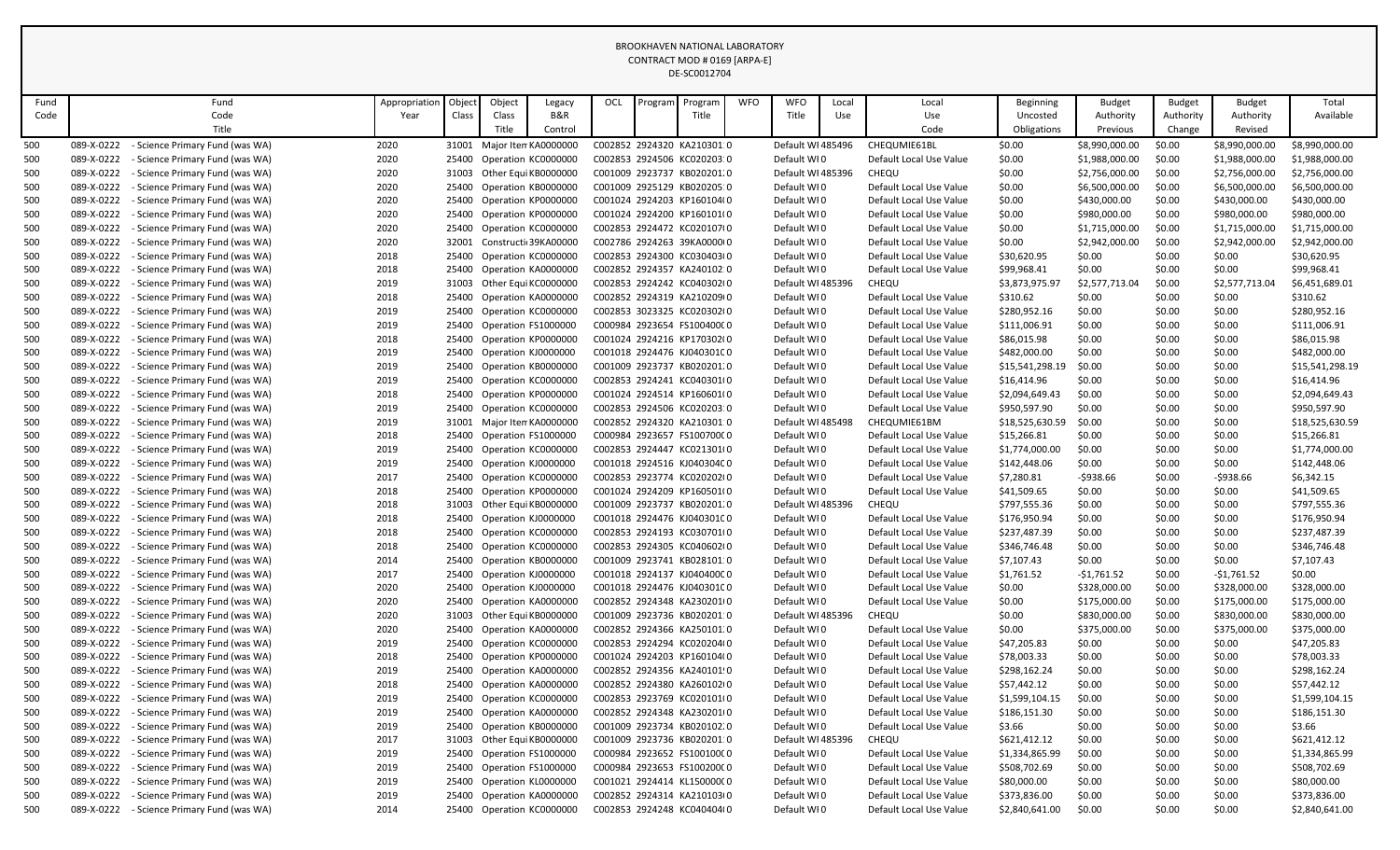|                                                                                                                                                                                                                                                                       |            |                                            |               |                         |             |                            |            |                            | BROOKHAVEN NATIONAL LABORATORY |             |                   |                         |                         |                 |                |               |                |                 |
|-----------------------------------------------------------------------------------------------------------------------------------------------------------------------------------------------------------------------------------------------------------------------|------------|--------------------------------------------|---------------|-------------------------|-------------|----------------------------|------------|----------------------------|--------------------------------|-------------|-------------------|-------------------------|-------------------------|-----------------|----------------|---------------|----------------|-----------------|
|                                                                                                                                                                                                                                                                       |            |                                            |               |                         |             |                            |            |                            | CONTRACT MOD # 0169 [ARPA-E]   |             |                   |                         |                         |                 |                |               |                |                 |
|                                                                                                                                                                                                                                                                       |            |                                            |               |                         |             |                            |            |                            | DE-SC0012704                   |             |                   |                         |                         |                 |                |               |                |                 |
|                                                                                                                                                                                                                                                                       |            |                                            |               |                         |             |                            |            |                            |                                |             |                   |                         |                         |                 |                |               |                |                 |
| Fund                                                                                                                                                                                                                                                                  |            | Fund                                       | Appropriation | Objec                   | Object      | Legacy                     | <b>OCL</b> | Program                    | Program                        | <b>WFO</b>  | <b>WFO</b>        | Local                   | Local                   | Beginning       | <b>Budget</b>  | <b>Budget</b> | <b>Budget</b>  | Total           |
| Code                                                                                                                                                                                                                                                                  |            | Code                                       | Year          | Class                   | Class       | B&R                        |            |                            | Title                          |             | Title             | Use                     | Use                     | Uncosted        | Authority      | Authority     | Authority      | Available       |
|                                                                                                                                                                                                                                                                       |            | Title                                      |               |                         | Title       | Control                    |            |                            |                                |             |                   |                         | Code                    | Obligations     | Previous       | Change        | Revised        |                 |
| 500                                                                                                                                                                                                                                                                   | 089-X-0222 | - Science Primary Fund (was WA)            | 2020          | 31001                   |             | Major Iten KA0000000       |            |                            | C002852 2924320 KA210301.0     |             | Default WI 485496 |                         | CHEQUMIE61BL            | \$0.00          | \$8,990,000.00 | \$0.00        | \$8,990,000.00 | \$8,990,000.00  |
| 500                                                                                                                                                                                                                                                                   | 089-X-0222 | - Science Primary Fund (was WA)            | 2020          |                         |             | 25400 Operation KC0000000  |            |                            | C002853 2924506 KC020203:0     |             | Default WI0       |                         | Default Local Use Value | \$0.00          | \$1,988,000.00 | \$0.00        | \$1,988,000.00 | \$1,988,000.00  |
| 500                                                                                                                                                                                                                                                                   | 089-X-0222 | - Science Primary Fund (was WA)            | 2020          |                         |             | 31003 Other Equi KB0000000 |            |                            | C001009 2923737 KB020201.0     |             | Default WI 485396 |                         | CHEQU                   | \$0.00          | \$2,756,000.00 | \$0.00        | \$2,756,000.00 | \$2,756,000.00  |
| 500                                                                                                                                                                                                                                                                   | 089-X-0222 | - Science Primary Fund (was WA)            | 2020          |                         |             | 25400 Operation KB0000000  |            |                            | C001009 2925129 KB020205:0     |             | Default WI0       |                         | Default Local Use Value | \$0.00          | \$6,500,000.00 | \$0.00        | \$6,500,000.00 | \$6,500,000.00  |
| 500                                                                                                                                                                                                                                                                   | 089-X-0222 | - Science Primary Fund (was WA)            | 2020          |                         |             | 25400 Operation KP0000000  |            |                            | C001024 2924203 KP160104(0     |             | Default WI0       |                         | Default Local Use Value | \$0.00          | \$430,000.00   | \$0.00        | \$430,000.00   | \$430,000.00    |
| 500                                                                                                                                                                                                                                                                   | 089-X-0222 | - Science Primary Fund (was WA)            | 2020          |                         |             | 25400 Operation KP0000000  |            |                            | C001024 2924200 KP160101(0     |             | Default WI0       |                         | Default Local Use Value | \$0.00          | \$980,000.00   | \$0.00        | \$980,000.00   | \$980,000.00    |
| 500                                                                                                                                                                                                                                                                   | 089-X-0222 | - Science Primary Fund (was WA)            | 2020          |                         |             | 25400 Operation KC0000000  |            |                            | C002853 2924472 KC020107(0     |             | Default WI0       |                         | Default Local Use Value | \$0.00          | \$1,715,000.00 | \$0.00        | \$1,715,000.00 | \$1,715,000.00  |
| 500                                                                                                                                                                                                                                                                   | 089-X-0222 | - Science Primary Fund (was WA)            | 2020          |                         |             | 32001 Constructi 39KA00000 |            |                            | C002786 2924263 39KA0000(0     |             | Default WI0       |                         | Default Local Use Value | \$0.00          | \$2,942,000.00 | \$0.00        | \$2,942,000.00 | \$2,942,000.00  |
| 500                                                                                                                                                                                                                                                                   | 089-X-0222 | - Science Primary Fund (was WA)            | 2018          | 25400                   |             | Operation KC0000000        |            |                            | C002853 2924300 KC030403(0     |             | Default WI0       |                         | Default Local Use Value | \$30,620.95     | \$0.00         | \$0.00        | \$0.00         | \$30,620.95     |
| 500                                                                                                                                                                                                                                                                   | 089-X-0222 | - Science Primary Fund (was WA)            | 2018          |                         |             | 25400 Operation KA0000000  |            |                            | C002852 2924357 KA240102:0     |             | Default WI0       |                         | Default Local Use Value | \$99,968.41     | \$0.00         | \$0.00        | \$0.00         | \$99,968.41     |
| 500                                                                                                                                                                                                                                                                   | 089-X-0222 | - Science Primary Fund (was WA)            | 2019          |                         |             | 31003 Other Equi KC0000000 |            |                            | C002853 2924242 KC040302(0     |             | Default WI 485396 |                         | CHEQU                   | \$3,873,975.97  | \$2,577,713.04 | \$0.00        | \$2,577,713.04 | \$6,451,689.01  |
| 500                                                                                                                                                                                                                                                                   | 089-X-0222 | - Science Primary Fund (was WA)            | 2018          |                         |             | 25400 Operation KA0000000  |            |                            | C002852 2924319 KA210209(0     |             | Default WI0       |                         | Default Local Use Value | \$310.62        | \$0.00         | \$0.00        | \$0.00         | \$310.62        |
| 500                                                                                                                                                                                                                                                                   | 089-X-0222 | - Science Primary Fund (was WA)            | 2019          |                         |             | 25400 Operation KC0000000  |            |                            | C002853 3023325 KC020302(0     |             | Default WI0       |                         | Default Local Use Value | \$280,952.16    | \$0.00         | \$0.00        | \$0.00         | \$280,952.16    |
| 500<br>089-X-0222<br>2019<br>25400 Operation FS1000000<br>C000984 2923654 FS100400C0<br>Default WI0<br>\$111,006.91<br>\$0.00<br>- Science Primary Fund (was WA)<br>Default Local Use Value<br>25400 Operation KP0000000<br>C001024 2924216 KP170302(0<br>Default WI0 |            |                                            |               |                         |             |                            |            |                            |                                |             |                   |                         |                         |                 | \$0.00         | \$0.00        | \$111,006.91   |                 |
| 500                                                                                                                                                                                                                                                                   | 089-X-0222 | - Science Primary Fund (was WA)            |               | Default Local Use Value | \$86,015.98 | \$0.00                     | \$0.00     | \$0.00                     | \$86,015.98                    |             |                   |                         |                         |                 |                |               |                |                 |
| 500                                                                                                                                                                                                                                                                   | 089-X-0222 | - Science Primary Fund (was WA)            | 2018<br>2019  |                         |             | 25400 Operation KJ0000000  |            | C001018 2924476 KJ04030100 |                                | Default WI0 |                   | Default Local Use Value | \$482,000.00            | \$0.00          | \$0.00         | \$0.00        | \$482,000.00   |                 |
| 500                                                                                                                                                                                                                                                                   | 089-X-0222 | - Science Primary Fund (was WA)            | 2019          |                         |             | 25400 Operation KB0000000  |            |                            | C001009 2923737 KB020201.0     |             | Default WI0       |                         | Default Local Use Value | \$15,541,298.19 | \$0.00         | \$0.00        | \$0.00         | \$15,541,298.19 |
| 500                                                                                                                                                                                                                                                                   | 089-X-0222 | - Science Primary Fund (was WA)            | 2019          |                         |             | 25400 Operation KC0000000  |            |                            | C002853 2924241 KC040301(0     |             | Default WI0       |                         | Default Local Use Value | \$16,414.96     | \$0.00         | \$0.00        | \$0.00         | \$16,414.96     |
| 500                                                                                                                                                                                                                                                                   | 089-X-0222 | - Science Primary Fund (was WA)            | 2018          |                         |             | 25400 Operation KP0000000  |            |                            | C001024 2924514 KP160601(0     |             | Default WI0       |                         | Default Local Use Value | \$2,094,649.43  | \$0.00         | \$0.00        | \$0.00         | \$2,094,649.43  |
|                                                                                                                                                                                                                                                                       | 089-X-0222 | - Science Primary Fund (was WA)            |               |                         |             |                            |            |                            | C002853 2924506 KC020203:0     |             | Default WI0       |                         |                         |                 |                |               |                | \$950,597.90    |
| 500                                                                                                                                                                                                                                                                   |            |                                            | 2019          |                         |             | 25400 Operation KC0000000  |            |                            | C002852 2924320 KA210301:0     |             | Default WI 485498 |                         | Default Local Use Value | \$950,597.90    | \$0.00         | \$0.00        | \$0.00         |                 |
| 500                                                                                                                                                                                                                                                                   | 089-X-0222 | - Science Primary Fund (was WA)            | 2019          |                         |             | 31001 Major Iten KA0000000 |            |                            |                                |             |                   |                         | CHEQUMIE61BM            | \$18,525,630.59 | \$0.00         | \$0.00        | \$0.00         | \$18,525,630.59 |
| 500                                                                                                                                                                                                                                                                   | 089-X-0222 | - Science Primary Fund (was WA)            | 2018          |                         |             | 25400 Operation FS1000000  |            |                            | C000984 2923657 FS100700C0     |             | Default WI0       |                         | Default Local Use Value | \$15,266.81     | \$0.00         | \$0.00        | \$0.00         | \$15,266.81     |
| 500                                                                                                                                                                                                                                                                   | 089-X-0222 | - Science Primary Fund (was WA)            | 2019          |                         |             | 25400 Operation KC0000000  |            |                            | C002853 2924447 KC021301(0     |             | Default WI0       |                         | Default Local Use Value | \$1,774,000.00  | \$0.00         | \$0.00        | \$0.00         | \$1,774,000.00  |
| 500                                                                                                                                                                                                                                                                   | 089-X-0222 | - Science Primary Fund (was WA)            | 2019          |                         |             | 25400 Operation KJ0000000  |            |                            | C001018 2924516 KJ04030400     |             | Default WI0       |                         | Default Local Use Value | \$142,448.06    | \$0.00         | \$0.00        | \$0.00         | \$142,448.06    |
| 500                                                                                                                                                                                                                                                                   | 089-X-0222 | - Science Primary Fund (was WA)            | 2017          |                         |             | 25400 Operation KC0000000  |            |                            | C002853 2923774 KC020202(0     |             | Default WI0       |                         | Default Local Use Value | \$7,280.81      | -\$938.66      | \$0.00        | $-$938.66$     | \$6,342.15      |
| 500                                                                                                                                                                                                                                                                   | 089-X-0222 | - Science Primary Fund (was WA)            | 2018          |                         |             | 25400 Operation KP0000000  |            |                            | C001024 2924209 KP160501(0     |             | Default WI0       |                         | Default Local Use Value | \$41,509.65     | \$0.00         | \$0.00        | \$0.00         | \$41,509.65     |
| 500                                                                                                                                                                                                                                                                   | 089-X-0222 | - Science Primary Fund (was WA)            | 2018          |                         |             | 31003 Other Equi KB0000000 |            |                            | C001009 2923737 KB020201.0     |             | Default WI 485396 |                         | CHEQU                   | \$797,555.36    | \$0.00         | \$0.00        | \$0.00         | \$797,555.36    |
| 500                                                                                                                                                                                                                                                                   | 089-X-0222 | - Science Primary Fund (was WA)            | 2018          |                         |             | 25400 Operation KJ0000000  |            |                            | C001018 2924476 KJ04030100     |             | Default WI0       |                         | Default Local Use Value | \$176,950.94    | \$0.00         | \$0.00        | \$0.00         | \$176,950.94    |
| 500                                                                                                                                                                                                                                                                   | 089-X-0222 | - Science Primary Fund (was WA)            | 2018          |                         |             | 25400 Operation KC0000000  |            |                            | C002853 2924193 KC030701(0     |             | Default WI0       |                         | Default Local Use Value | \$237,487.39    | \$0.00         | \$0.00        | \$0.00         | \$237,487.39    |
| 500                                                                                                                                                                                                                                                                   | 089-X-0222 | - Science Primary Fund (was WA)            | 2018          |                         |             | 25400 Operation KC0000000  |            |                            | C002853 2924305 KC040602(0     |             | Default WI0       |                         | Default Local Use Value | \$346,746.48    | \$0.00         | \$0.00        | \$0.00         | \$346,746.48    |
| 500                                                                                                                                                                                                                                                                   | 089-X-0222 | - Science Primary Fund (was WA)            | 2014          |                         |             | 25400 Operation KB0000000  |            |                            | C001009 2923741 KB028101:0     |             | Default WI0       |                         | Default Local Use Value | \$7,107.43      | \$0.00         | \$0.00        | \$0.00         | \$7,107.43      |
| 500                                                                                                                                                                                                                                                                   | 089-X-0222 | - Science Primary Fund (was WA)            | 2017          | 25400                   |             | Operation KJ0000000        |            |                            | C001018 2924137 KJ04040000     |             | Default WI0       |                         | Default Local Use Value | \$1,761.52      | $-$1,761.52$   | \$0.00        | $-$1,761.52$   | \$0.00          |
| 500                                                                                                                                                                                                                                                                   | 089-X-0222 | - Science Primary Fund (was WA)            | 2020          |                         |             | 25400 Operation KJ0000000  |            |                            | C001018 2924476 KJ04030100     |             | Default WI0       |                         | Default Local Use Value | \$0.00          | \$328,000.00   | \$0.00        | \$328,000.00   | \$328,000.00    |
| 500                                                                                                                                                                                                                                                                   | 089-X-0222 | - Science Primary Fund (was WA)            | 2020          |                         |             | 25400 Operation KA0000000  |            |                            | C002852 2924348 KA2302010      |             | Default WI0       |                         | Default Local Use Value | \$0.00          | \$175,000.00   | \$0.00        | \$175,000.00   | \$175,000.00    |
| 500                                                                                                                                                                                                                                                                   | 089-X-0222 | - Science Primary Fund (was WA)            | 2020          |                         |             | 31003 Other Equi KB0000000 |            |                            | C001009 2923736 KB020201:0     |             | Default WI 485396 |                         | CHEQU                   | \$0.00          | \$830,000.00   | \$0.00        | \$830,000.00   | \$830,000.00    |
| 500                                                                                                                                                                                                                                                                   | 089-X-0222 | - Science Primary Fund (was WA)            | 2020          |                         |             | 25400 Operation KA0000000  |            |                            | C002852 2924366 KA250101.0     |             | Default WI0       |                         | Default Local Use Value | \$0.00          | \$375,000.00   | \$0.00        | \$375,000.00   | \$375,000.00    |
| 500                                                                                                                                                                                                                                                                   | 089-X-0222 | - Science Primary Fund (was WA)            | 2019          |                         |             | 25400 Operation KC0000000  |            |                            | C002853 2924294 KC020204(0     |             | Default WI0       |                         | Default Local Use Value | \$47,205.83     | \$0.00         | \$0.00        | \$0.00         | \$47,205.83     |
| 500                                                                                                                                                                                                                                                                   | 089-X-0222 | - Science Primary Fund (was WA)            | 2018          |                         |             | 25400 Operation KP0000000  |            |                            | C001024 2924203 KP160104(0     |             | Default WI0       |                         | Default Local Use Value | \$78,003.33     | \$0.00         | \$0.00        | \$0.00         | \$78,003.33     |
| 500                                                                                                                                                                                                                                                                   | 089-X-0222 | - Science Primary Fund (was WA)            | 2019          |                         |             | 25400 Operation KA0000000  |            |                            | C002852 2924356 KA240101!0     |             | Default WI0       |                         | Default Local Use Value | \$298,162.24    | \$0.00         | \$0.00        | \$0.00         | \$298,162.24    |
| 500                                                                                                                                                                                                                                                                   | 089-X-0222 | - Science Primary Fund (was WA)            | 2018          |                         |             | 25400 Operation KA0000000  |            |                            | C002852 2924380 KA260102(0     |             | Default WI0       |                         | Default Local Use Value | \$57,442.12     | \$0.00         | \$0.00        | \$0.00         | \$57,442.12     |
| 500                                                                                                                                                                                                                                                                   | 089-X-0222 | - Science Primary Fund (was WA)            | 2019          |                         |             | 25400 Operation KC0000000  |            |                            | C002853 2923769 KC020101(0     |             | Default WI0       |                         | Default Local Use Value | \$1,599,104.15  | \$0.00         | \$0.00        | \$0.00         | \$1,599,104.15  |
| 500                                                                                                                                                                                                                                                                   | 089-X-0222 | - Science Primary Fund (was WA)            | 2019          |                         |             | 25400 Operation KA0000000  |            |                            | C002852 2924348 KA230201(0     |             | Default WI0       |                         | Default Local Use Value | \$186,151.30    | \$0.00         | \$0.00        | \$0.00         | \$186,151.30    |
| 500                                                                                                                                                                                                                                                                   | 089-X-0222 | - Science Primary Fund (was WA)            | 2019          |                         |             | 25400 Operation KB0000000  |            |                            | C001009 2923734 KB020102.0     |             | Default WI0       |                         | Default Local Use Value | \$3.66          | \$0.00         | \$0.00        | \$0.00         | \$3.66          |
| 500                                                                                                                                                                                                                                                                   | 089-X-0222 | - Science Primary Fund (was WA)            | 2017          |                         |             | 31003 Other Equi KB0000000 |            |                            | C001009 2923736 KB020201:0     |             | Default WI 485396 |                         | CHEQU                   | \$621,412.12    | \$0.00         | \$0.00        | \$0.00         | \$621,412.12    |
| 500                                                                                                                                                                                                                                                                   | 089-X-0222 | - Science Primary Fund (was WA)            | 2019          |                         |             | 25400 Operation FS1000000  |            |                            | C000984 2923652 FS100100C0     |             | Default WI0       |                         | Default Local Use Value | \$1,334,865.99  | \$0.00         | \$0.00        | \$0.00         | \$1,334,865.99  |
| 500                                                                                                                                                                                                                                                                   | 089-X-0222 | - Science Primary Fund (was WA)            | 2019          |                         |             | 25400 Operation FS1000000  |            |                            | C000984 2923653 FS100200C0     |             | Default WIO       |                         | Default Local Use Value | \$508,702.69    | \$0.00         | \$0.00        | \$0.00         | \$508,702.69    |
| 500                                                                                                                                                                                                                                                                   | 089-X-0222 | - Science Primary Fund (was WA)            | 2019          |                         |             | 25400 Operation KL0000000  |            |                            | C001021 2924414 KL150000C0     |             | Default WI0       |                         | Default Local Use Value | \$80,000.00     | \$0.00         | \$0.00        | \$0.00         | \$80,000.00     |
| 500                                                                                                                                                                                                                                                                   | 089-X-0222 | - Science Primary Fund (was WA)            | 2019          |                         |             | 25400 Operation KA0000000  |            |                            | C002852 2924314 KA210103(0     |             | Default WI0       |                         | Default Local Use Value | \$373,836.00    | \$0.00         | \$0.00        | \$0.00         | \$373,836.00    |
| 500                                                                                                                                                                                                                                                                   |            | 089-X-0222 - Science Primary Fund (was WA) | 2014          |                         |             | 25400 Operation KC0000000  |            |                            | C002853 2924248 KC040404(0     |             | Default WI0       |                         | Default Local Use Value | \$2,840,641.00  | \$0.00         | \$0.00        | \$0.00         | \$2,840,641.00  |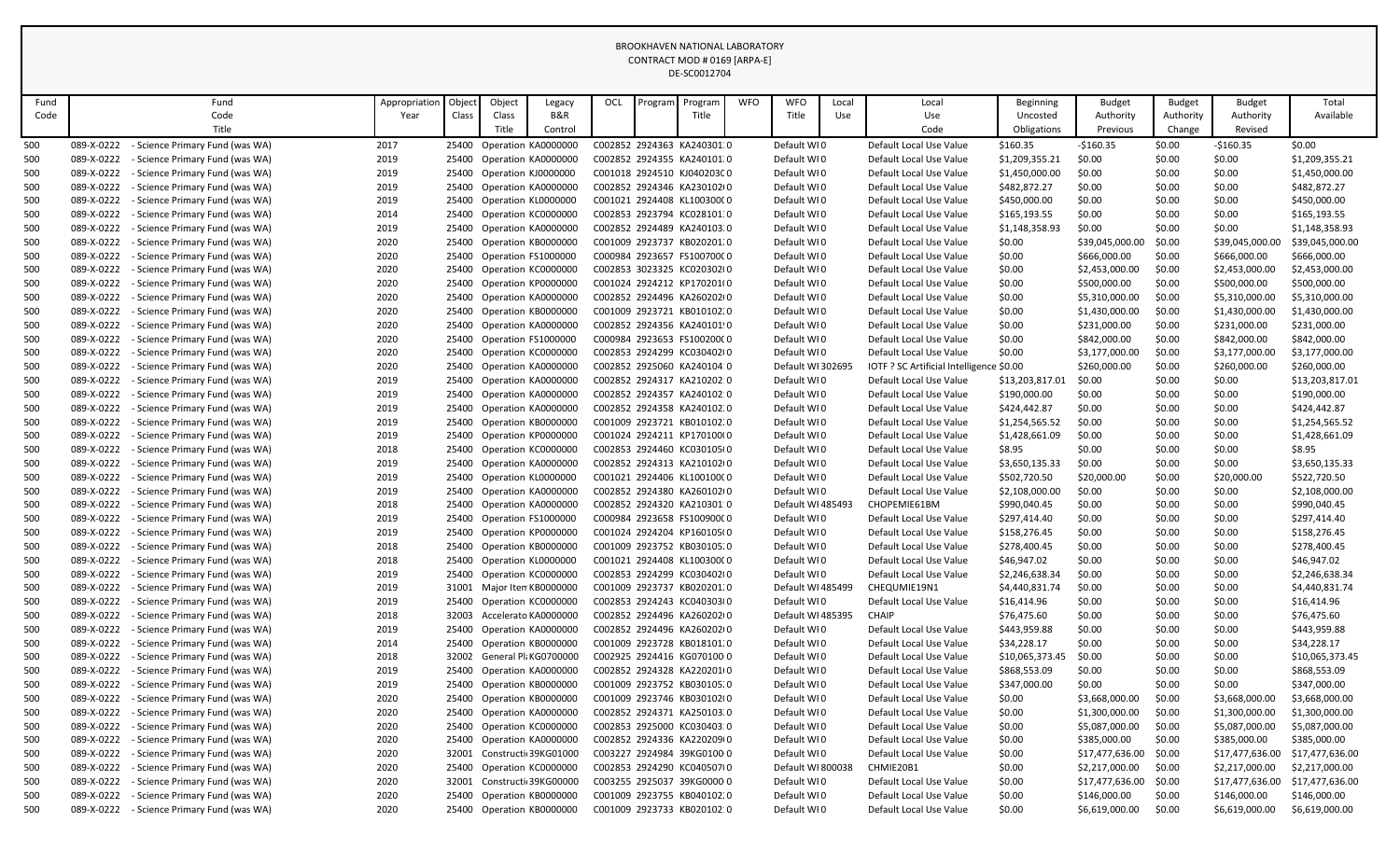|            |                                                                                                                                                                                                                                                                                                                                                                                                                                                                                                                                |                                                                    |               |       |        |                                                         |     |         | BROOKHAVEN NATIONAL LABORATORY                           |            |                            |       |                                                    |                                |                                 |                  |                  |                                                 |
|------------|--------------------------------------------------------------------------------------------------------------------------------------------------------------------------------------------------------------------------------------------------------------------------------------------------------------------------------------------------------------------------------------------------------------------------------------------------------------------------------------------------------------------------------|--------------------------------------------------------------------|---------------|-------|--------|---------------------------------------------------------|-----|---------|----------------------------------------------------------|------------|----------------------------|-------|----------------------------------------------------|--------------------------------|---------------------------------|------------------|------------------|-------------------------------------------------|
|            |                                                                                                                                                                                                                                                                                                                                                                                                                                                                                                                                |                                                                    |               |       |        |                                                         |     |         | CONTRACT MOD # 0169 [ARPA-E]                             |            |                            |       |                                                    |                                |                                 |                  |                  |                                                 |
|            |                                                                                                                                                                                                                                                                                                                                                                                                                                                                                                                                |                                                                    |               |       |        |                                                         |     |         | DE-SC0012704                                             |            |                            |       |                                                    |                                |                                 |                  |                  |                                                 |
|            |                                                                                                                                                                                                                                                                                                                                                                                                                                                                                                                                |                                                                    |               |       |        |                                                         |     |         |                                                          |            |                            |       |                                                    |                                |                                 |                  |                  |                                                 |
| Fund       |                                                                                                                                                                                                                                                                                                                                                                                                                                                                                                                                | Fund                                                               | Appropriation | Objec | Object | Legacy                                                  | OCL | Program | Program                                                  | <b>WFO</b> | <b>WFO</b>                 | Local | Local                                              | Beginning                      | <b>Budget</b>                   | <b>Budget</b>    | <b>Budget</b>    | Total                                           |
| Code       |                                                                                                                                                                                                                                                                                                                                                                                                                                                                                                                                | Code                                                               | Year          | Class | Class  | B&R                                                     |     |         | Title                                                    |            | Title                      | Use   | Use                                                | Uncosted                       | Authority                       | Authority        | Authority        | Available                                       |
|            |                                                                                                                                                                                                                                                                                                                                                                                                                                                                                                                                | Title                                                              |               |       | Title  | Control                                                 |     |         |                                                          |            |                            |       | Code                                               | Obligations                    | Previous                        | Change           | Revised          |                                                 |
| 500        | 089-X-0222                                                                                                                                                                                                                                                                                                                                                                                                                                                                                                                     | - Science Primary Fund (was WA)                                    | 2017          |       |        | 25400 Operation KA0000000                               |     |         | C002852 2924363 KA240301.0                               |            | Default WI0                |       | Default Local Use Value                            | \$160.35                       | $-$160.35$                      | \$0.00           | $-$160.35$       | \$0.00                                          |
| 500        | 089-X-0222                                                                                                                                                                                                                                                                                                                                                                                                                                                                                                                     | - Science Primary Fund (was WA)                                    | 2019          |       |        | 25400 Operation KA0000000                               |     |         | C002852 2924355 KA240101.0                               |            | Default WI0                |       | Default Local Use Value                            | \$1,209,355.21                 | \$0.00                          | \$0.00           | \$0.00           | \$1,209,355.21                                  |
| 500        | 089-X-0222<br>089-X-0222                                                                                                                                                                                                                                                                                                                                                                                                                                                                                                       | - Science Primary Fund (was WA)                                    | 2019          |       |        | 25400 Operation KJ0000000                               |     |         | C001018 2924510 KJ04020300<br>C002852 2924346 KA230102(0 |            | Default WI0                |       | Default Local Use Value                            | \$1,450,000.00                 | \$0.00                          | \$0.00           | \$0.00           | \$1,450,000.00                                  |
| 500<br>500 | 089-X-0222                                                                                                                                                                                                                                                                                                                                                                                                                                                                                                                     | - Science Primary Fund (was WA)                                    | 2019<br>2019  | 25400 |        | Operation KA0000000<br>25400 Operation KL0000000        |     |         | C001021 2924408 KL10030000                               |            | Default WI0<br>Default WI0 |       | Default Local Use Value                            | \$482,872.27<br>\$450,000.00   | \$0.00<br>\$0.00                | \$0.00<br>\$0.00 | \$0.00           | \$482,872.27<br>\$450,000.00                    |
|            | 089-X-0222                                                                                                                                                                                                                                                                                                                                                                                                                                                                                                                     | - Science Primary Fund (was WA)                                    |               |       |        |                                                         |     |         | C002853 2923794 KC028101:0                               |            |                            |       | Default Local Use Value                            |                                | \$0.00                          |                  | \$0.00           | \$165,193.55                                    |
| 500<br>500 | 089-X-0222                                                                                                                                                                                                                                                                                                                                                                                                                                                                                                                     | - Science Primary Fund (was WA)<br>- Science Primary Fund (was WA) | 2014<br>2019  | 25400 |        | 25400 Operation KC0000000<br>Operation KA0000000        |     |         | C002852 2924489 KA240103.0                               |            | Default WI0<br>Default WI0 |       | Default Local Use Value<br>Default Local Use Value | \$165,193.55<br>\$1,148,358.93 | \$0.00                          | \$0.00<br>\$0.00 | \$0.00<br>\$0.00 | \$1,148,358.93                                  |
| 500        | 089-X-0222                                                                                                                                                                                                                                                                                                                                                                                                                                                                                                                     | - Science Primary Fund (was WA)                                    | 2020          |       |        | 25400 Operation KB0000000                               |     |         | C001009 2923737 KB020201.0                               |            | Default WI0                |       | Default Local Use Value                            | \$0.00                         | \$39,045,000.00                 | \$0.00           | \$39,045,000.00  | \$39,045,000.00                                 |
| 500        | 089-X-0222                                                                                                                                                                                                                                                                                                                                                                                                                                                                                                                     | - Science Primary Fund (was WA)                                    | 2020          |       |        | 25400 Operation FS1000000                               |     |         | C000984 2923657 FS100700C0                               |            | Default WI0                |       | Default Local Use Value                            | \$0.00                         | \$666,000.00                    | \$0.00           | \$666,000.00     | \$666,000.00                                    |
| 500        | 089-X-0222                                                                                                                                                                                                                                                                                                                                                                                                                                                                                                                     | - Science Primary Fund (was WA)                                    | 2020          |       |        | 25400 Operation KC0000000                               |     |         | C002853 3023325 KC020302(0                               |            | Default WI0                |       | Default Local Use Value                            | \$0.00                         | \$2,453,000.00                  | \$0.00           | \$2,453,000.00   | \$2,453,000.00                                  |
| 500        | 089-X-0222                                                                                                                                                                                                                                                                                                                                                                                                                                                                                                                     | - Science Primary Fund (was WA)                                    | 2020          |       |        | 25400 Operation KP0000000                               |     |         | C001024 2924212 KP170201(0                               |            | Default WI0                |       | Default Local Use Value                            | \$0.00                         | \$500,000.00                    | \$0.00           | \$500,000.00     | \$500,000.00                                    |
| 500        | 089-X-0222                                                                                                                                                                                                                                                                                                                                                                                                                                                                                                                     | - Science Primary Fund (was WA)                                    | 2020          | 25400 |        |                                                         |     |         |                                                          |            | Default WI0                |       | Default Local Use Value                            | \$0.00                         | \$5,310,000.00                  | \$0.00           | \$5,310,000.00   | \$5,310,000.00                                  |
| 500        | Operation KA0000000<br>C002852 2924496 KA260202(0<br>089-X-0222<br>- Science Primary Fund (was WA)<br>2020<br>Operation KB0000000<br>C001009 2923721 KB010102.0<br>Default WI0<br>\$0.00<br>\$1,430,000.00<br>\$0.00<br>\$1,430,000.00<br>\$1,430,000.00<br>25400<br>Default Local Use Value<br>089-X-0222<br>25400 Operation KA0000000<br>Default WI0<br>\$231,000.00<br>\$231,000.00<br>\$231,000.00<br>- Science Primary Fund (was WA)<br>2020<br>C002852 2924356 KA240101!0<br>Default Local Use Value<br>\$0.00<br>\$0.00 |                                                                    |               |       |        |                                                         |     |         |                                                          |            |                            |       |                                                    |                                |                                 |                  |                  |                                                 |
| 500        | 089-X-0222<br>\$842,000.00<br>2020<br>Operation FS1000000<br>C000984 2923653 FS100200C0<br>Default WI0<br>\$0.00<br>\$0.00<br>\$842,000.00<br>\$842,000.00<br>- Science Primary Fund (was WA)<br>25400<br>Default Local Use Value                                                                                                                                                                                                                                                                                              |                                                                    |               |       |        |                                                         |     |         |                                                          |            |                            |       |                                                    |                                |                                 |                  |                  |                                                 |
| 500        |                                                                                                                                                                                                                                                                                                                                                                                                                                                                                                                                |                                                                    |               |       |        |                                                         |     |         |                                                          |            |                            |       |                                                    |                                |                                 |                  |                  |                                                 |
| 500        | 089-X-0222<br>2020<br>Operation KC0000000<br>C002853 2924299 KC030402(0<br>Default WI0<br>\$0.00<br>\$3,177,000.00<br>\$0.00<br>\$3,177,000.00<br>\$3,177,000.00<br>- Science Primary Fund (was WA)<br>25400<br>Default Local Use Value<br>C002852 2925060 KA240104:0                                                                                                                                                                                                                                                          |                                                                    |               |       |        |                                                         |     |         |                                                          |            |                            |       |                                                    |                                |                                 |                  |                  |                                                 |
| 500        | 089-X-0222                                                                                                                                                                                                                                                                                                                                                                                                                                                                                                                     | - Science Primary Fund (was WA)                                    | 2020          |       |        | 25400 Operation KA0000000                               |     |         |                                                          |            | Default WI 302695          |       | IOTF ? SC Artificial Intelligence \$0.00           |                                | \$260,000.00                    | \$0.00           | \$260,000.00     | \$260,000.00                                    |
| 500        | 089-X-0222                                                                                                                                                                                                                                                                                                                                                                                                                                                                                                                     | - Science Primary Fund (was WA)                                    | 2019          |       |        | 25400 Operation KA0000000                               |     |         | C002852 2924317 KA210202:0                               |            | Default WI0                |       | Default Local Use Value                            | \$13,203,817.01                | \$0.00                          | \$0.00           | \$0.00           | \$13,203,817.01                                 |
| 500        | 089-X-0222                                                                                                                                                                                                                                                                                                                                                                                                                                                                                                                     | - Science Primary Fund (was WA)                                    | 2019          |       |        | 25400 Operation KA0000000                               |     |         | C002852 2924357 KA240102.0                               |            | Default WI0                |       | Default Local Use Value                            | \$190,000.00                   | \$0.00                          | \$0.00           | \$0.00           | \$190,000.00                                    |
| 500        | 089-X-0222                                                                                                                                                                                                                                                                                                                                                                                                                                                                                                                     | - Science Primary Fund (was WA)                                    | 2019          |       |        | 25400 Operation KA0000000                               |     |         | C002852 2924358 KA240102.0                               |            | Default WI0                |       | Default Local Use Value                            | \$424,442.87                   | \$0.00                          | \$0.00           | \$0.00           | \$424,442.87                                    |
| 500        | 089-X-0222                                                                                                                                                                                                                                                                                                                                                                                                                                                                                                                     | - Science Primary Fund (was WA)                                    | 2019          |       |        | 25400 Operation KB0000000                               |     |         | C001009 2923721 KB010102.0                               |            | Default WI0                |       | Default Local Use Value                            | \$1,254,565.52                 | \$0.00                          | \$0.00           | \$0.00           | \$1,254,565.52                                  |
| 500        | 089-X-0222                                                                                                                                                                                                                                                                                                                                                                                                                                                                                                                     | - Science Primary Fund (was WA)                                    | 2019          |       |        | 25400 Operation KP0000000                               |     |         | C001024 2924211 KP170100(0                               |            | Default WI0                |       | Default Local Use Value                            | \$1,428,661.09                 | \$0.00                          | \$0.00           | \$0.00           | \$1,428,661.09                                  |
| 500        | 089-X-0222                                                                                                                                                                                                                                                                                                                                                                                                                                                                                                                     | - Science Primary Fund (was WA)                                    | 2018          |       |        | 25400 Operation KC0000000                               |     |         | C002853 2924460 KC030105(0                               |            | Default WI0                |       | Default Local Use Value                            | \$8.95                         | \$0.00                          | \$0.00           | \$0.00           | \$8.95                                          |
| 500        | 089-X-0222                                                                                                                                                                                                                                                                                                                                                                                                                                                                                                                     | - Science Primary Fund (was WA)                                    | 2019          |       |        | 25400 Operation KA0000000                               |     |         | C002852 2924313 KA210102(0                               |            | Default WI0                |       | Default Local Use Value                            | \$3,650,135.33                 | \$0.00                          | \$0.00           | \$0.00           | \$3,650,135.33                                  |
| 500        | 089-X-0222                                                                                                                                                                                                                                                                                                                                                                                                                                                                                                                     | - Science Primary Fund (was WA)                                    | 2019          |       |        | 25400 Operation KL0000000                               |     |         | C001021 2924406 KL10010000                               |            | Default WI0                |       | Default Local Use Value                            | \$502,720.50                   | \$20,000.00                     | \$0.00           | \$20,000.00      | \$522,720.50                                    |
| 500        | 089-X-0222                                                                                                                                                                                                                                                                                                                                                                                                                                                                                                                     | - Science Primary Fund (was WA)                                    | 2019          |       |        | 25400 Operation KA0000000                               |     |         | C002852 2924380 KA260102(0                               |            | Default WI0                |       | Default Local Use Value                            | \$2,108,000.00                 | \$0.00                          | \$0.00           | \$0.00           | \$2,108,000.00                                  |
| 500        | 089-X-0222                                                                                                                                                                                                                                                                                                                                                                                                                                                                                                                     | - Science Primary Fund (was WA)                                    | 2018          |       |        | 25400 Operation KA0000000                               |     |         | C002852 2924320 KA210301:0                               |            | Default WI 485493          |       | CHOPEMIE61BM                                       | \$990,040.45                   | \$0.00                          | \$0.00           | \$0.00           | \$990,040.45                                    |
| 500        | 089-X-0222                                                                                                                                                                                                                                                                                                                                                                                                                                                                                                                     | - Science Primary Fund (was WA)                                    | 2019          |       |        | 25400 Operation FS1000000                               |     |         | C000984 2923658 FS100900C0                               |            | Default WI0                |       | Default Local Use Value                            | \$297,414.40                   | \$0.00                          | \$0.00           | \$0.00           | \$297,414.40                                    |
| 500        | 089-X-0222                                                                                                                                                                                                                                                                                                                                                                                                                                                                                                                     | - Science Primary Fund (was WA)                                    | 2019          |       |        | 25400 Operation KP0000000                               |     |         | C001024 2924204 KP160105(0                               |            | Default WI0                |       | Default Local Use Value                            | \$158,276.45                   | \$0.00                          | \$0.00           | \$0.00           | \$158,276.45                                    |
| 500        | 089-X-0222                                                                                                                                                                                                                                                                                                                                                                                                                                                                                                                     | - Science Primary Fund (was WA)                                    | 2018          |       |        | 25400 Operation KB0000000                               |     |         | C001009 2923752 KB030105.0                               |            | Default WI0                |       | Default Local Use Value                            | \$278,400.45                   | \$0.00                          | \$0.00           | \$0.00           | \$278,400.45                                    |
| 500        | 089-X-0222                                                                                                                                                                                                                                                                                                                                                                                                                                                                                                                     | - Science Primary Fund (was WA)                                    | 2018          |       |        | 25400 Operation KL0000000                               |     |         | C001021 2924408 KL10030000                               |            | Default WI0                |       | Default Local Use Value                            | \$46,947.02                    | \$0.00                          | \$0.00           | \$0.00           | \$46,947.02                                     |
| 500        | 089-X-0222                                                                                                                                                                                                                                                                                                                                                                                                                                                                                                                     | - Science Primary Fund (was WA)                                    | 2019          |       |        | 25400 Operation KC0000000                               |     |         | C002853 2924299 KC030402(0                               |            | Default WI0                |       | Default Local Use Value                            | \$2,246,638.34                 | \$0.00                          | \$0.00           | \$0.00           | \$2,246,638.34                                  |
| 500        | 089-X-0222                                                                                                                                                                                                                                                                                                                                                                                                                                                                                                                     | - Science Primary Fund (was WA)                                    | 2019          |       |        | 31001 Major Iten KB0000000                              |     |         | C001009 2923737 KB020201.0                               |            | Default WI485499           |       | CHEQUMIE19N1                                       | \$4,440,831.74                 | \$0.00                          | \$0.00           | \$0.00           | \$4,440,831.74                                  |
| 500        | 089-X-0222                                                                                                                                                                                                                                                                                                                                                                                                                                                                                                                     | - Science Primary Fund (was WA)                                    | 2019          |       |        | 25400 Operation KC0000000                               |     |         | C002853 2924243 KC040303(0                               |            | Default WI0                |       | Default Local Use Value                            | \$16,414.96                    | \$0.00                          | \$0.00           | \$0.00           | \$16,414.96                                     |
| 500        | 089-X-0222                                                                                                                                                                                                                                                                                                                                                                                                                                                                                                                     | - Science Primary Fund (was WA)                                    | 2018          |       |        | 32003 Accelerato KA0000000                              |     |         | C002852 2924496 KA260202(0                               |            | Default WI 485395          |       | <b>CHAIP</b>                                       | \$76,475.60                    | \$0.00                          | \$0.00           | \$0.00           | \$76,475.60                                     |
| 500        | 089-X-0222                                                                                                                                                                                                                                                                                                                                                                                                                                                                                                                     | - Science Primary Fund (was WA)                                    | 2019          | 25400 |        | Operation KA0000000                                     |     |         | C002852 2924496 KA260202(0                               |            | Default WI0                |       | Default Local Use Value                            | \$443,959.88                   | \$0.00                          | \$0.00           | \$0.00           | \$443,959.88                                    |
| 500        | 089-X-0222                                                                                                                                                                                                                                                                                                                                                                                                                                                                                                                     | - Science Primary Fund (was WA)                                    | 2014          |       |        | 25400 Operation KB0000000                               |     |         | C001009 2923728 KB018101.0                               |            | Default WI0                |       | Default Local Use Value                            | \$34,228.17                    | \$0.00                          | \$0.00           | \$0.00           | \$34,228.17                                     |
| 500        | 089-X-0222                                                                                                                                                                                                                                                                                                                                                                                                                                                                                                                     | - Science Primary Fund (was WA)                                    | 2018          |       |        | 32002 General Pl KG0700000                              |     |         | C002925 2924416 KG070100 0                               |            | Default WI0                |       | Default Local Use Value                            | \$10,065,373.45                | \$0.00                          | \$0.00           | \$0.00           | \$10,065,373.45                                 |
| 500        | 089-X-0222                                                                                                                                                                                                                                                                                                                                                                                                                                                                                                                     | - Science Primary Fund (was WA)                                    | 2019          |       |        | 25400 Operation KA0000000                               |     |         | C002852 2924328 KA220201(0                               |            | Default WI0                |       | Default Local Use Value                            | \$868,553.09                   | \$0.00                          | \$0.00           | \$0.00           | \$868,553.09                                    |
| 500        | 089-X-0222                                                                                                                                                                                                                                                                                                                                                                                                                                                                                                                     | - Science Primary Fund (was WA)                                    | 2019          |       |        | 25400 Operation KB0000000                               |     |         | C001009 2923752 KB030105.0                               |            | Default WI0                |       | Default Local Use Value                            | \$347,000.00                   | \$0.00                          | \$0.00           | \$0.00           | \$347,000.00                                    |
| 500        | 089-X-0222                                                                                                                                                                                                                                                                                                                                                                                                                                                                                                                     | - Science Primary Fund (was WA)                                    | 2020          |       |        | 25400 Operation KB0000000                               |     |         | C001009 2923746 KB030102(0                               |            | Default WIO                |       | Default Local Use Value                            | \$0.00                         | \$3,668,000.00                  | \$0.00           | \$3,668,000.00   | \$3,668,000.00                                  |
| 500        | 089-X-0222                                                                                                                                                                                                                                                                                                                                                                                                                                                                                                                     | - Science Primary Fund (was WA)                                    | 2020          |       |        | 25400 Operation KA0000000                               |     |         | C002852 2924371 KA250103.0                               |            | Default WI0                |       | Default Local Use Value                            | \$0.00                         | \$1,300,000.00                  | \$0.00           | \$1,300,000.00   | \$1,300,000.00                                  |
| 500        | 089-X-0222                                                                                                                                                                                                                                                                                                                                                                                                                                                                                                                     | - Science Primary Fund (was WA)                                    | 2020          |       |        | 25400 Operation KC0000000                               |     |         | C002853 2925000 KC030403:0                               |            | Default WIO                |       | Default Local Use Value                            | \$0.00                         | \$5,087,000.00                  | \$0.00           | \$5,087,000.00   | \$5,087,000.00                                  |
| 500        | 089-X-0222                                                                                                                                                                                                                                                                                                                                                                                                                                                                                                                     | - Science Primary Fund (was WA)                                    | 2020          |       |        | 25400 Operation KA0000000                               |     |         | C002852 2924336 KA220209(0                               |            | Default WIO                |       | Default Local Use Value                            | \$0.00                         | \$385,000.00                    | \$0.00           | \$385,000.00     | \$385,000.00                                    |
| 500        | 089-X-0222                                                                                                                                                                                                                                                                                                                                                                                                                                                                                                                     | - Science Primary Fund (was WA)                                    | 2020          |       |        | 32001 Constructi 39KG01000                              |     |         | C003227 2924984 39KG0100 0                               |            | Default WI0                |       | Default Local Use Value                            | \$0.00                         | \$17,477,636.00                 | \$0.00           | \$17,477,636.00  | \$17,477,636.00                                 |
| 500        | 089-X-0222                                                                                                                                                                                                                                                                                                                                                                                                                                                                                                                     | - Science Primary Fund (was WA)                                    | 2020          |       |        | 25400 Operation KC0000000                               |     |         | C002853 2924290 KC040507(0<br>C003255 2925037 39KG0000 0 |            | Default WI 800038          |       | CHMIE20B1                                          | \$0.00                         | \$2,217,000.00                  | \$0.00           | \$2,217,000.00   | \$2,217,000.00                                  |
| 500<br>500 | 089-X-0222<br>089-X-0222                                                                                                                                                                                                                                                                                                                                                                                                                                                                                                       | - Science Primary Fund (was WA)<br>- Science Primary Fund (was WA) | 2020<br>2020  |       |        | 32001 Constructi 39KG00000<br>25400 Operation KB0000000 |     |         | C001009 2923755 KB040102.0                               |            | Default WIO<br>Default WIO |       | Default Local Use Value<br>Default Local Use Value | \$0.00<br>\$0.00               | \$17,477,636.00<br>\$146,000.00 | \$0.00<br>\$0.00 | \$146,000.00     | \$17,477,636.00 \$17,477,636.00<br>\$146,000.00 |
| 500        |                                                                                                                                                                                                                                                                                                                                                                                                                                                                                                                                | 089-X-0222 - Science Primary Fund (was WA)                         | 2020          |       |        | 25400 Operation KB0000000                               |     |         | C001009 2923733 KB020102:0                               |            | Default WIO                |       | Default Local Use Value                            | \$0.00                         | \$6,619,000.00                  | \$0.00           | \$6,619,000.00   | \$6,619,000.00                                  |
|            |                                                                                                                                                                                                                                                                                                                                                                                                                                                                                                                                |                                                                    |               |       |        |                                                         |     |         |                                                          |            |                            |       |                                                    |                                |                                 |                  |                  |                                                 |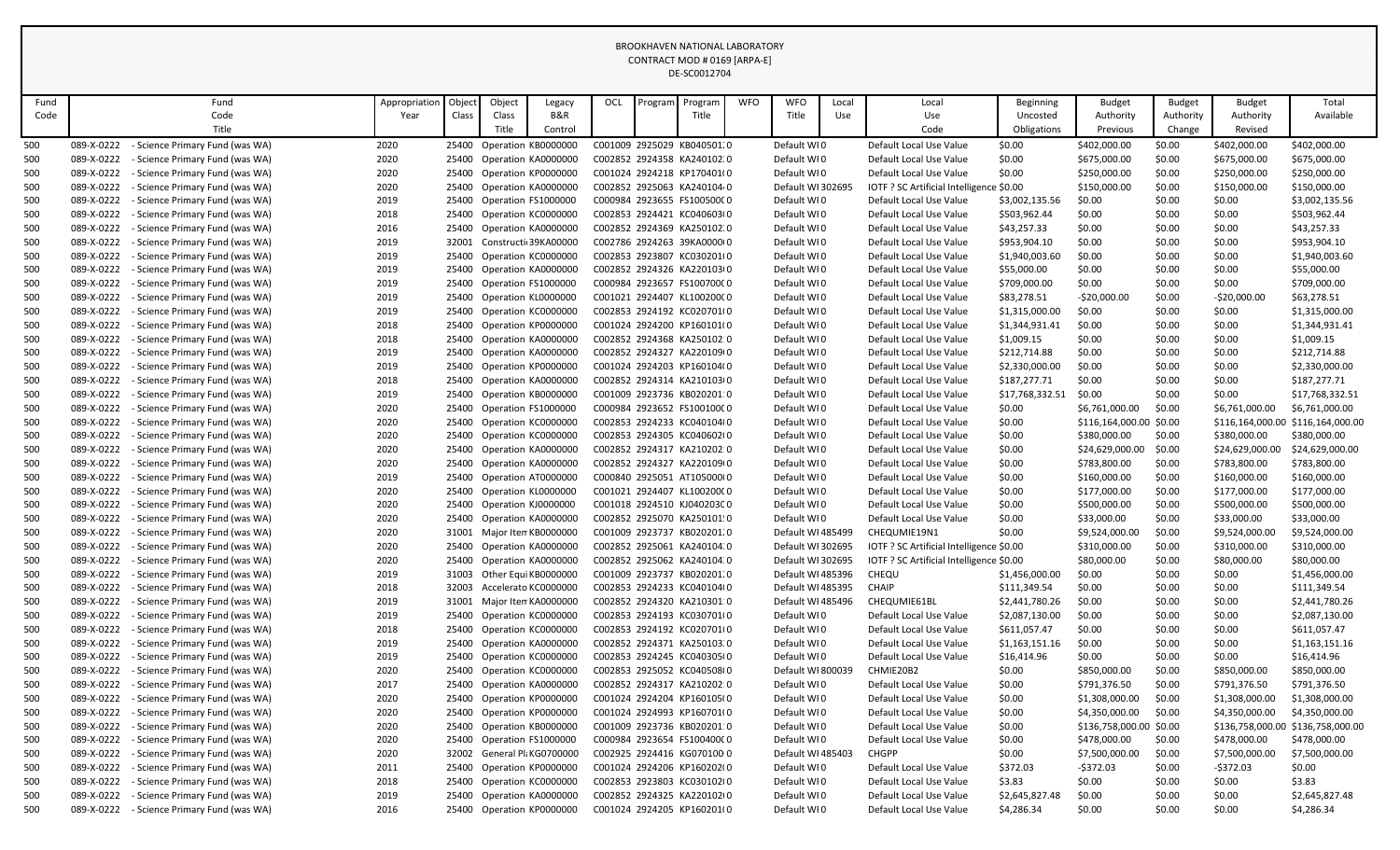|      |                                                                                                                                                                                                                                                                                                                                                                                                                                       |                                 |               |       |        |                            |     |         | <b>BROOKHAVEN NATIONAL LABORATORY</b> |            |                   |       |                                          |                  |                         |                |                 |                                   |
|------|---------------------------------------------------------------------------------------------------------------------------------------------------------------------------------------------------------------------------------------------------------------------------------------------------------------------------------------------------------------------------------------------------------------------------------------|---------------------------------|---------------|-------|--------|----------------------------|-----|---------|---------------------------------------|------------|-------------------|-------|------------------------------------------|------------------|-------------------------|----------------|-----------------|-----------------------------------|
|      |                                                                                                                                                                                                                                                                                                                                                                                                                                       |                                 |               |       |        |                            |     |         | CONTRACT MOD # 0169 [ARPA-E]          |            |                   |       |                                          |                  |                         |                |                 |                                   |
|      |                                                                                                                                                                                                                                                                                                                                                                                                                                       |                                 |               |       |        |                            |     |         | DE-SC0012704                          |            |                   |       |                                          |                  |                         |                |                 |                                   |
|      |                                                                                                                                                                                                                                                                                                                                                                                                                                       |                                 |               |       |        |                            |     |         |                                       |            |                   |       |                                          |                  |                         |                |                 |                                   |
| Fund |                                                                                                                                                                                                                                                                                                                                                                                                                                       | Fund                            | Appropriation | Objec | Object | Legacy                     | OCL | Program | Program                               | <b>WFO</b> | <b>WFO</b>        | Local | Local                                    | <b>Beginning</b> | <b>Budget</b>           | <b>Budget</b>  | <b>Budget</b>   | Total                             |
| Code |                                                                                                                                                                                                                                                                                                                                                                                                                                       | Code                            | Year          | Class | Class  | B&R                        |     |         | Title                                 |            | Title             | Use   | Use                                      | Uncosted         | Authority               | Authority      | Authority       | Available                         |
|      |                                                                                                                                                                                                                                                                                                                                                                                                                                       | Title                           |               |       | Title  | Control                    |     |         |                                       |            |                   |       | Code                                     | Obligations      | Previous                | Change         | Revised         |                                   |
| 500  | 089-X-0222                                                                                                                                                                                                                                                                                                                                                                                                                            | - Science Primary Fund (was WA) | 2020          | 25400 |        | Operation KB0000000        |     |         | C001009 2925029 KB040501.0            |            | Default WI0       |       | Default Local Use Value                  | \$0.00           | \$402,000.00            | \$0.00         | \$402,000.00    | \$402,000.00                      |
| 500  | 089-X-0222                                                                                                                                                                                                                                                                                                                                                                                                                            | - Science Primary Fund (was WA) | 2020          |       |        | 25400 Operation KA0000000  |     |         | C002852 2924358 KA240102.0            |            | Default WI0       |       | Default Local Use Value                  | \$0.00           | \$675,000.00            | \$0.00         | \$675,000.00    | \$675,000.00                      |
| 500  | 089-X-0222                                                                                                                                                                                                                                                                                                                                                                                                                            | - Science Primary Fund (was WA) | 2020          |       |        | 25400 Operation KP0000000  |     |         | C001024 2924218 KP170401(0            |            | Default WI0       |       | Default Local Use Value                  | \$0.00           | \$250,000.00            | \$0.00         | \$250,000.00    | \$250,000.00                      |
| 500  | 089-X-0222                                                                                                                                                                                                                                                                                                                                                                                                                            | - Science Primary Fund (was WA) | 2020          | 25400 |        | Operation KA0000000        |     |         | C002852 2925063 KA240104.0            |            | Default WI 302695 |       | IOTF ? SC Artificial Intelligence \$0.00 |                  | \$150,000.00            | \$0.00         | \$150,000.00    | \$150,000.00                      |
| 500  | 089-X-0222                                                                                                                                                                                                                                                                                                                                                                                                                            | - Science Primary Fund (was WA) | 2019          |       |        | 25400 Operation FS1000000  |     |         | C000984 2923655 FS100500C0            |            | Default WI0       |       | Default Local Use Value                  | \$3,002,135.56   | \$0.00                  | \$0.00         | \$0.00          | \$3,002,135.56                    |
| 500  | 089-X-0222                                                                                                                                                                                                                                                                                                                                                                                                                            | - Science Primary Fund (was WA) | 2018          |       |        | 25400 Operation KC0000000  |     |         | C002853 2924421 KC040603(0            |            | Default WI0       |       | Default Local Use Value                  | \$503,962.44     | \$0.00                  | \$0.00         | \$0.00          | \$503,962.44                      |
| 500  | 089-X-0222                                                                                                                                                                                                                                                                                                                                                                                                                            | - Science Primary Fund (was WA) | 2016          | 25400 |        | Operation KA0000000        |     |         | C002852 2924369 KA250102.0            |            | Default WI0       |       | Default Local Use Value                  | \$43,257.33      | \$0.00                  | \$0.00         | \$0.00          | \$43,257.33                       |
| 500  | 089-X-0222                                                                                                                                                                                                                                                                                                                                                                                                                            | - Science Primary Fund (was WA) | 2019          | 32001 |        | Constructi 39KA00000       |     |         | C002786 2924263 39KA0000(0            |            | Default WI0       |       | Default Local Use Value                  | \$953,904.10     | \$0.00                  | \$0.00         | \$0.00          | \$953,904.10                      |
| 500  | 089-X-0222                                                                                                                                                                                                                                                                                                                                                                                                                            | - Science Primary Fund (was WA) | 2019          |       |        | 25400 Operation KC0000000  |     |         | C002853 2923807 KC030201(0            |            | Default WI0       |       | Default Local Use Value                  | \$1,940,003.60   | \$0.00                  | \$0.00         | \$0.00          | \$1,940,003.60                    |
| 500  | 089-X-0222                                                                                                                                                                                                                                                                                                                                                                                                                            | - Science Primary Fund (was WA) | 2019          | 25400 |        | Operation KA0000000        |     |         | C002852 2924326 KA220103(0            |            | Default WI0       |       | Default Local Use Value                  | \$55,000.00      | \$0.00                  | \$0.00         | \$0.00          | \$55,000.00                       |
| 500  | 089-X-0222                                                                                                                                                                                                                                                                                                                                                                                                                            | - Science Primary Fund (was WA) | 2019          |       |        | 25400 Operation FS1000000  |     |         | C000984 2923657 FS100700C0            |            | Default WI0       |       | Default Local Use Value                  | \$709,000.00     | \$0.00                  | \$0.00         | \$0.00          | \$709,000.00                      |
| 500  | 089-X-0222<br>- Science Primary Fund (was WA)<br>2019<br>25400 Operation KL0000000<br>C001021 2924407 KL10020000<br>Default WI0<br>\$83,278.51<br>\$0.00<br>$-$20,000.00$<br>Default Local Use Value<br>-\$20,000.00<br>089-X-0222<br>- Science Primary Fund (was WA)<br>2019<br>Operation KC0000000<br>C002853 2924192 KC020701(0<br>Default WI0<br>\$1,315,000.00<br>\$0.00<br>\$0.00<br>25400<br>Default Local Use Value<br>\$0.00 |                                 |               |       |        |                            |     |         |                                       |            |                   |       |                                          |                  |                         | \$63,278.51    |                 |                                   |
| 500  | 089-X-0222<br>2018<br>25400 Operation KP0000000<br>C001024 2924200 KP160101(0<br>\$1,344,931.41<br>\$0.00<br>\$0.00<br>- Science Primary Fund (was WA)<br>Default WI0<br>Default Local Use Value<br>\$0.00                                                                                                                                                                                                                            |                                 |               |       |        |                            |     |         |                                       |            |                   |       |                                          |                  |                         | \$1,315,000.00 |                 |                                   |
| 500  |                                                                                                                                                                                                                                                                                                                                                                                                                                       |                                 |               |       |        |                            |     |         |                                       |            |                   |       |                                          |                  |                         | \$1,344,931.41 |                 |                                   |
| 500  | 089-X-0222<br>- Science Primary Fund (was WA)<br>2018<br>25400 Operation KA0000000<br>C002852 2924368 KA250102:0<br>Default WI0<br>\$1,009.15<br>\$0.00<br>\$0.00<br>\$0.00<br>Default Local Use Value                                                                                                                                                                                                                                |                                 |               |       |        |                            |     |         |                                       |            |                   |       |                                          |                  |                         | \$1,009.15     |                 |                                   |
| 500  | 089-X-0222                                                                                                                                                                                                                                                                                                                                                                                                                            | - Science Primary Fund (was WA) | 2019          |       |        | 25400 Operation KA0000000  |     |         | C002852 2924327 KA220109(0            |            | Default WI0       |       | Default Local Use Value                  | \$212,714.88     | \$0.00                  | \$0.00         | \$0.00          | \$212,714.88                      |
| 500  | 089-X-0222                                                                                                                                                                                                                                                                                                                                                                                                                            | - Science Primary Fund (was WA) | 2019          |       |        | 25400 Operation KP0000000  |     |         | C001024 2924203 KP160104(0            |            | Default WI0       |       | Default Local Use Value                  | \$2,330,000.00   | \$0.00                  | \$0.00         | \$0.00          | \$2,330,000.00                    |
| 500  | 089-X-0222                                                                                                                                                                                                                                                                                                                                                                                                                            | - Science Primary Fund (was WA) | 2018          |       |        | 25400 Operation KA0000000  |     |         | C002852 2924314 KA210103(0            |            | Default WI0       |       | Default Local Use Value                  | \$187,277.71     | \$0.00                  | \$0.00         | \$0.00          | \$187,277.71                      |
| 500  | 089-X-0222                                                                                                                                                                                                                                                                                                                                                                                                                            | - Science Primary Fund (was WA) | 2019          |       |        | 25400 Operation KB0000000  |     |         | C001009 2923736 KB020201:0            |            | Default WI0       |       | Default Local Use Value                  | \$17,768,332.51  | \$0.00                  | \$0.00         | \$0.00          | \$17,768,332.51                   |
| 500  | 089-X-0222                                                                                                                                                                                                                                                                                                                                                                                                                            | - Science Primary Fund (was WA) | 2020          |       |        | 25400 Operation FS1000000  |     |         | C000984 2923652 FS100100C0            |            | Default WI0       |       | Default Local Use Value                  | \$0.00           | \$6,761,000.00          | \$0.00         | \$6,761,000.00  | \$6,761,000.00                    |
| 500  | 089-X-0222                                                                                                                                                                                                                                                                                                                                                                                                                            | - Science Primary Fund (was WA) | 2020          |       |        | 25400 Operation KC0000000  |     |         | C002853 2924233 KC040104(0            |            | Default WI0       |       | Default Local Use Value                  | \$0.00           | \$116,164,000.00 \$0.00 |                |                 | \$116,164,000.00 \$116,164,000.00 |
| 500  | 089-X-0222                                                                                                                                                                                                                                                                                                                                                                                                                            | - Science Primary Fund (was WA) | 2020          |       |        | 25400 Operation KC0000000  |     |         | C002853 2924305 KC040602(0            |            | Default WI0       |       | Default Local Use Value                  | \$0.00           | \$380,000.00            | \$0.00         | \$380,000.00    | \$380,000.00                      |
| 500  | 089-X-0222                                                                                                                                                                                                                                                                                                                                                                                                                            | - Science Primary Fund (was WA) | 2020          |       |        | 25400 Operation KA0000000  |     |         | C002852 2924317 KA210202.0            |            | Default WI0       |       | Default Local Use Value                  | \$0.00           | \$24,629,000.00         | \$0.00         | \$24,629,000.00 | \$24,629,000.00                   |
| 500  | 089-X-0222                                                                                                                                                                                                                                                                                                                                                                                                                            | - Science Primary Fund (was WA) | 2020          |       |        | 25400 Operation KA0000000  |     |         | C002852 2924327 KA220109(0            |            | Default WI0       |       | Default Local Use Value                  | \$0.00           | \$783,800.00            | \$0.00         | \$783,800.00    | \$783,800.00                      |
| 500  | 089-X-0222                                                                                                                                                                                                                                                                                                                                                                                                                            | - Science Primary Fund (was WA) | 2019          | 25400 |        | Operation AT0000000        |     |         | C000840 2925051 AT105000(0            |            | Default WI0       |       | Default Local Use Value                  | \$0.00           | \$160,000.00            | \$0.00         | \$160,000.00    | \$160,000.00                      |
| 500  | 089-X-0222                                                                                                                                                                                                                                                                                                                                                                                                                            | - Science Primary Fund (was WA) | 2020          |       |        | 25400 Operation KL0000000  |     |         | C001021 2924407 KL10020000            |            | Default WI0       |       | Default Local Use Value                  | \$0.00           | \$177,000.00            | \$0.00         | \$177,000.00    | \$177,000.00                      |
| 500  | 089-X-0222                                                                                                                                                                                                                                                                                                                                                                                                                            | - Science Primary Fund (was WA) | 2020          |       |        | 25400 Operation KJ0000000  |     |         | C001018 2924510 KJ04020300            |            | Default WI0       |       | Default Local Use Value                  | \$0.00           | \$500,000.00            | \$0.00         | \$500,000.00    | \$500,000.00                      |
| 500  | 089-X-0222                                                                                                                                                                                                                                                                                                                                                                                                                            | - Science Primary Fund (was WA) | 2020          |       |        | 25400 Operation KA0000000  |     |         | C002852 2925070 KA250101!0            |            | Default WI0       |       | Default Local Use Value                  | \$0.00           | \$33,000.00             | \$0.00         | \$33,000.00     | \$33,000.00                       |
| 500  | 089-X-0222                                                                                                                                                                                                                                                                                                                                                                                                                            | - Science Primary Fund (was WA) | 2020          |       |        | 31001 Major Iten KB0000000 |     |         | C001009 2923737 KB020201.0            |            | Default WI 485499 |       | CHEQUMIE19N1                             | \$0.00           | \$9,524,000.00          | \$0.00         | \$9,524,000.00  | \$9,524,000.00                    |
| 500  | 089-X-0222                                                                                                                                                                                                                                                                                                                                                                                                                            | - Science Primary Fund (was WA) | 2020          |       |        | 25400 Operation KA0000000  |     |         | C002852 2925061 KA240104.0            |            | Default WI 302695 |       | IOTF ? SC Artificial Intelligence \$0.00 |                  | \$310,000.00            | \$0.00         | \$310,000.00    | \$310,000.00                      |
| 500  | 089-X-0222                                                                                                                                                                                                                                                                                                                                                                                                                            | - Science Primary Fund (was WA) | 2020          |       |        | 25400 Operation KA0000000  |     |         | C002852 2925062 KA240104.0            |            | Default WI 302695 |       | IOTF ? SC Artificial Intelligence \$0.00 |                  | \$80,000.00             | \$0.00         | \$80,000.00     | \$80,000.00                       |
| 500  | 089-X-0222                                                                                                                                                                                                                                                                                                                                                                                                                            | - Science Primary Fund (was WA) | 2019          | 31003 |        | Other Equi KB0000000       |     |         | C001009 2923737 KB020201.0            |            | Default WI485396  |       | CHEQU                                    | \$1,456,000.00   | \$0.00                  | \$0.00         | \$0.00          | \$1,456,000.00                    |
| 500  | 089-X-0222                                                                                                                                                                                                                                                                                                                                                                                                                            | - Science Primary Fund (was WA) | 2018          | 32003 |        | Accelerato KC0000000       |     |         | C002853 2924233 KC040104(0            |            | Default WI 485395 |       | <b>CHAIP</b>                             | \$111,349.54     | \$0.00                  | \$0.00         | \$0.00          | \$111,349.54                      |
| 500  | 089-X-0222                                                                                                                                                                                                                                                                                                                                                                                                                            | - Science Primary Fund (was WA) | 2019          |       |        | 31001 Major Iten KA0000000 |     |         | C002852 2924320 KA210301:0            |            | Default WI 485496 |       | CHEQUMIE61BL                             | \$2,441,780.26   | \$0.00                  | \$0.00         | \$0.00          | \$2,441,780.26                    |
| 500  | 089-X-0222                                                                                                                                                                                                                                                                                                                                                                                                                            | - Science Primary Fund (was WA) | 2019          |       |        | 25400 Operation KC0000000  |     |         | C002853 2924193 KC030701(0            |            | Default WI0       |       | Default Local Use Value                  | \$2,087,130.00   | \$0.00                  | \$0.00         | \$0.00          | \$2,087,130.00                    |
| 500  | 089-X-0222                                                                                                                                                                                                                                                                                                                                                                                                                            | - Science Primary Fund (was WA) | 2018          | 25400 |        | Operation KC0000000        |     |         | C002853 2924192 KC020701(0            |            | Default WI0       |       | Default Local Use Value                  | \$611,057.47     | \$0.00                  | \$0.00         | \$0.00          | \$611,057.47                      |
| 500  | 089-X-0222                                                                                                                                                                                                                                                                                                                                                                                                                            | - Science Primary Fund (was WA) | 2019          |       |        | 25400 Operation KA0000000  |     |         | C002852 2924371 KA250103.0            |            | Default WI0       |       | Default Local Use Value                  | \$1,163,151.16   | \$0.00                  | \$0.00         | \$0.00          | \$1,163,151.16                    |
| 500  | 089-X-0222                                                                                                                                                                                                                                                                                                                                                                                                                            | - Science Primary Fund (was WA) | 2019          |       |        | 25400 Operation KC0000000  |     |         | C002853 2924245 KC040305(0            |            | Default WI0       |       | Default Local Use Value                  | \$16,414.96      | \$0.00                  | \$0.00         | \$0.00          | \$16,414.96                       |
| 500  | 089-X-0222                                                                                                                                                                                                                                                                                                                                                                                                                            | - Science Primary Fund (was WA) | 2020          |       |        | 25400 Operation KC0000000  |     |         | C002853 2925052 KC040508(0            |            | Default WI 800039 |       | CHMIE20B2                                | \$0.00           | \$850,000.00            | \$0.00         | \$850,000.00    | \$850,000.00                      |
| 500  | 089-X-0222                                                                                                                                                                                                                                                                                                                                                                                                                            | - Science Primary Fund (was WA) | 2017          |       |        | 25400 Operation KA0000000  |     |         | C002852 2924317 KA210202:0            |            | Default WI0       |       | Default Local Use Value                  | \$0.00           | \$791,376.50            | \$0.00         | \$791,376.50    | \$791,376.50                      |
| 500  | 089-X-0222                                                                                                                                                                                                                                                                                                                                                                                                                            | - Science Primary Fund (was WA) | 2020          |       |        | 25400 Operation KP0000000  |     |         | C001024 2924204 KP160105(0            |            | Default WIO       |       | Default Local Use Value                  | \$0.00           | \$1,308,000.00          | \$0.00         | \$1,308,000.00  | \$1,308,000.00                    |
| 500  | 089-X-0222                                                                                                                                                                                                                                                                                                                                                                                                                            | - Science Primary Fund (was WA) | 2020          |       |        | 25400 Operation KP0000000  |     |         | C001024 2924993 KP160701(0            |            | Default WI0       |       | Default Local Use Value                  | \$0.00           | \$4,350,000.00          | \$0.00         | \$4,350,000.00  | \$4,350,000.00                    |
| 500  | 089-X-0222                                                                                                                                                                                                                                                                                                                                                                                                                            | - Science Primary Fund (was WA) | 2020          |       |        | 25400 Operation KB0000000  |     |         | C001009 2923736 KB020201:0            |            | Default WIO       |       | Default Local Use Value                  | \$0.00           | \$136,758,000.00 \$0.00 |                |                 | \$136,758,000.00 \$136,758,000.00 |
| 500  | 089-X-0222                                                                                                                                                                                                                                                                                                                                                                                                                            | - Science Primary Fund (was WA) | 2020          |       |        | 25400 Operation FS1000000  |     |         | C000984 2923654 FS100400C0            |            | Default WIO       |       | Default Local Use Value                  | \$0.00           | \$478,000.00            | \$0.00         | \$478,000.00    | \$478,000.00                      |
| 500  | 089-X-0222                                                                                                                                                                                                                                                                                                                                                                                                                            | - Science Primary Fund (was WA) | 2020          |       |        | 32002 General Pl KG0700000 |     |         | C002925 2924416 KG070100 0            |            | Default WI 485403 |       | <b>CHGPP</b>                             | \$0.00           | \$7,500,000.00          | \$0.00         | \$7,500,000.00  | \$7,500,000.00                    |
| 500  | 089-X-0222                                                                                                                                                                                                                                                                                                                                                                                                                            | - Science Primary Fund (was WA) | 2011          |       |        | 25400 Operation KP0000000  |     |         | C001024 2924206 KP160202(0            |            | Default WI0       |       | Default Local Use Value                  | \$372.03         | -\$372.03               | \$0.00         | $-$372.03$      | \$0.00                            |
| 500  | 089-X-0222                                                                                                                                                                                                                                                                                                                                                                                                                            | - Science Primary Fund (was WA) | 2018          |       |        | 25400 Operation KC0000000  |     |         | C002853 2923803 KC030102(0            |            | Default WI0       |       | Default Local Use Value                  | \$3.83           | \$0.00                  | \$0.00         | \$0.00          | \$3.83                            |
| 500  | 089-X-0222                                                                                                                                                                                                                                                                                                                                                                                                                            | - Science Primary Fund (was WA) | 2019          |       |        | 25400 Operation KA0000000  |     |         | C002852 2924325 KA220102(0            |            | Default WIO       |       | Default Local Use Value                  | \$2,645,827.48   | \$0.00                  | \$0.00         | \$0.00          | \$2,645,827.48                    |
| 500  | 089-X-0222                                                                                                                                                                                                                                                                                                                                                                                                                            | - Science Primary Fund (was WA) | 2016          |       |        | 25400 Operation KP0000000  |     |         | C001024 2924205 KP160201(0            |            | Default WIO       |       | Default Local Use Value                  | \$4,286.34       | \$0.00                  | \$0.00         | \$0.00          | \$4,286.34                        |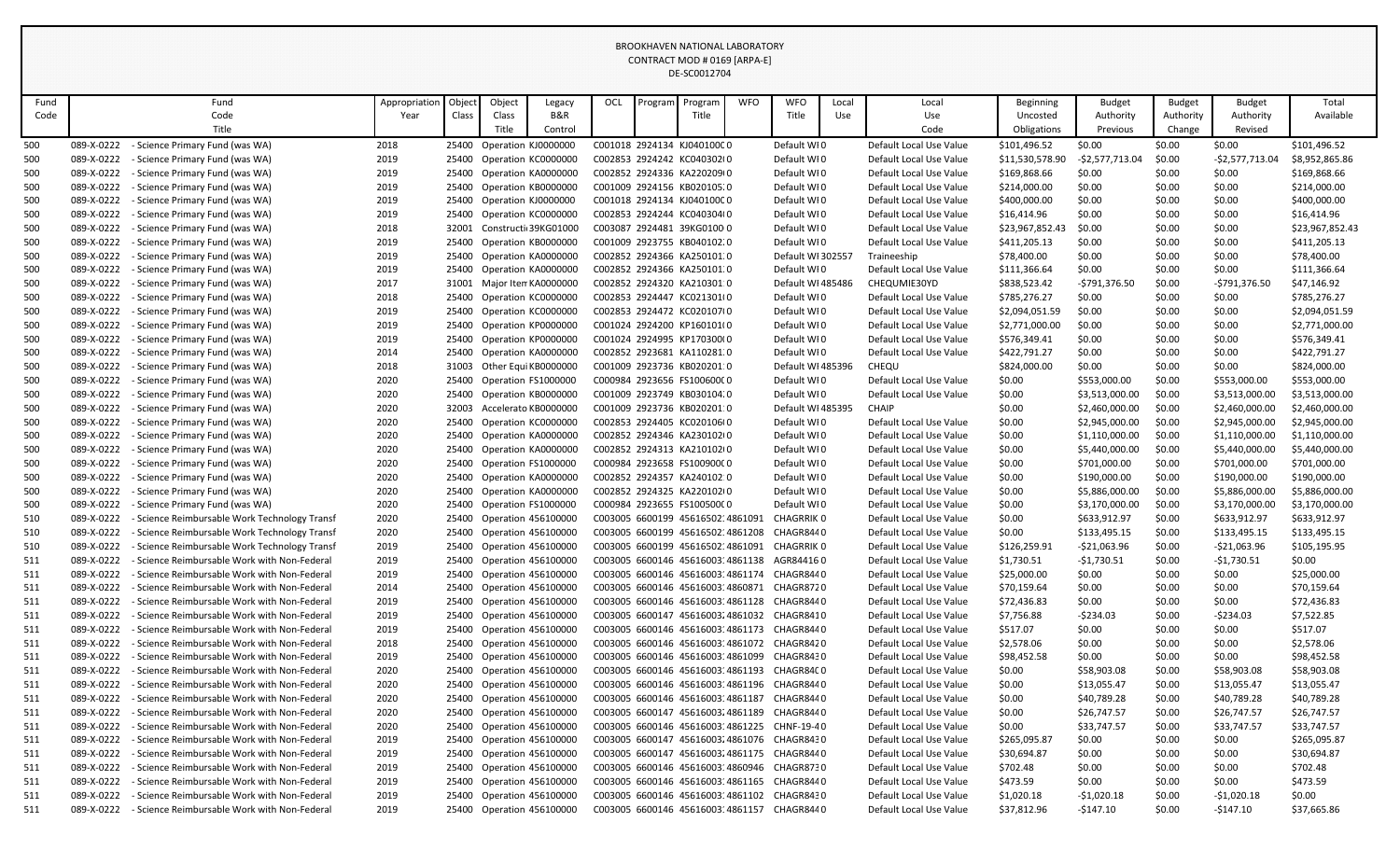|      |                                                                                                                                                                                                                          |                                                                                                                                                                                                                                                                                                                                                                |               |       |        |                            |     |         | BROOKHAVEN NATIONAL LABORATORY              |            |                   |       |                         |                 |                 |               |                 |                 |
|------|--------------------------------------------------------------------------------------------------------------------------------------------------------------------------------------------------------------------------|----------------------------------------------------------------------------------------------------------------------------------------------------------------------------------------------------------------------------------------------------------------------------------------------------------------------------------------------------------------|---------------|-------|--------|----------------------------|-----|---------|---------------------------------------------|------------|-------------------|-------|-------------------------|-----------------|-----------------|---------------|-----------------|-----------------|
|      |                                                                                                                                                                                                                          |                                                                                                                                                                                                                                                                                                                                                                |               |       |        |                            |     |         | CONTRACT MOD # 0169 [ARPA-E]                |            |                   |       |                         |                 |                 |               |                 |                 |
|      |                                                                                                                                                                                                                          |                                                                                                                                                                                                                                                                                                                                                                |               |       |        |                            |     |         | DE-SC0012704                                |            |                   |       |                         |                 |                 |               |                 |                 |
| Fund |                                                                                                                                                                                                                          | Fund                                                                                                                                                                                                                                                                                                                                                           | Appropriation | Objec | Object | Legacy                     | OCL | Program | Program                                     | <b>WFO</b> | WFO               | Local | Local                   | Beginning       | <b>Budget</b>   | <b>Budget</b> | <b>Budget</b>   | Total           |
| Code |                                                                                                                                                                                                                          | Code                                                                                                                                                                                                                                                                                                                                                           | Year          | Class | Class  | B&R                        |     |         | Title                                       |            | Title             | Use   | Use                     | Uncosted        | Authority       | Authority     | Authority       | Available       |
|      |                                                                                                                                                                                                                          | Title                                                                                                                                                                                                                                                                                                                                                          |               |       | Title  | Control                    |     |         |                                             |            |                   |       | Code                    | Obligations     | Previous        | Change        | Revised         |                 |
| 500  | 089-X-0222                                                                                                                                                                                                               | - Science Primary Fund (was WA)                                                                                                                                                                                                                                                                                                                                | 2018          |       |        | 25400 Operation KJ0000000  |     |         | C001018 2924134 KJ04010000                  |            | Default WI0       |       | Default Local Use Value | \$101,496.52    | \$0.00          | \$0.00        | \$0.00          | \$101,496.52    |
| 500  | 089-X-0222                                                                                                                                                                                                               | - Science Primary Fund (was WA)                                                                                                                                                                                                                                                                                                                                | 2019          |       |        | 25400 Operation KC0000000  |     |         | C002853 2924242 KC040302(0                  |            | Default WI0       |       | Default Local Use Value | \$11,530,578.90 | -\$2,577,713.04 | \$0.00        | -\$2,577,713.04 | \$8,952,865.86  |
| 500  | 089-X-0222                                                                                                                                                                                                               | - Science Primary Fund (was WA)                                                                                                                                                                                                                                                                                                                                | 2019          |       |        | 25400 Operation KA0000000  |     |         | C002852 2924336 KA220209(0                  |            | Default WI0       |       | Default Local Use Value | \$169,868.66    | \$0.00          | \$0.00        | \$0.00          | \$169,868.66    |
| 500  | 089-X-0222                                                                                                                                                                                                               | - Science Primary Fund (was WA)                                                                                                                                                                                                                                                                                                                                | 2019          |       |        | 25400 Operation KB0000000  |     |         | C001009 2924156 KB020105.0                  |            | Default WI0       |       | Default Local Use Value | \$214,000.00    | \$0.00          | \$0.00        | \$0.00          | \$214,000.00    |
| 500  | 089-X-0222                                                                                                                                                                                                               | - Science Primary Fund (was WA)                                                                                                                                                                                                                                                                                                                                | 2019          |       |        | 25400 Operation KJ0000000  |     |         | C001018 2924134 KJ04010000                  |            | Default WI0       |       | Default Local Use Value | \$400,000.00    | \$0.00          | \$0.00        | \$0.00          | \$400,000.00    |
| 500  | 089-X-0222                                                                                                                                                                                                               | - Science Primary Fund (was WA)                                                                                                                                                                                                                                                                                                                                | 2019          |       |        | 25400 Operation KC0000000  |     |         | C002853 2924244 KC040304(0                  |            | Default WI0       |       | Default Local Use Value | \$16,414.96     | \$0.00          | \$0.00        | \$0.00          | \$16,414.96     |
| 500  | 089-X-0222                                                                                                                                                                                                               | - Science Primary Fund (was WA)                                                                                                                                                                                                                                                                                                                                | 2018          | 32001 |        | Constructi 39KG01000       |     |         | C003087 2924481 39KG0100 0                  |            | Default WI0       |       | Default Local Use Value | \$23,967,852.43 | \$0.00          | \$0.00        | \$0.00          | \$23,967,852.43 |
| 500  | 089-X-0222                                                                                                                                                                                                               | - Science Primary Fund (was WA)                                                                                                                                                                                                                                                                                                                                | 2019          |       |        | 25400 Operation KB0000000  |     |         | C001009 2923755 KB040102.0                  |            | Default WI0       |       | Default Local Use Value | \$411,205.13    | \$0.00          | \$0.00        | \$0.00          | \$411,205.13    |
| 500  | 089-X-0222                                                                                                                                                                                                               | - Science Primary Fund (was WA)                                                                                                                                                                                                                                                                                                                                | 2019          |       |        | 25400 Operation KA0000000  |     |         | C002852 2924366 KA250101.0                  |            | Default WI 302557 |       | Traineeship             | \$78,400.00     | \$0.00          | \$0.00        | \$0.00          | \$78,400.00     |
| 500  | 089-X-0222                                                                                                                                                                                                               | - Science Primary Fund (was WA)                                                                                                                                                                                                                                                                                                                                | 2019          |       |        | 25400 Operation KA0000000  |     |         | C002852 2924366 KA250101.0                  |            | Default WI0       |       | Default Local Use Value | \$111,366.64    | \$0.00          | \$0.00        | \$0.00          | \$111,366.64    |
| 500  | 089-X-0222                                                                                                                                                                                                               | - Science Primary Fund (was WA)                                                                                                                                                                                                                                                                                                                                | 2017          |       |        | 31001 Major Iten KA0000000 |     |         | C002852 2924320 KA210301:0                  |            | Default WI 485486 |       | CHEQUMIE30YD            | \$838,523.42    | -\$791,376.50   | \$0.00        | -\$791,376.50   | \$47,146.92     |
| 500  | 089-X-0222                                                                                                                                                                                                               | - Science Primary Fund (was WA)                                                                                                                                                                                                                                                                                                                                | 2018          |       |        |                            |     |         | C002853 2924447 KC021301(0                  |            | Default WI0       |       | Default Local Use Value | \$785,276.27    | \$0.00          | \$0.00        | \$0.00          | \$785,276.27    |
| 500  | 089-X-0222                                                                                                                                                                                                               | 25400 Operation KC0000000<br>2019<br>25400 Operation KC0000000<br>C002853 2924472 KC020107(0<br>Default WI0<br>\$2,094,051.59<br>\$0.00<br>\$0.00<br>- Science Primary Fund (was WA)<br>Default Local Use Value<br>\$0.00<br>\$2,771,000.00<br>\$0.00<br>- Science Primary Fund (was WA)<br>2019<br>Default WI0<br>Default Local Use Value<br>\$0.00<br>\$0.00 |               |       |        |                            |     |         |                                             |            |                   |       |                         |                 |                 |               | \$2,094,051.59  |                 |
| 500  | 089-X-0222                                                                                                                                                                                                               | 25400 Operation KP0000000<br>C001024 2924200 KP160101(0                                                                                                                                                                                                                                                                                                        |               |       |        |                            |     |         |                                             |            |                   |       |                         |                 |                 |               | \$2,771,000.00  |                 |
| 500  | \$576,349.41<br>089-X-0222<br>- Science Primary Fund (was WA)<br>2019<br>25400 Operation KP0000000<br>C001024 2924995 KP170300(0<br>Default WI0<br>Default Local Use Value<br>\$576,349.41<br>\$0.00<br>\$0.00<br>\$0.00 |                                                                                                                                                                                                                                                                                                                                                                |               |       |        |                            |     |         |                                             |            |                   |       |                         |                 |                 |               |                 |                 |
| 500  | 089-X-0222<br>- Science Primary Fund (was WA)<br>2014<br>25400 Operation KA0000000<br>C002852 2923681 KA110281.0<br>Default WI0<br>Default Local Use Value<br>\$422,791.27<br>\$0.00<br>\$0.00<br>\$422,791.27<br>\$0.00 |                                                                                                                                                                                                                                                                                                                                                                |               |       |        |                            |     |         |                                             |            |                   |       |                         |                 |                 |               |                 |                 |
| 500  | 089-X-0222                                                                                                                                                                                                               | - Science Primary Fund (was WA)                                                                                                                                                                                                                                                                                                                                | 2018          |       |        | 31003 Other Equi KB0000000 |     |         | C001009 2923736 KB020201:0                  |            | Default WI 485396 |       | CHEQU                   | \$824,000.00    | \$0.00          | \$0.00        | \$0.00          | \$824,000.00    |
| 500  | 089-X-0222                                                                                                                                                                                                               | - Science Primary Fund (was WA)                                                                                                                                                                                                                                                                                                                                | 2020          |       |        | 25400 Operation FS1000000  |     |         | C000984 2923656 FS100600C0                  |            | Default WI0       |       | Default Local Use Value | \$0.00          | \$553,000.00    | \$0.00        | \$553,000.00    | \$553,000.00    |
| 500  | 089-X-0222                                                                                                                                                                                                               | - Science Primary Fund (was WA)                                                                                                                                                                                                                                                                                                                                | 2020          |       |        | 25400 Operation KB0000000  |     |         | C001009 2923749 KB030104.0                  |            | Default WI0       |       | Default Local Use Value | \$0.00          | \$3,513,000.00  | \$0.00        | \$3,513,000.00  | \$3,513,000.00  |
| 500  | 089-X-0222                                                                                                                                                                                                               | - Science Primary Fund (was WA)                                                                                                                                                                                                                                                                                                                                | 2020          | 32003 |        | Accelerato KB0000000       |     |         | C001009 2923736 KB020201:0                  |            | Default WI 485395 |       | <b>CHAIP</b>            | \$0.00          | \$2,460,000.00  | \$0.00        | \$2,460,000.00  | \$2,460,000.00  |
| 500  | 089-X-0222                                                                                                                                                                                                               | - Science Primary Fund (was WA)                                                                                                                                                                                                                                                                                                                                | 2020          |       |        | 25400 Operation KC0000000  |     |         | C002853 2924405 KC020106(0                  |            | Default WI0       |       | Default Local Use Value | \$0.00          | \$2,945,000.00  | \$0.00        | \$2,945,000.00  | \$2,945,000.00  |
| 500  | 089-X-0222                                                                                                                                                                                                               | - Science Primary Fund (was WA)                                                                                                                                                                                                                                                                                                                                | 2020          |       |        | 25400 Operation KA0000000  |     |         | C002852 2924346 KA230102(0                  |            | Default WI0       |       | Default Local Use Value | \$0.00          | \$1,110,000.00  | \$0.00        | \$1,110,000.00  | \$1,110,000.00  |
| 500  | 089-X-0222                                                                                                                                                                                                               | - Science Primary Fund (was WA)                                                                                                                                                                                                                                                                                                                                | 2020          |       |        | 25400 Operation KA0000000  |     |         | C002852 2924313 KA210102(0                  |            | Default WI0       |       | Default Local Use Value | \$0.00          | \$5,440,000.00  | \$0.00        | \$5,440,000.00  | \$5,440,000.00  |
| 500  | 089-X-0222                                                                                                                                                                                                               | - Science Primary Fund (was WA)                                                                                                                                                                                                                                                                                                                                | 2020          |       |        | 25400 Operation FS1000000  |     |         | C000984 2923658 FS100900C0                  |            | Default WI0       |       | Default Local Use Value | \$0.00          | \$701,000.00    | \$0.00        | \$701,000.00    | \$701,000.00    |
| 500  | 089-X-0222                                                                                                                                                                                                               | - Science Primary Fund (was WA)                                                                                                                                                                                                                                                                                                                                | 2020          |       |        | 25400 Operation KA0000000  |     |         | C002852 2924357 KA240102:0                  |            | Default WI0       |       | Default Local Use Value | \$0.00          | \$190,000.00    | \$0.00        | \$190,000.00    | \$190,000.00    |
| 500  | 089-X-0222                                                                                                                                                                                                               | - Science Primary Fund (was WA)                                                                                                                                                                                                                                                                                                                                | 2020          |       |        | 25400 Operation KA0000000  |     |         | C002852 2924325 KA220102(0                  |            | Default WI0       |       | Default Local Use Value | \$0.00          | \$5,886,000.00  | \$0.00        | \$5,886,000.00  | \$5,886,000.00  |
| 500  | 089-X-0222                                                                                                                                                                                                               | Science Primary Fund (was WA)                                                                                                                                                                                                                                                                                                                                  | 2020          |       |        | 25400 Operation FS1000000  |     |         | C000984 2923655 FS100500C0                  |            | Default WI0       |       | Default Local Use Value | \$0.00          | \$3,170,000.00  | \$0.00        | \$3,170,000.00  | \$3,170,000.00  |
| 510  | 089-X-0222                                                                                                                                                                                                               | - Science Reimbursable Work Technology Transf                                                                                                                                                                                                                                                                                                                  | 2020          |       |        | 25400 Operation 456100000  |     |         | C003005 6600199 4561650214861091            |            | CHAGRRIK 0        |       | Default Local Use Value | \$0.00          | \$633,912.97    | \$0.00        | \$633,912.97    | \$633,912.97    |
| 510  | 089-X-0222                                                                                                                                                                                                               | - Science Reimbursable Work Technology Transf                                                                                                                                                                                                                                                                                                                  | 2020          |       |        | 25400 Operation 456100000  |     |         | C003005 6600199 4561650214861208            |            | CHAGR8440         |       | Default Local Use Value | \$0.00          | \$133,495.15    | \$0.00        | \$133,495.15    | \$133,495.15    |
| 510  | 089-X-0222                                                                                                                                                                                                               | - Science Reimbursable Work Technology Transf                                                                                                                                                                                                                                                                                                                  | 2019          |       |        | 25400 Operation 456100000  |     |         | C003005 6600199 4561650214861091            |            | CHAGRRIK 0        |       | Default Local Use Value | \$126,259.91    | -\$21,063.96    | \$0.00        | -\$21,063.96    | \$105,195.95    |
| 511  | 089-X-0222                                                                                                                                                                                                               | - Science Reimbursable Work with Non-Federal                                                                                                                                                                                                                                                                                                                   | 2019          |       |        | 25400 Operation 456100000  |     |         | C003005 6600146 4561600314861138            |            | AGR844160         |       | Default Local Use Value | \$1,730.51      | -\$1,730.51     | \$0.00        | $-$1,730.51$    | \$0.00          |
| 511  | 089-X-0222                                                                                                                                                                                                               | - Science Reimbursable Work with Non-Federal                                                                                                                                                                                                                                                                                                                   | 2019          |       |        | 25400 Operation 456100000  |     |         | C003005 6600146 4561600314861174 CHAGR8440  |            |                   |       | Default Local Use Value | \$25,000.00     | \$0.00          | \$0.00        | \$0.00          | \$25,000.00     |
| 511  | 089-X-0222                                                                                                                                                                                                               | - Science Reimbursable Work with Non-Federal                                                                                                                                                                                                                                                                                                                   | 2014          |       |        | 25400 Operation 456100000  |     |         | C003005 6600146 4561600314860871            |            | CHAGR8720         |       | Default Local Use Value | \$70,159.64     | \$0.00          | \$0.00        | \$0.00          | \$70,159.64     |
| 511  | 089-X-0222                                                                                                                                                                                                               | - Science Reimbursable Work with Non-Federal                                                                                                                                                                                                                                                                                                                   | 2019          |       |        | 25400 Operation 456100000  |     |         | C003005 6600146 4561600314861128            |            | CHAGR8440         |       | Default Local Use Value | \$72,436.83     | \$0.00          | \$0.00        | \$0.00          | \$72,436.83     |
| 511  | 089-X-0222                                                                                                                                                                                                               | - Science Reimbursable Work with Non-Federal                                                                                                                                                                                                                                                                                                                   | 2019          |       |        | 25400 Operation 456100000  |     |         | C003005 6600147 4561600324861032 CHAGR8410  |            |                   |       | Default Local Use Value | \$7,756.88      | -\$234.03       | \$0.00        | $-$ \$234.03    | \$7,522.85      |
| 511  | 089-X-0222                                                                                                                                                                                                               | - Science Reimbursable Work with Non-Federal                                                                                                                                                                                                                                                                                                                   | 2019          |       |        | 25400 Operation 456100000  |     |         | C003005 6600146 4561600314861173            |            | CHAGR8440         |       | Default Local Use Value | \$517.07        | \$0.00          | \$0.00        | \$0.00          | \$517.07        |
| 511  | 089-X-0222                                                                                                                                                                                                               | - Science Reimbursable Work with Non-Federal                                                                                                                                                                                                                                                                                                                   | 2018          |       |        | 25400 Operation 456100000  |     |         | C003005 6600146 4561600314861072 CHAGR8420  |            |                   |       | Default Local Use Value | \$2,578.06      | \$0.00          | \$0.00        | \$0.00          | \$2,578.06      |
| 511  | 089-X-0222                                                                                                                                                                                                               | - Science Reimbursable Work with Non-Federal                                                                                                                                                                                                                                                                                                                   | 2019          |       |        | 25400 Operation 456100000  |     |         | C003005 6600146 4561600314861099 CHAGR8430  |            |                   |       | Default Local Use Value | \$98,452.58     | \$0.00          | \$0.00        | \$0.00          | \$98,452.58     |
| 511  | 089-X-0222                                                                                                                                                                                                               | - Science Reimbursable Work with Non-Federal                                                                                                                                                                                                                                                                                                                   | 2020          |       |        | 25400 Operation 456100000  |     |         | C003005 6600146 4561600314861193 CHAGR84C0  |            |                   |       | Default Local Use Value | \$0.00          | \$58,903.08     | \$0.00        | \$58,903.08     | \$58,903.08     |
| 511  | 089-X-0222                                                                                                                                                                                                               | - Science Reimbursable Work with Non-Federal                                                                                                                                                                                                                                                                                                                   | 2020          |       |        | 25400 Operation 456100000  |     |         | C003005 6600146 4561600314861196 CHAGR8440  |            |                   |       | Default Local Use Value | \$0.00          | \$13,055.47     | \$0.00        | \$13,055.47     | \$13,055.47     |
| 511  | 089-X-0222                                                                                                                                                                                                               | - Science Reimbursable Work with Non-Federal                                                                                                                                                                                                                                                                                                                   | 2020          |       |        | 25400 Operation 456100000  |     |         | C003005 6600146 4561600314861187 CHAGR8440  |            |                   |       | Default Local Use Value | \$0.00          | \$40,789.28     | \$0.00        | \$40,789.28     | \$40,789.28     |
| 511  | 089-X-0222                                                                                                                                                                                                               | - Science Reimbursable Work with Non-Federal                                                                                                                                                                                                                                                                                                                   | 2020          |       |        | 25400 Operation 456100000  |     |         | C003005 6600147 4561600324861189 CHAGR8440  |            |                   |       | Default Local Use Value | \$0.00          | \$26,747.57     | \$0.00        | \$26,747.57     | \$26,747.57     |
| 511  | 089-X-0222                                                                                                                                                                                                               | - Science Reimbursable Work with Non-Federal                                                                                                                                                                                                                                                                                                                   | 2020          |       |        | 25400 Operation 456100000  |     |         | C003005 6600146 4561600314861225 CHNF-19-40 |            |                   |       | Default Local Use Value | \$0.00          | \$33,747.57     | \$0.00        | \$33,747.57     | \$33,747.57     |
| 511  | 089-X-0222                                                                                                                                                                                                               | - Science Reimbursable Work with Non-Federal                                                                                                                                                                                                                                                                                                                   | 2019          |       |        | 25400 Operation 456100000  |     |         | C003005 6600147 4561600324861076 CHAGR8430  |            |                   |       | Default Local Use Value | \$265,095.87    | \$0.00          | \$0.00        | \$0.00          | \$265,095.87    |
| 511  | 089-X-0222                                                                                                                                                                                                               | - Science Reimbursable Work with Non-Federal                                                                                                                                                                                                                                                                                                                   | 2019          |       |        | 25400 Operation 456100000  |     |         | C003005 6600147 4561600324861175 CHAGR8440  |            |                   |       | Default Local Use Value | \$30,694.87     | \$0.00          | \$0.00        | \$0.00          | \$30,694.87     |
| 511  | 089-X-0222                                                                                                                                                                                                               | - Science Reimbursable Work with Non-Federal                                                                                                                                                                                                                                                                                                                   | 2019          |       |        | 25400 Operation 456100000  |     |         | C003005 6600146 4561600314860946 CHAGR8730  |            |                   |       | Default Local Use Value | \$702.48        | \$0.00          | \$0.00        | \$0.00          | \$702.48        |
| 511  | 089-X-0222                                                                                                                                                                                                               | - Science Reimbursable Work with Non-Federal                                                                                                                                                                                                                                                                                                                   | 2019          |       |        | 25400 Operation 456100000  |     |         | C003005 6600146 4561600314861165 CHAGR8440  |            |                   |       | Default Local Use Value | \$473.59        | \$0.00          | \$0.00        | \$0.00          | \$473.59        |
| 511  | 089-X-0222                                                                                                                                                                                                               | - Science Reimbursable Work with Non-Federal                                                                                                                                                                                                                                                                                                                   | 2019          |       |        | 25400 Operation 456100000  |     |         | C003005 6600146 4561600314861102 CHAGR8430  |            |                   |       | Default Local Use Value | \$1,020.18      | -\$1,020.18     | \$0.00        | -\$1,020.18     | \$0.00          |
| 511  | 089-X-0222                                                                                                                                                                                                               | - Science Reimbursable Work with Non-Federal                                                                                                                                                                                                                                                                                                                   | 2019          |       |        | 25400 Operation 456100000  |     |         | C003005 6600146 4561600314861157 CHAGR8440  |            |                   |       | Default Local Use Value | \$37,812.96     | -\$147.10       | \$0.00        | $-$147.10$      | \$37,665.86     |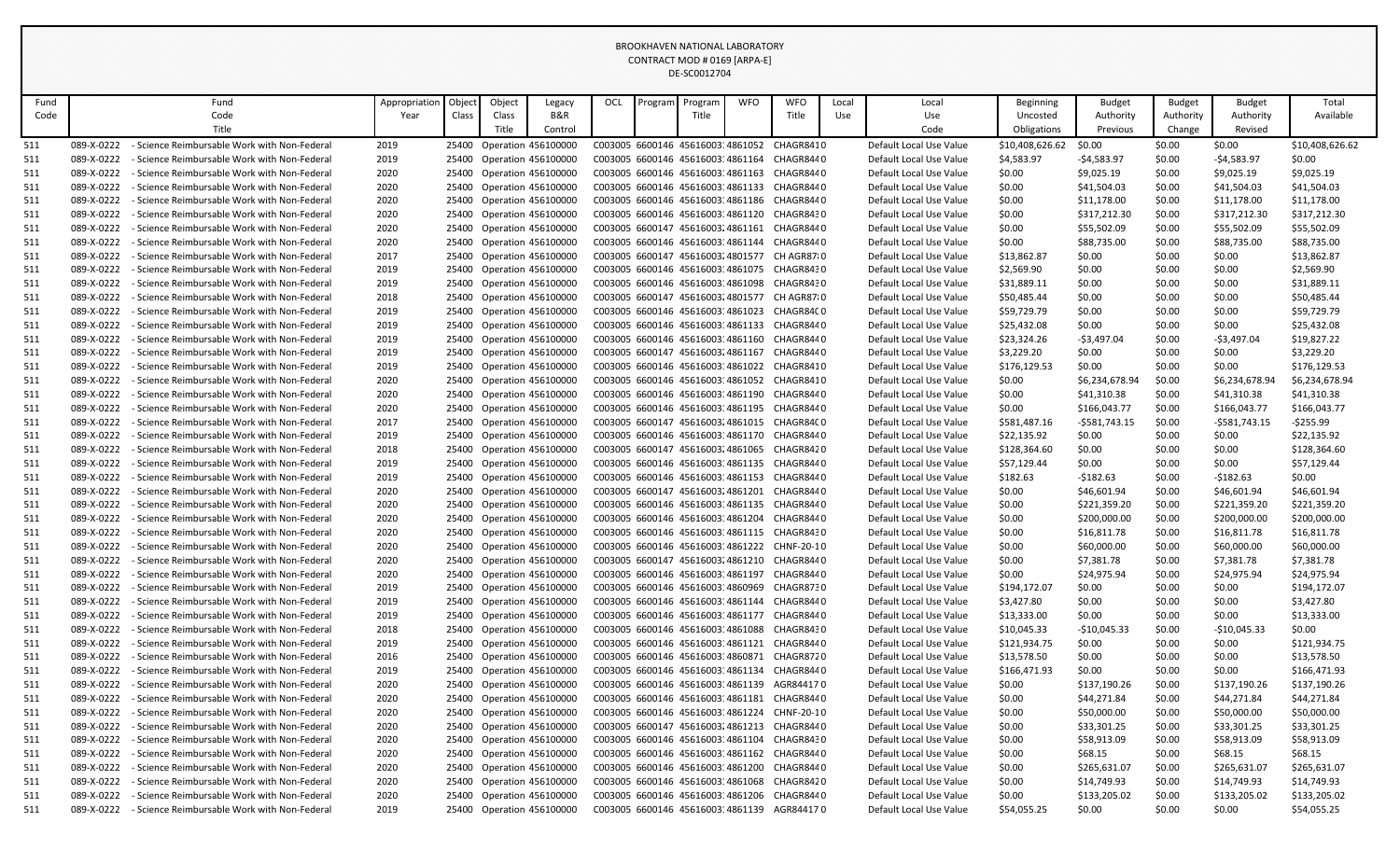|            |                                                                                                                                                                                                                                                                                                                                                                                                                                                                                                                                                               |                                                                                              |               |       |                |                                                        |            |         | BROOKHAVEN NATIONAL LABORATORY   |            |                                                                                          |       |                                                    |                         |                             |                     |                             |                         |
|------------|---------------------------------------------------------------------------------------------------------------------------------------------------------------------------------------------------------------------------------------------------------------------------------------------------------------------------------------------------------------------------------------------------------------------------------------------------------------------------------------------------------------------------------------------------------------|----------------------------------------------------------------------------------------------|---------------|-------|----------------|--------------------------------------------------------|------------|---------|----------------------------------|------------|------------------------------------------------------------------------------------------|-------|----------------------------------------------------|-------------------------|-----------------------------|---------------------|-----------------------------|-------------------------|
|            |                                                                                                                                                                                                                                                                                                                                                                                                                                                                                                                                                               |                                                                                              |               |       |                |                                                        |            |         | CONTRACT MOD # 0169 [ARPA-E]     |            |                                                                                          |       |                                                    |                         |                             |                     |                             |                         |
|            |                                                                                                                                                                                                                                                                                                                                                                                                                                                                                                                                                               |                                                                                              |               |       |                |                                                        |            |         | DE-SC0012704                     |            |                                                                                          |       |                                                    |                         |                             |                     |                             |                         |
|            |                                                                                                                                                                                                                                                                                                                                                                                                                                                                                                                                                               |                                                                                              |               |       |                |                                                        |            |         |                                  |            |                                                                                          |       |                                                    |                         |                             |                     |                             |                         |
| Fund       |                                                                                                                                                                                                                                                                                                                                                                                                                                                                                                                                                               | Fund                                                                                         | Appropriation | Objec | Object         | Legacy                                                 | <b>OCL</b> | Program | Program                          | <b>WFO</b> | <b>WFO</b>                                                                               | Local | Local                                              | Beginning               | Budget                      | Budget              | Budget                      | Total                   |
| Code       |                                                                                                                                                                                                                                                                                                                                                                                                                                                                                                                                                               | Code<br>Title                                                                                | Year          | Class | Class<br>Title | <b>B&amp;R</b><br>Control                              |            |         | Title                            |            | Title                                                                                    | Use   | Use<br>Code                                        | Uncosted<br>Obligations | Authority<br>Previous       | Authority<br>Change | Authority<br>Revised        | Available               |
|            |                                                                                                                                                                                                                                                                                                                                                                                                                                                                                                                                                               |                                                                                              |               |       |                |                                                        |            |         |                                  |            |                                                                                          |       |                                                    |                         |                             |                     |                             |                         |
| 511        | 089-X-0222                                                                                                                                                                                                                                                                                                                                                                                                                                                                                                                                                    | - Science Reimbursable Work with Non-Federal                                                 | 2019          |       |                | 25400 Operation 456100000                              |            |         | C003005 6600146 4561600314861052 |            | CHAGR8410                                                                                |       | Default Local Use Value                            | \$10,408,626.62         | \$0.00                      | \$0.00              | \$0.00                      | \$10,408,626.62         |
| 511<br>511 | 089-X-0222<br>089-X-0222                                                                                                                                                                                                                                                                                                                                                                                                                                                                                                                                      | - Science Reimbursable Work with Non-Federal<br>- Science Reimbursable Work with Non-Federal | 2019<br>2020  |       |                | 25400 Operation 456100000<br>25400 Operation 456100000 |            |         | C003005 6600146 4561600314861164 |            | CHAGR8440<br>C003005 6600146 4561600314861163 CHAGR8440                                  |       | Default Local Use Value<br>Default Local Use Value | \$4,583.97<br>\$0.00    | $-$4,583.97$<br>\$9,025.19  | \$0.00<br>\$0.00    | $-$4,583.97$                | \$0.00<br>\$9,025.19    |
|            | 089-X-0222                                                                                                                                                                                                                                                                                                                                                                                                                                                                                                                                                    | - Science Reimbursable Work with Non-Federal                                                 | 2020          | 25400 |                | Operation 456100000                                    |            |         | C003005 6600146 4561600314861133 |            | CHAGR8440                                                                                |       | Default Local Use Value                            | \$0.00                  | \$41,504.03                 | \$0.00              | \$9,025.19<br>\$41,504.03   | \$41,504.03             |
| 511<br>511 | 089-X-0222                                                                                                                                                                                                                                                                                                                                                                                                                                                                                                                                                    | - Science Reimbursable Work with Non-Federal                                                 | 2020          |       |                | 25400 Operation 456100000                              |            |         | C003005 6600146 4561600314861186 |            | CHAGR8440                                                                                |       | Default Local Use Value                            | \$0.00                  | \$11,178.00                 | \$0.00              | \$11,178.00                 | \$11,178.00             |
| 511        | 089-X-0222                                                                                                                                                                                                                                                                                                                                                                                                                                                                                                                                                    | - Science Reimbursable Work with Non-Federal                                                 | 2020          |       |                |                                                        |            |         |                                  |            | CHAGR8430                                                                                |       | Default Local Use Value                            | \$0.00                  | \$317,212.30                | \$0.00              | \$317,212.30                | \$317,212.30            |
| 511        | 25400 Operation 456100000<br>C003005 6600146 4561600314861120<br>089-X-0222<br>C003005 6600147 45616003 4861161<br>\$55,502.09<br>\$0.00<br>\$55,502.09<br>\$55,502.09<br>- Science Reimbursable Work with Non-Federal<br>2020<br>25400<br>Operation 456100000<br>CHAGR8440<br>Default Local Use Value<br>\$0.00<br>25400 Operation 456100000<br>C003005 6600146 4561600314861144 CHAGR8440<br>089-X-0222<br>- Science Reimbursable Work with Non-Federal<br>2020<br>Default Local Use Value<br>\$88,735.00<br>\$0.00<br>\$88,735.00<br>\$88,735.00<br>\$0.00 |                                                                                              |               |       |                |                                                        |            |         |                                  |            |                                                                                          |       |                                                    |                         |                             |                     |                             |                         |
| 511        |                                                                                                                                                                                                                                                                                                                                                                                                                                                                                                                                                               |                                                                                              |               |       |                |                                                        |            |         |                                  |            |                                                                                          |       |                                                    |                         |                             |                     |                             |                         |
| 511        | 089-X-0222<br>- Science Reimbursable Work with Non-Federal<br>2017<br>25400 Operation 456100000<br>C003005 6600147 4561600324801577 CH AGR8710<br>\$13,862.87<br>\$0.00<br>\$0.00<br>\$0.00<br>\$13,862.87<br>Default Local Use Value<br>089-X-0222<br>25400 Operation 456100000<br>C003005 6600146 4561600314861075<br>CHAGR8430<br>\$0.00<br>\$0.00<br>- Science Reimbursable Work with Non-Federal<br>2019<br>Default Local Use Value<br>\$0.00                                                                                                            |                                                                                              |               |       |                |                                                        |            |         |                                  |            |                                                                                          |       |                                                    |                         |                             |                     |                             |                         |
| 511        | \$2,569.90<br>\$2,569.90<br>25400 Operation 456100000<br>C003005 6600146 4561600314861098 CHAGR8430                                                                                                                                                                                                                                                                                                                                                                                                                                                           |                                                                                              |               |       |                |                                                        |            |         |                                  |            |                                                                                          |       |                                                    |                         |                             |                     |                             |                         |
| 511        | 089-X-0222                                                                                                                                                                                                                                                                                                                                                                                                                                                                                                                                                    | - Science Reimbursable Work with Non-Federal                                                 | 2019          |       |                |                                                        |            |         |                                  |            |                                                                                          |       | Default Local Use Value                            | \$31,889.11             | \$0.00                      | \$0.00              | \$0.00                      | \$31,889.11             |
| 511        |                                                                                                                                                                                                                                                                                                                                                                                                                                                                                                                                                               |                                                                                              |               |       |                |                                                        |            |         |                                  |            |                                                                                          |       |                                                    |                         |                             |                     |                             |                         |
| 511        | 089-X-0222<br>- Science Reimbursable Work with Non-Federal<br>2018<br>25400 Operation 456100000<br>C003005 6600147 4561600324801577 CH AGR8710<br>\$50,485.44<br>\$0.00<br>\$0.00<br>\$0.00<br>\$50,485.44<br>Default Local Use Value<br>089-X-0222<br>C003005 6600146 4561600314861023<br>CHAGR84C0<br>\$59,729.79<br>\$0.00<br>\$0.00<br>\$59,729.79<br>- Science Reimbursable Work with Non-Federal<br>2019<br>25400 Operation 456100000<br>Default Local Use Value<br>\$0.00                                                                              |                                                                                              |               |       |                |                                                        |            |         |                                  |            |                                                                                          |       |                                                    |                         |                             |                     |                             |                         |
| 511        | 089-X-0222<br>- Science Reimbursable Work with Non-Federal<br>2019<br>25400 Operation 456100000<br>C003005 6600146 4561600314861133 CHAGR8440<br>Default Local Use Value<br>\$25,432.08<br>\$0.00<br>\$0.00<br>\$0.00<br>\$25,432.08                                                                                                                                                                                                                                                                                                                          |                                                                                              |               |       |                |                                                        |            |         |                                  |            |                                                                                          |       |                                                    |                         |                             |                     |                             |                         |
| 511        | 089-X-0222<br>- Science Reimbursable Work with Non-Federal<br>2019<br>Operation 456100000<br>C003005 6600146 4561600314861160<br>CHAGR8440<br>\$23,324.26<br>$-$ \$3,497.04<br>\$0.00<br>-\$3,497.04<br>25400<br>Default Local Use Value                                                                                                                                                                                                                                                                                                                      |                                                                                              |               |       |                |                                                        |            |         |                                  |            |                                                                                          |       |                                                    |                         |                             | \$19,827.22         |                             |                         |
| 511        | 089-X-0222                                                                                                                                                                                                                                                                                                                                                                                                                                                                                                                                                    | - Science Reimbursable Work with Non-Federal                                                 | 2019          |       |                | 25400 Operation 456100000                              |            |         | C003005 6600147 45616003 4861167 |            | CHAGR8440                                                                                |       | Default Local Use Value                            | \$3,229.20              | \$0.00                      | \$0.00              | \$0.00                      | \$3,229.20              |
| 511        | 089-X-0222                                                                                                                                                                                                                                                                                                                                                                                                                                                                                                                                                    | - Science Reimbursable Work with Non-Federal                                                 | 2019          |       |                | 25400 Operation 456100000                              |            |         |                                  |            | C003005 6600146 4561600314861022 CHAGR8410                                               |       | Default Local Use Value                            | \$176,129.53            | \$0.00                      | \$0.00              | \$0.00                      | \$176,129.53            |
| 511        | 089-X-0222                                                                                                                                                                                                                                                                                                                                                                                                                                                                                                                                                    | - Science Reimbursable Work with Non-Federal                                                 | 2020          |       |                | 25400 Operation 456100000                              |            |         |                                  |            | C003005 6600146 4561600314861052 CHAGR8410                                               |       | Default Local Use Value                            | \$0.00                  | \$6,234,678.94              | \$0.00              | \$6,234,678.94              | \$6,234,678.94          |
| 511        | 089-X-0222                                                                                                                                                                                                                                                                                                                                                                                                                                                                                                                                                    | - Science Reimbursable Work with Non-Federal                                                 | 2020          |       |                | 25400 Operation 456100000                              |            |         | C003005 6600146 4561600314861190 |            | CHAGR8440                                                                                |       | Default Local Use Value                            | \$0.00                  | \$41,310.38                 | \$0.00              | \$41,310.38                 | \$41,310.38             |
| 511        | 089-X-0222                                                                                                                                                                                                                                                                                                                                                                                                                                                                                                                                                    | - Science Reimbursable Work with Non-Federal                                                 | 2020          |       |                | 25400 Operation 456100000                              |            |         |                                  |            | C003005 6600146 4561600314861195 CHAGR8440                                               |       | Default Local Use Value                            | \$0.00                  | \$166,043.77                | \$0.00              | \$166,043.77                | \$166,043.77            |
| 511        | 089-X-0222                                                                                                                                                                                                                                                                                                                                                                                                                                                                                                                                                    | - Science Reimbursable Work with Non-Federal                                                 | 2017          |       |                | 25400 Operation 456100000                              |            |         |                                  |            | C003005 6600147 45616003 4861015 CHAGR84C0                                               |       | Default Local Use Value                            | \$581,487.16            | -\$581,743.15               | \$0.00              | $-$ \$581,743.15            | $-$ \$255.99            |
| 511        | 089-X-0222                                                                                                                                                                                                                                                                                                                                                                                                                                                                                                                                                    | - Science Reimbursable Work with Non-Federal                                                 | 2019          |       |                | 25400 Operation 456100000                              |            |         | C003005 6600146 4561600314861170 |            | CHAGR8440                                                                                |       | Default Local Use Value                            | \$22,135.92             | \$0.00                      | \$0.00              | \$0.00                      | \$22,135.92             |
| 511        | 089-X-0222                                                                                                                                                                                                                                                                                                                                                                                                                                                                                                                                                    | - Science Reimbursable Work with Non-Federal                                                 | 2018          |       |                | 25400 Operation 456100000                              |            |         |                                  |            | C003005 6600147 4561600324861065 CHAGR8420                                               |       | Default Local Use Value                            | \$128,364.60            | \$0.00                      | \$0.00              | \$0.00                      | \$128,364.60            |
| 511        | 089-X-0222                                                                                                                                                                                                                                                                                                                                                                                                                                                                                                                                                    | - Science Reimbursable Work with Non-Federal                                                 | 2019          |       |                | 25400 Operation 456100000                              |            |         | C003005 6600146 4561600314861135 |            | CHAGR8440                                                                                |       | Default Local Use Value                            | \$57,129.44             | \$0.00                      | \$0.00              | \$0.00                      | \$57,129.44             |
| 511        | 089-X-0222                                                                                                                                                                                                                                                                                                                                                                                                                                                                                                                                                    | - Science Reimbursable Work with Non-Federal                                                 | 2019          |       |                | 25400 Operation 456100000                              |            |         |                                  |            | C003005 6600146 4561600314861153 CHAGR8440                                               |       | Default Local Use Value                            | \$182.63                | $-5182.63$                  | \$0.00              | $-$182.63$                  | \$0.00                  |
| 511        | 089-X-0222                                                                                                                                                                                                                                                                                                                                                                                                                                                                                                                                                    | - Science Reimbursable Work with Non-Federal                                                 | 2020          |       |                | 25400 Operation 456100000                              |            |         |                                  |            | C003005 6600147 4561600324861201 CHAGR8440                                               |       | Default Local Use Value                            | \$0.00                  | \$46,601.94                 | \$0.00              | \$46,601.94                 | \$46,601.94             |
| 511        | 089-X-0222                                                                                                                                                                                                                                                                                                                                                                                                                                                                                                                                                    | - Science Reimbursable Work with Non-Federal                                                 | 2020          | 25400 |                | Operation 456100000                                    |            |         | C003005 6600146 4561600314861135 |            | CHAGR8440                                                                                |       | Default Local Use Value                            | \$0.00                  | \$221,359.20                | \$0.00              | \$221,359.20                | \$221,359.20            |
| 511        | 089-X-0222                                                                                                                                                                                                                                                                                                                                                                                                                                                                                                                                                    | - Science Reimbursable Work with Non-Federal                                                 | 2020          |       |                | 25400 Operation 456100000                              |            |         |                                  |            | C003005 6600146 4561600314861204 CHAGR8440                                               |       | Default Local Use Value                            | \$0.00                  | \$200,000.00                | \$0.00              | \$200,000.00                | \$200,000.00            |
| 511        | 089-X-0222                                                                                                                                                                                                                                                                                                                                                                                                                                                                                                                                                    | - Science Reimbursable Work with Non-Federal                                                 | 2020          |       |                | 25400 Operation 456100000                              |            |         |                                  |            | C003005 6600146 4561600314861115 CHAGR8430                                               |       | Default Local Use Value                            | \$0.00                  | \$16,811.78                 | \$0.00              | \$16,811.78                 | \$16,811.78             |
| 511        | 089-X-0222                                                                                                                                                                                                                                                                                                                                                                                                                                                                                                                                                    | - Science Reimbursable Work with Non-Federal                                                 | 2020          | 25400 |                | Operation 456100000                                    |            |         |                                  |            | C003005 6600146 4561600314861222 CHNF-20-10                                              |       | Default Local Use Value                            | \$0.00                  | \$60,000.00                 | \$0.00              | \$60,000.00                 | \$60,000.00             |
| 511        | 089-X-0222                                                                                                                                                                                                                                                                                                                                                                                                                                                                                                                                                    | - Science Reimbursable Work with Non-Federal                                                 | 2020          |       |                | 25400 Operation 456100000                              |            |         | C003005 6600147 45616003 4861210 |            | CHAGR8440                                                                                |       | Default Local Use Value                            | \$0.00                  | \$7,381.78                  | \$0.00              | \$7,381.78                  | \$7,381.78              |
| 511        | 089-X-0222                                                                                                                                                                                                                                                                                                                                                                                                                                                                                                                                                    | - Science Reimbursable Work with Non-Federal                                                 | 2020          |       |                | 25400 Operation 456100000                              |            |         |                                  |            | C003005 6600146 4561600314861197 CHAGR8440                                               |       | Default Local Use Value                            | \$0.00                  | \$24,975.94                 | \$0.00              | \$24,975.94                 | \$24,975.94             |
| 511        | 089-X-0222                                                                                                                                                                                                                                                                                                                                                                                                                                                                                                                                                    | - Science Reimbursable Work with Non-Federal                                                 | 2019          | 25400 |                | Operation 456100000                                    |            |         | C003005 6600146 4561600314860969 |            | CHAGR8730                                                                                |       | Default Local Use Value                            | \$194,172.07            | \$0.00                      | \$0.00              | \$0.00                      | \$194,172.07            |
| 511        | 089-X-0222                                                                                                                                                                                                                                                                                                                                                                                                                                                                                                                                                    | - Science Reimbursable Work with Non-Federal                                                 | 2019          |       |                | 25400 Operation 456100000                              |            |         | C003005 6600146 4561600314861144 |            | CHAGR8440                                                                                |       | Default Local Use Value                            | \$3,427.80              | \$0.00                      | \$0.00              | \$0.00                      | \$3,427.80              |
| 511        | 089-X-0222                                                                                                                                                                                                                                                                                                                                                                                                                                                                                                                                                    | - Science Reimbursable Work with Non-Federal                                                 | 2019          |       |                | 25400 Operation 456100000                              |            |         |                                  |            | C003005 6600146 4561600314861177 CHAGR8440                                               |       | Default Local Use Value                            | \$13,333.00             | \$0.00                      | \$0.00              | \$0.00                      | \$13,333.00             |
| 511        | 089-X-0222                                                                                                                                                                                                                                                                                                                                                                                                                                                                                                                                                    | - Science Reimbursable Work with Non-Federal                                                 | 2018          |       |                | 25400 Operation 456100000                              |            |         | C003005 6600146 4561600314861088 |            | CHAGR8430                                                                                |       | Default Local Use Value                            | \$10,045.33             | $-$10,045.33$               | \$0.00              | $-$10,045.33$               | \$0.00                  |
| 511        | 089-X-0222                                                                                                                                                                                                                                                                                                                                                                                                                                                                                                                                                    | - Science Reimbursable Work with Non-Federal                                                 | 2019          |       |                | 25400 Operation 456100000                              |            |         |                                  |            | C003005 6600146 4561600314861121 CHAGR8440                                               |       | Default Local Use Value                            | \$121,934.75            | \$0.00                      | \$0.00              | \$0.00                      | \$121,934.75            |
| 511        | 089-X-0222                                                                                                                                                                                                                                                                                                                                                                                                                                                                                                                                                    | - Science Reimbursable Work with Non-Federal                                                 | 2016          |       |                | 25400 Operation 456100000                              |            |         |                                  |            | C003005 6600146 4561600314860871 CHAGR8720                                               |       | Default Local Use Value                            | \$13,578.50             | \$0.00                      | \$0.00              | \$0.00                      | \$13,578.50             |
| 511        | 089-X-0222                                                                                                                                                                                                                                                                                                                                                                                                                                                                                                                                                    | - Science Reimbursable Work with Non-Federal                                                 | 2019          |       |                | 25400 Operation 456100000                              |            |         |                                  |            | C003005 6600146 4561600314861134 CHAGR8440                                               |       | Default Local Use Value                            | \$166,471.93            | \$0.00                      | \$0.00              | \$0.00                      | \$166,471.93            |
| 511        | 089-X-0222                                                                                                                                                                                                                                                                                                                                                                                                                                                                                                                                                    | - Science Reimbursable Work with Non-Federal                                                 | 2020          |       |                | 25400 Operation 456100000                              |            |         |                                  |            | C003005 6600146 4561600314861139 AGR844170                                               |       | Default Local Use Value                            | \$0.00                  | \$137,190.26                | \$0.00              | \$137,190.26                | \$137,190.26            |
| 511        | 089-X-0222                                                                                                                                                                                                                                                                                                                                                                                                                                                                                                                                                    | - Science Reimbursable Work with Non-Federal                                                 | 2020          |       |                | 25400 Operation 456100000                              |            |         |                                  |            | C003005 6600146 4561600314861181 CHAGR8440                                               |       | Default Local Use Value                            | \$0.00                  | \$44,271.84                 | \$0.00              | \$44,271.84                 | \$44,271.84             |
| 511        | 089-X-0222                                                                                                                                                                                                                                                                                                                                                                                                                                                                                                                                                    | - Science Reimbursable Work with Non-Federal                                                 | 2020          |       |                | 25400 Operation 456100000                              |            |         |                                  |            | C003005 6600146 4561600314861224 CHNF-20-10                                              |       | Default Local Use Value                            | \$0.00                  | \$50,000.00                 | \$0.00              | \$50,000.00                 | \$50,000.00             |
| 511        | 089-X-0222<br>089-X-0222                                                                                                                                                                                                                                                                                                                                                                                                                                                                                                                                      | - Science Reimbursable Work with Non-Federal                                                 | 2020          |       |                | 25400 Operation 456100000                              |            |         |                                  |            | C003005 6600147 4561600324861213 CHAGR8440<br>C003005 6600146 4561600314861104 CHAGR8430 |       | Default Local Use Value                            | \$0.00                  | \$33,301.25                 | \$0.00              | \$33,301.25                 | \$33,301.25             |
| 511        |                                                                                                                                                                                                                                                                                                                                                                                                                                                                                                                                                               | - Science Reimbursable Work with Non-Federal<br>- Science Reimbursable Work with Non-Federal | 2020          |       |                | 25400 Operation 456100000                              |            |         |                                  |            |                                                                                          |       | Default Local Use Value                            | \$0.00                  | \$58,913.09                 | \$0.00              | \$58,913.09                 | \$58,913.09             |
| 511        | 089-X-0222<br>089-X-0222                                                                                                                                                                                                                                                                                                                                                                                                                                                                                                                                      | - Science Reimbursable Work with Non-Federal                                                 | 2020<br>2020  |       |                | 25400 Operation 456100000<br>25400 Operation 456100000 |            |         |                                  |            | C003005 6600146 4561600314861162 CHAGR8440<br>C003005 6600146 4561600314861200 CHAGR8440 |       | Default Local Use Value                            | \$0.00                  | \$68.15                     | \$0.00              | \$68.15                     | \$68.15<br>\$265,631.07 |
| 511        | 089-X-0222                                                                                                                                                                                                                                                                                                                                                                                                                                                                                                                                                    | - Science Reimbursable Work with Non-Federal                                                 | 2020          |       |                | 25400 Operation 456100000                              |            |         |                                  |            | C003005 6600146 4561600314861068 CHAGR8420                                               |       | Default Local Use Value<br>Default Local Use Value | \$0.00<br>\$0.00        | \$265,631.07<br>\$14,749.93 | \$0.00<br>\$0.00    | \$265,631.07<br>\$14,749.93 | \$14,749.93             |
| 511<br>511 | 089-X-0222                                                                                                                                                                                                                                                                                                                                                                                                                                                                                                                                                    | - Science Reimbursable Work with Non-Federal                                                 | 2020          |       |                | 25400 Operation 456100000                              |            |         |                                  |            | C003005 6600146 4561600314861206 CHAGR8440                                               |       | Default Local Use Value                            | \$0.00                  | \$133,205.02                | \$0.00              | \$133,205.02                | \$133,205.02            |
| 511        | 089-X-0222                                                                                                                                                                                                                                                                                                                                                                                                                                                                                                                                                    | - Science Reimbursable Work with Non-Federal                                                 | 2019          |       |                | 25400 Operation 456100000                              |            |         |                                  |            | C003005 6600146 4561600314861139 AGR844170                                               |       | Default Local Use Value                            | \$54,055.25             | \$0.00                      | \$0.00              | \$0.00                      | \$54,055.25             |
|            |                                                                                                                                                                                                                                                                                                                                                                                                                                                                                                                                                               |                                                                                              |               |       |                |                                                        |            |         |                                  |            |                                                                                          |       |                                                    |                         |                             |                     |                             |                         |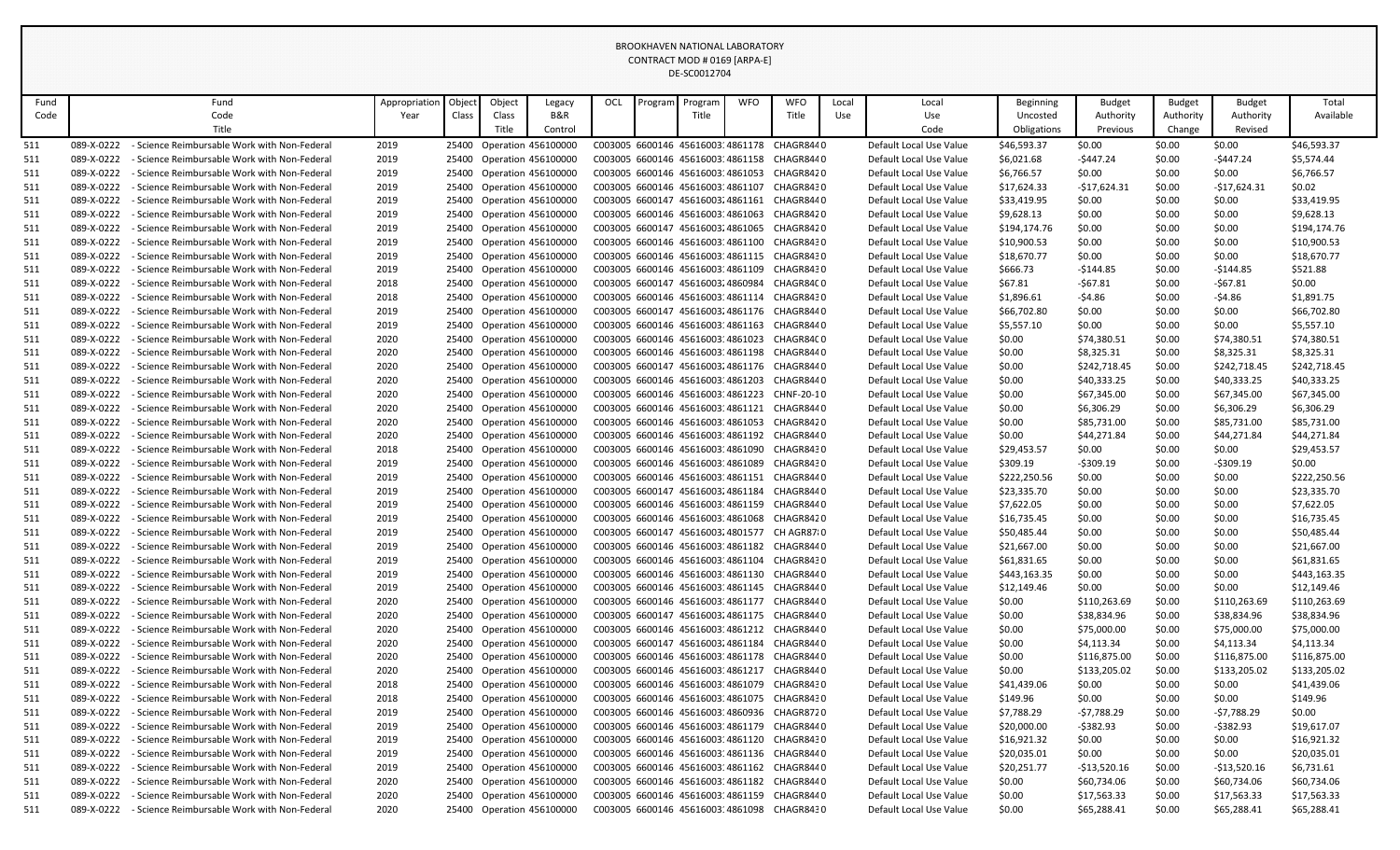|            |                                                                                                                                                                                                                                                                                                                                                                                                                                                                                                                                                    |                                                                                              |               |       |                |                                                        |     |         | <b>BROOKHAVEN NATIONAL LABORATORY</b>                                |            |                                                                                          |       |                                                    |                           |                            |                     |                            |                            |
|------------|----------------------------------------------------------------------------------------------------------------------------------------------------------------------------------------------------------------------------------------------------------------------------------------------------------------------------------------------------------------------------------------------------------------------------------------------------------------------------------------------------------------------------------------------------|----------------------------------------------------------------------------------------------|---------------|-------|----------------|--------------------------------------------------------|-----|---------|----------------------------------------------------------------------|------------|------------------------------------------------------------------------------------------|-------|----------------------------------------------------|---------------------------|----------------------------|---------------------|----------------------------|----------------------------|
|            |                                                                                                                                                                                                                                                                                                                                                                                                                                                                                                                                                    |                                                                                              |               |       |                |                                                        |     |         | CONTRACT MOD # 0169 [ARPA-E]                                         |            |                                                                                          |       |                                                    |                           |                            |                     |                            |                            |
|            |                                                                                                                                                                                                                                                                                                                                                                                                                                                                                                                                                    |                                                                                              |               |       |                |                                                        |     |         | DE-SC0012704                                                         |            |                                                                                          |       |                                                    |                           |                            |                     |                            |                            |
|            |                                                                                                                                                                                                                                                                                                                                                                                                                                                                                                                                                    |                                                                                              |               |       |                |                                                        |     |         |                                                                      |            |                                                                                          |       |                                                    |                           |                            |                     |                            |                            |
| Fund       |                                                                                                                                                                                                                                                                                                                                                                                                                                                                                                                                                    | Fund                                                                                         | Appropriation | Objec | Object         | Legacy                                                 | OCL | Program | Program                                                              | <b>WFO</b> | <b>WFO</b>                                                                               | Local | Local                                              | Beginning                 | Budget                     | <b>Budget</b>       | <b>Budget</b>              | Total                      |
| Code       |                                                                                                                                                                                                                                                                                                                                                                                                                                                                                                                                                    | Code<br>Title                                                                                | Year          | Class | Class<br>Title | B&R<br>Control                                         |     |         | Title                                                                |            | Title                                                                                    | Use   | Use<br>Code                                        | Uncosted<br>Obligations   | Authority<br>Previous      | Authority<br>Change | Authority<br>Revised       | Available                  |
|            |                                                                                                                                                                                                                                                                                                                                                                                                                                                                                                                                                    |                                                                                              |               |       |                |                                                        |     |         |                                                                      |            |                                                                                          |       |                                                    |                           |                            |                     |                            |                            |
| 511        | 089-X-0222                                                                                                                                                                                                                                                                                                                                                                                                                                                                                                                                         | - Science Reimbursable Work with Non-Federal                                                 | 2019          |       |                | 25400 Operation 456100000                              |     |         | C003005 6600146 4561600314861178                                     |            | CHAGR8440                                                                                |       | Default Local Use Value                            | \$46,593.37               | \$0.00                     | \$0.00              | \$0.00                     | \$46,593.37                |
| 511<br>511 | 089-X-0222<br>089-X-0222                                                                                                                                                                                                                                                                                                                                                                                                                                                                                                                           | - Science Reimbursable Work with Non-Federal<br>- Science Reimbursable Work with Non-Federal | 2019<br>2019  |       |                | 25400 Operation 456100000<br>25400 Operation 456100000 |     |         | C003005 6600146 4561600314861158<br>C003005 6600146 4561600314861053 |            | CHAGR8440<br>CHAGR8420                                                                   |       | Default Local Use Value<br>Default Local Use Value | \$6,021.68                | -\$447.24<br>\$0.00        | \$0.00<br>\$0.00    | -\$447.24<br>\$0.00        | \$5,574.44<br>\$6,766.57   |
| 511        | 089-X-0222                                                                                                                                                                                                                                                                                                                                                                                                                                                                                                                                         | - Science Reimbursable Work with Non-Federal                                                 | 2019          |       |                | 25400 Operation 456100000                              |     |         | C003005 6600146 4561600314861107                                     |            | CHAGR8430                                                                                |       | Default Local Use Value                            | \$6,766.57<br>\$17,624.33 | -\$17,624.31               | \$0.00              | -\$17,624.31               | \$0.02\$                   |
| 511        | 089-X-0222                                                                                                                                                                                                                                                                                                                                                                                                                                                                                                                                         | - Science Reimbursable Work with Non-Federal                                                 | 2019          |       |                | 25400 Operation 456100000                              |     |         |                                                                      |            | C003005 6600147 4561600324861161 CHAGR8440                                               |       | Default Local Use Value                            | \$33,419.95               | \$0.00                     | \$0.00              | \$0.00                     | \$33,419.95                |
| 511        | 089-X-0222                                                                                                                                                                                                                                                                                                                                                                                                                                                                                                                                         | - Science Reimbursable Work with Non-Federal                                                 | 2019          |       |                |                                                        |     |         |                                                                      |            | CHAGR8420                                                                                |       | Default Local Use Value                            | \$9,628.13                | \$0.00                     | \$0.00              | \$0.00                     | \$9,628.13                 |
| 511        | 25400 Operation 456100000<br>C003005 6600146 4561600314861063<br>089-X-0222<br>\$194,174.76<br>\$0.00<br>\$194,174.76<br>- Science Reimbursable Work with Non-Federal<br>2019<br>25400 Operation 456100000<br>C003005 6600147 4561600324861065<br>CHAGR8420<br>Default Local Use Value<br>\$0.00<br>\$0.00<br>\$0.00<br>\$10,900.53<br>089-X-0222<br>- Science Reimbursable Work with Non-Federal<br>2019<br>25400 Operation 456100000<br>C003005 6600146 4561600314861100 CHAGR8430<br>Default Local Use Value<br>\$10,900.53<br>\$0.00<br>\$0.00 |                                                                                              |               |       |                |                                                        |     |         |                                                                      |            |                                                                                          |       |                                                    |                           |                            |                     |                            |                            |
| 511        | 089-X-0222<br>\$18,670.77<br>\$18,670.77<br>- Science Reimbursable Work with Non-Federal<br>2019<br>25400 Operation 456100000<br>C003005 6600146 4561600314861115<br>CHAGR8430<br>Default Local Use Value<br>\$0.00<br>\$0.00<br>\$0.00                                                                                                                                                                                                                                                                                                            |                                                                                              |               |       |                |                                                        |     |         |                                                                      |            |                                                                                          |       |                                                    |                           |                            |                     |                            |                            |
| 511        | 089-X-0222<br>- Science Reimbursable Work with Non-Federal<br>C003005 6600146 4561600314861109<br>CHAGR8430                                                                                                                                                                                                                                                                                                                                                                                                                                        |                                                                                              |               |       |                |                                                        |     |         |                                                                      |            |                                                                                          |       |                                                    |                           |                            |                     |                            |                            |
| 511        | \$666.73<br>\$521.88<br>2019<br>25400 Operation 456100000<br>Default Local Use Value<br>$-$144.85$<br>\$0.00<br>-\$144.85                                                                                                                                                                                                                                                                                                                                                                                                                          |                                                                                              |               |       |                |                                                        |     |         |                                                                      |            |                                                                                          |       |                                                    |                           |                            |                     |                            |                            |
| 511        | 25400 Operation 456100000<br>CHAGR84C0<br>$-567.81$<br>\$0.00<br>089-X-0222<br>- Science Reimbursable Work with Non-Federal<br>2018<br>C003005 6600147 4561600324860984<br>Default Local Use Value<br>\$67.81<br>\$0.00<br>-\$67.81                                                                                                                                                                                                                                                                                                                |                                                                                              |               |       |                |                                                        |     |         |                                                                      |            |                                                                                          |       |                                                    |                           |                            |                     |                            |                            |
| 511        | -\$4.86<br>089-X-0222<br>- Science Reimbursable Work with Non-Federal<br>2018<br>25400 Operation 456100000<br>C003005 6600146 4561600314861114<br>CHAGR8430<br>Default Local Use Value<br>\$1,896.61<br>\$0.00<br>-\$4.86<br>\$1,891.75                                                                                                                                                                                                                                                                                                            |                                                                                              |               |       |                |                                                        |     |         |                                                                      |            |                                                                                          |       |                                                    |                           |                            |                     |                            |                            |
| 511        | 089-X-0222<br>C003005 6600147 4561600324861176 CHAGR8440<br>\$66,702.80<br>\$0.00<br>\$66,702.80<br>- Science Reimbursable Work with Non-Federal<br>2019<br>25400 Operation 456100000<br>Default Local Use Value<br>\$0.00<br>\$0.00                                                                                                                                                                                                                                                                                                               |                                                                                              |               |       |                |                                                        |     |         |                                                                      |            |                                                                                          |       |                                                    |                           |                            |                     |                            |                            |
| 511        | 089-X-0222<br>\$5,557.10<br>- Science Reimbursable Work with Non-Federal<br>2019<br>25400 Operation 456100000<br>C003005 6600146 4561600314861163 CHAGR8440<br>Default Local Use Value<br>\$5,557.10<br>\$0.00<br>\$0.00<br>\$0.00                                                                                                                                                                                                                                                                                                                 |                                                                                              |               |       |                |                                                        |     |         |                                                                      |            |                                                                                          |       |                                                    |                           |                            |                     |                            |                            |
| 511        | 089-X-0222<br>- Science Reimbursable Work with Non-Federal<br>2020<br>25400 Operation 456100000<br>C003005 6600146 4561600314861023<br>CHAGR84C 0<br>Default Local Use Value<br>\$0.00<br>\$74,380.51<br>\$0.00<br>\$74,380.51                                                                                                                                                                                                                                                                                                                     |                                                                                              |               |       |                |                                                        |     |         |                                                                      |            |                                                                                          |       |                                                    |                           |                            | \$74,380.51         |                            |                            |
| 511        | 089-X-0222                                                                                                                                                                                                                                                                                                                                                                                                                                                                                                                                         | - Science Reimbursable Work with Non-Federal                                                 | 2020          |       |                | 25400 Operation 456100000                              |     |         | C003005 6600146 4561600314861198                                     |            | CHAGR8440                                                                                |       | Default Local Use Value                            | \$0.00                    | \$8,325.31                 | \$0.00              | \$8,325.31                 | \$8,325.31                 |
| 511        | 089-X-0222                                                                                                                                                                                                                                                                                                                                                                                                                                                                                                                                         | - Science Reimbursable Work with Non-Federal                                                 | 2020          |       |                | 25400 Operation 456100000                              |     |         |                                                                      |            | C003005 6600147 4561600324861176 CHAGR8440                                               |       | Default Local Use Value                            | \$0.00                    | \$242,718.45               | \$0.00              | \$242,718.45               | \$242,718.45               |
| 511        | 089-X-0222                                                                                                                                                                                                                                                                                                                                                                                                                                                                                                                                         | - Science Reimbursable Work with Non-Federal                                                 | 2020          |       |                | 25400 Operation 456100000                              |     |         | C003005 6600146 4561600314861203                                     |            | CHAGR8440                                                                                |       | Default Local Use Value                            | \$0.00                    | \$40,333.25                | \$0.00              | \$40,333.25                | \$40,333.25                |
| 511        | 089-X-0222                                                                                                                                                                                                                                                                                                                                                                                                                                                                                                                                         | - Science Reimbursable Work with Non-Federal                                                 | 2020          |       |                | 25400 Operation 456100000                              |     |         | C003005 6600146 4561600314861223                                     |            | CHNF-20-10                                                                               |       | Default Local Use Value                            | \$0.00                    | \$67,345.00                | \$0.00              | \$67,345.00                | \$67,345.00                |
| 511        | 089-X-0222                                                                                                                                                                                                                                                                                                                                                                                                                                                                                                                                         | - Science Reimbursable Work with Non-Federal                                                 | 2020          |       |                | 25400 Operation 456100000                              |     |         |                                                                      |            | C003005 6600146 4561600314861121 CHAGR8440                                               |       | Default Local Use Value                            | \$0.00                    | \$6,306.29                 | \$0.00              | \$6,306.29                 | \$6,306.29                 |
| 511        | 089-X-0222                                                                                                                                                                                                                                                                                                                                                                                                                                                                                                                                         | - Science Reimbursable Work with Non-Federal                                                 | 2020          |       |                | 25400 Operation 456100000                              |     |         | C003005 6600146 4561600314861053                                     |            | CHAGR8420                                                                                |       | Default Local Use Value                            | \$0.00                    | \$85,731.00                | \$0.00              | \$85,731.00                | \$85,731.00                |
| 511        | 089-X-0222                                                                                                                                                                                                                                                                                                                                                                                                                                                                                                                                         | - Science Reimbursable Work with Non-Federal                                                 | 2020          |       |                | 25400 Operation 456100000                              |     |         | C003005 6600146 4561600314861192                                     |            | CHAGR8440                                                                                |       | Default Local Use Value                            | \$0.00                    | \$44,271.84                | \$0.00              | \$44,271.84                | \$44,271.84                |
| 511        | 089-X-0222                                                                                                                                                                                                                                                                                                                                                                                                                                                                                                                                         | - Science Reimbursable Work with Non-Federal                                                 | 2018          |       |                | 25400 Operation 456100000                              |     |         | C003005 6600146 4561600314861090                                     |            | CHAGR8430                                                                                |       | Default Local Use Value                            | \$29,453.57               | \$0.00                     | \$0.00              | \$0.00                     | \$29,453.57                |
| 511        | 089-X-0222                                                                                                                                                                                                                                                                                                                                                                                                                                                                                                                                         | - Science Reimbursable Work with Non-Federal                                                 | 2019          |       |                | 25400 Operation 456100000                              |     |         | C003005 6600146 4561600314861089                                     |            | CHAGR8430                                                                                |       | Default Local Use Value                            | \$309.19                  | $-$ \$309.19               | \$0.00              | -\$309.19                  | \$0.00                     |
| 511        | 089-X-0222                                                                                                                                                                                                                                                                                                                                                                                                                                                                                                                                         | - Science Reimbursable Work with Non-Federal                                                 | 2019          |       |                | 25400 Operation 456100000                              |     |         | C003005 6600146 4561600314861151                                     |            | CHAGR8440                                                                                |       | Default Local Use Value                            | \$222,250.56              | \$0.00                     | \$0.00              | \$0.00                     | \$222,250.56               |
| 511        | 089-X-0222                                                                                                                                                                                                                                                                                                                                                                                                                                                                                                                                         | - Science Reimbursable Work with Non-Federal                                                 | 2019          |       |                | 25400 Operation 456100000                              |     |         | C003005 6600147 45616003 4861184                                     |            | CHAGR8440                                                                                |       | Default Local Use Value                            | \$23,335.70               | \$0.00                     | \$0.00              | \$0.00                     | \$23,335.70                |
| 511        | 089-X-0222                                                                                                                                                                                                                                                                                                                                                                                                                                                                                                                                         | - Science Reimbursable Work with Non-Federal                                                 | 2019          |       |                | 25400 Operation 456100000                              |     |         | C003005 6600146 4561600314861159                                     |            | CHAGR8440                                                                                |       | Default Local Use Value                            | \$7,622.05                | \$0.00                     | \$0.00              | \$0.00                     | \$7,622.05                 |
| 511        | 089-X-0222                                                                                                                                                                                                                                                                                                                                                                                                                                                                                                                                         | - Science Reimbursable Work with Non-Federal                                                 | 2019          |       |                | 25400 Operation 456100000                              |     |         | C003005 6600146 4561600314861068                                     |            | CHAGR8420                                                                                |       | Default Local Use Value                            | \$16,735.45               | \$0.00                     | \$0.00              | \$0.00                     | \$16,735.45                |
| 511        | 089-X-0222                                                                                                                                                                                                                                                                                                                                                                                                                                                                                                                                         | - Science Reimbursable Work with Non-Federal                                                 | 2019          |       |                | 25400 Operation 456100000                              |     |         |                                                                      |            | C003005 6600147 4561600324801577 CH AGR8710                                              |       | Default Local Use Value                            | \$50,485.44               | \$0.00                     | \$0.00              | \$0.00                     | \$50,485.44                |
| 511        | 089-X-0222                                                                                                                                                                                                                                                                                                                                                                                                                                                                                                                                         | - Science Reimbursable Work with Non-Federal                                                 | 2019          |       |                | 25400 Operation 456100000                              |     |         | C003005 6600146 4561600314861182                                     |            | CHAGR8440                                                                                |       | Default Local Use Value                            | \$21,667.00               | \$0.00                     | \$0.00              | \$0.00                     | \$21,667.00                |
| 511        | 089-X-0222                                                                                                                                                                                                                                                                                                                                                                                                                                                                                                                                         | - Science Reimbursable Work with Non-Federal                                                 | 2019          |       |                | 25400 Operation 456100000                              |     |         | C003005 6600146 4561600314861104                                     |            | CHAGR8430                                                                                |       | Default Local Use Value                            | \$61,831.65               | \$0.00                     | \$0.00              | \$0.00                     | \$61,831.65                |
| 511        | 089-X-0222                                                                                                                                                                                                                                                                                                                                                                                                                                                                                                                                         | - Science Reimbursable Work with Non-Federal                                                 | 2019          |       |                | 25400 Operation 456100000                              |     |         |                                                                      |            | C003005 6600146 4561600314861130 CHAGR8440                                               |       | Default Local Use Value                            | \$443,163.35              | \$0.00                     | \$0.00              | \$0.00                     | \$443,163.35               |
| 511        | 089-X-0222                                                                                                                                                                                                                                                                                                                                                                                                                                                                                                                                         | - Science Reimbursable Work with Non-Federal                                                 | 2019          |       |                | 25400 Operation 456100000                              |     |         |                                                                      |            | C003005 6600146 4561600314861145 CHAGR8440                                               |       | Default Local Use Value                            | \$12,149.46               | \$0.00                     | \$0.00              | \$0.00                     | \$12,149.46                |
| 511        | 089-X-0222                                                                                                                                                                                                                                                                                                                                                                                                                                                                                                                                         | - Science Reimbursable Work with Non-Federal                                                 | 2020          |       |                | 25400 Operation 456100000                              |     |         | C003005 6600146 4561600314861177                                     |            | CHAGR8440                                                                                |       | Default Local Use Value                            | \$0.00                    | \$110,263.69               | \$0.00              | \$110,263.69               | \$110,263.69               |
| 511        | 089-X-0222                                                                                                                                                                                                                                                                                                                                                                                                                                                                                                                                         | - Science Reimbursable Work with Non-Federal                                                 | 2020          |       |                | 25400 Operation 456100000                              |     |         |                                                                      |            | C003005 6600147 4561600324861175 CHAGR8440                                               |       | Default Local Use Value                            | \$0.00                    | \$38,834.96                | \$0.00              | \$38,834.96                | \$38,834.96                |
| 511        | 089-X-0222                                                                                                                                                                                                                                                                                                                                                                                                                                                                                                                                         | - Science Reimbursable Work with Non-Federal                                                 | 2020          |       |                | 25400 Operation 456100000                              |     |         | C003005 6600146 4561600314861212                                     |            | CHAGR8440                                                                                |       | Default Local Use Value                            | \$0.00                    | \$75,000.00                | \$0.00              | \$75,000.00                | \$75,000.00                |
| 511        | 089-X-0222                                                                                                                                                                                                                                                                                                                                                                                                                                                                                                                                         | - Science Reimbursable Work with Non-Federal                                                 | 2020          |       |                | 25400 Operation 456100000                              |     |         |                                                                      |            | C003005 6600147 4561600324861184 CHAGR8440                                               |       | Default Local Use Value                            | \$0.00                    | \$4,113.34                 | \$0.00              | \$4,113.34                 | \$4,113.34                 |
| 511        | 089-X-0222                                                                                                                                                                                                                                                                                                                                                                                                                                                                                                                                         | - Science Reimbursable Work with Non-Federal                                                 | 2020          |       |                | 25400 Operation 456100000                              |     |         |                                                                      |            | C003005 6600146 4561600314861178 CHAGR8440                                               |       | Default Local Use Value                            | \$0.00                    | \$116,875.00               | \$0.00              | \$116,875.00               | \$116,875.00               |
| 511        | 089-X-0222                                                                                                                                                                                                                                                                                                                                                                                                                                                                                                                                         | - Science Reimbursable Work with Non-Federal                                                 | 2020          |       |                | 25400 Operation 456100000                              |     |         |                                                                      |            | C003005 6600146 4561600314861217 CHAGR8440                                               |       | Default Local Use Value                            | \$0.00                    | \$133,205.02               | \$0.00              | \$133,205.02               | \$133,205.02               |
| 511        | 089-X-0222                                                                                                                                                                                                                                                                                                                                                                                                                                                                                                                                         | - Science Reimbursable Work with Non-Federal                                                 | 2018          |       |                | 25400 Operation 456100000                              |     |         |                                                                      |            | C003005 6600146 4561600314861079 CHAGR8430                                               |       | Default Local Use Value                            | \$41,439.06               | \$0.00                     | \$0.00              | \$0.00                     | \$41,439.06                |
| 511        | 089-X-0222                                                                                                                                                                                                                                                                                                                                                                                                                                                                                                                                         | - Science Reimbursable Work with Non-Federal                                                 | 2018          |       |                | 25400 Operation 456100000                              |     |         |                                                                      |            | C003005 6600146 4561600314861075 CHAGR8430                                               |       | Default Local Use Value                            | \$149.96                  | \$0.00                     | \$0.00              | \$0.00                     | \$149.96                   |
| 511        | 089-X-0222                                                                                                                                                                                                                                                                                                                                                                                                                                                                                                                                         | - Science Reimbursable Work with Non-Federal                                                 | 2019          |       |                | 25400 Operation 456100000                              |     |         |                                                                      |            | C003005 6600146 4561600314860936 CHAGR8720                                               |       | Default Local Use Value                            | \$7,788.29                | -\$7,788.29                | \$0.00              | -\$7,788.29                | \$0.00                     |
| 511        | 089-X-0222                                                                                                                                                                                                                                                                                                                                                                                                                                                                                                                                         | - Science Reimbursable Work with Non-Federal                                                 | 2019          |       |                | 25400 Operation 456100000                              |     |         |                                                                      |            | C003005 6600146 4561600314861179 CHAGR8440                                               |       | Default Local Use Value                            | \$20,000.00               | -\$382.93                  | \$0.00              | -\$382.93                  | \$19,617.07                |
| 511        | 089-X-0222                                                                                                                                                                                                                                                                                                                                                                                                                                                                                                                                         | - Science Reimbursable Work with Non-Federal                                                 | 2019          |       |                | 25400 Operation 456100000                              |     |         |                                                                      |            | C003005 6600146 4561600314861120 CHAGR8430                                               |       | Default Local Use Value                            | \$16,921.32               | \$0.00                     | \$0.00              | \$0.00                     | \$16,921.32                |
| 511        | 089-X-0222<br>089-X-0222                                                                                                                                                                                                                                                                                                                                                                                                                                                                                                                           | - Science Reimbursable Work with Non-Federal                                                 | 2019          |       |                | 25400 Operation 456100000                              |     |         |                                                                      |            | C003005 6600146 4561600314861136 CHAGR8440<br>C003005 6600146 4561600314861162 CHAGR8440 |       | Default Local Use Value<br>Default Local Use Value | \$20,035.01               | \$0.00                     | \$0.00              | \$0.00                     | \$20,035.01                |
| 511        | 089-X-0222                                                                                                                                                                                                                                                                                                                                                                                                                                                                                                                                         | - Science Reimbursable Work with Non-Federal<br>- Science Reimbursable Work with Non-Federal | 2019          |       |                | 25400 Operation 456100000                              |     |         |                                                                      |            | C003005 6600146 4561600314861182 CHAGR8440                                               |       |                                                    | \$20,251.77               | -\$13,520.16               | \$0.00              | -\$13,520.16               | \$6,731.61                 |
| 511<br>511 | 089-X-0222                                                                                                                                                                                                                                                                                                                                                                                                                                                                                                                                         | - Science Reimbursable Work with Non-Federal                                                 | 2020<br>2020  |       |                | 25400 Operation 456100000<br>25400 Operation 456100000 |     |         |                                                                      |            | C003005 6600146 4561600314861159 CHAGR8440                                               |       | Default Local Use Value<br>Default Local Use Value | \$0.00<br>\$0.00          | \$60,734.06<br>\$17,563.33 | \$0.00<br>\$0.00    | \$60,734.06<br>\$17,563.33 | \$60,734.06<br>\$17,563.33 |
| 511        | 089-X-0222                                                                                                                                                                                                                                                                                                                                                                                                                                                                                                                                         | - Science Reimbursable Work with Non-Federal                                                 | 2020          |       |                | 25400 Operation 456100000                              |     |         |                                                                      |            | C003005 6600146 4561600314861098 CHAGR8430                                               |       | Default Local Use Value                            | \$0.00                    | \$65,288.41                | \$0.00              | \$65,288.41                | \$65,288.41                |
|            |                                                                                                                                                                                                                                                                                                                                                                                                                                                                                                                                                    |                                                                                              |               |       |                |                                                        |     |         |                                                                      |            |                                                                                          |       |                                                    |                           |                            |                     |                            |                            |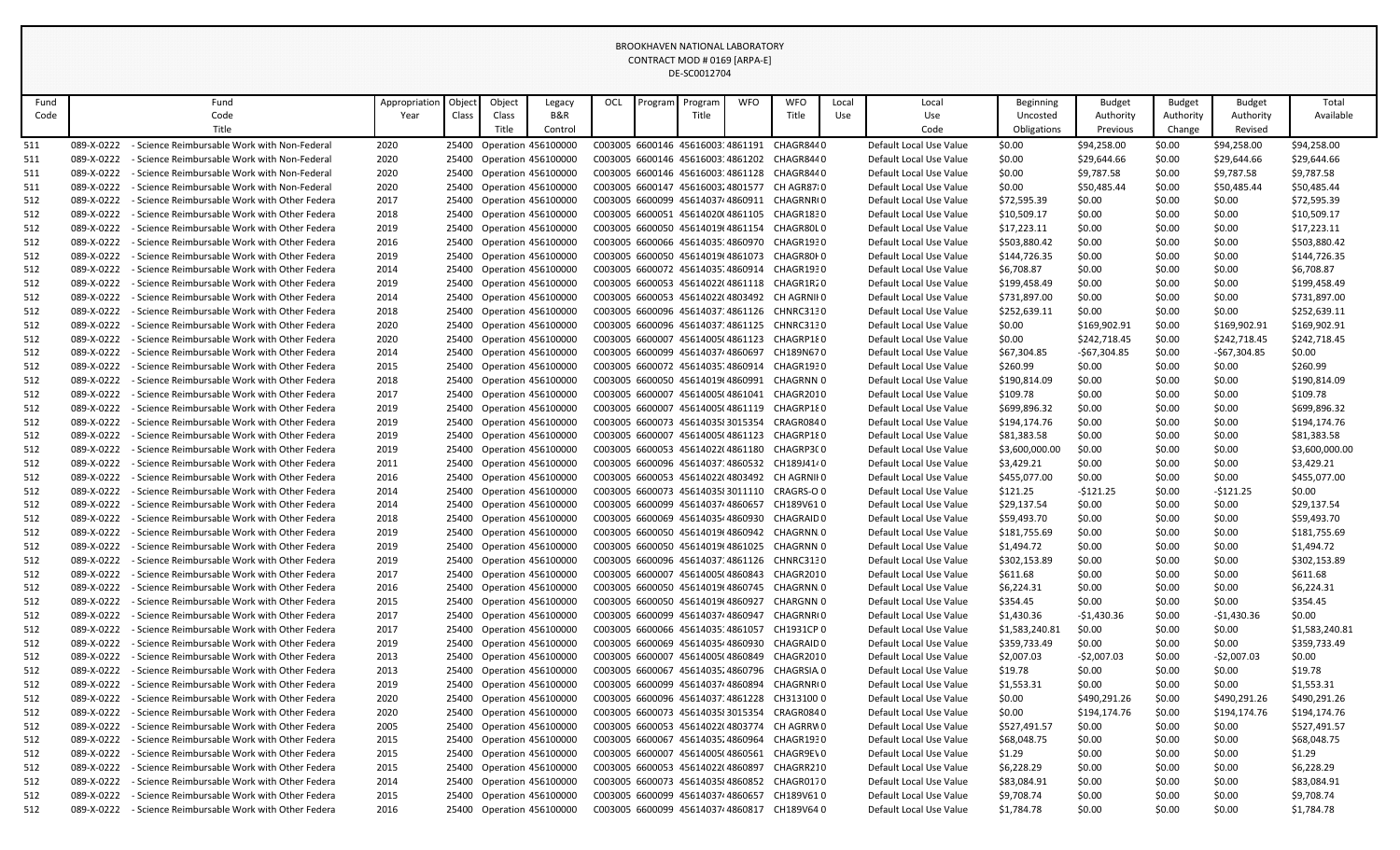|            |                                                                                                                                                                                                                                                                                                                                                                                                                                                                                                                                                                                                                                                                                                                               |                                               |               |        |                |                           |     |         | BROOKHAVEN NATIONAL LABORATORY    |            |                                                         |       |                         |                         |                       |                     |                      |                |
|------------|-------------------------------------------------------------------------------------------------------------------------------------------------------------------------------------------------------------------------------------------------------------------------------------------------------------------------------------------------------------------------------------------------------------------------------------------------------------------------------------------------------------------------------------------------------------------------------------------------------------------------------------------------------------------------------------------------------------------------------|-----------------------------------------------|---------------|--------|----------------|---------------------------|-----|---------|-----------------------------------|------------|---------------------------------------------------------|-------|-------------------------|-------------------------|-----------------------|---------------------|----------------------|----------------|
|            |                                                                                                                                                                                                                                                                                                                                                                                                                                                                                                                                                                                                                                                                                                                               |                                               |               |        |                |                           |     |         | CONTRACT MOD # 0169 [ARPA-E]      |            |                                                         |       |                         |                         |                       |                     |                      |                |
|            |                                                                                                                                                                                                                                                                                                                                                                                                                                                                                                                                                                                                                                                                                                                               |                                               |               |        |                |                           |     |         | DE-SC0012704                      |            |                                                         |       |                         |                         |                       |                     |                      |                |
|            |                                                                                                                                                                                                                                                                                                                                                                                                                                                                                                                                                                                                                                                                                                                               |                                               |               |        |                |                           |     |         |                                   |            |                                                         |       |                         |                         |                       |                     |                      |                |
| Fund       |                                                                                                                                                                                                                                                                                                                                                                                                                                                                                                                                                                                                                                                                                                                               | Fund                                          | Appropriation | Object | Object         | Legacy                    | OCL | Program | Program                           | <b>WFO</b> | <b>WFO</b>                                              | Local | Local                   | Beginning               | Budget                | <b>Budget</b>       | <b>Budget</b>        | Total          |
| Code       |                                                                                                                                                                                                                                                                                                                                                                                                                                                                                                                                                                                                                                                                                                                               | Code<br>Title                                 | Year          | Class  | Class<br>Title | B&R<br>Control            |     |         | Title                             |            | Title                                                   | Use   | Use                     | Uncosted<br>Obligations | Authority<br>Previous | Authority<br>Change | Authority<br>Revised | Available      |
|            |                                                                                                                                                                                                                                                                                                                                                                                                                                                                                                                                                                                                                                                                                                                               |                                               |               |        |                |                           |     |         |                                   |            |                                                         |       | Code                    |                         |                       |                     |                      |                |
| 511        | 089-X-0222                                                                                                                                                                                                                                                                                                                                                                                                                                                                                                                                                                                                                                                                                                                    | - Science Reimbursable Work with Non-Federal  | 2020          | 25400  |                | Operation 456100000       |     |         | C003005 6600146 4561600314861191  |            | CHAGR8440                                               |       | Default Local Use Value | \$0.00                  | \$94,258.00           | \$0.00              | \$94,258.00          | \$94,258.00    |
| 511        | 089-X-0222                                                                                                                                                                                                                                                                                                                                                                                                                                                                                                                                                                                                                                                                                                                    | - Science Reimbursable Work with Non-Federal  | 2020          | 25400  |                | Operation 456100000       |     |         | C003005 6600146 4561600314861202  |            | CHAGR8440                                               |       | Default Local Use Value | \$0.00                  | \$29,644.66           | \$0.00              | \$29,644.66          | \$29,644.66    |
| 511        | 089-X-0222                                                                                                                                                                                                                                                                                                                                                                                                                                                                                                                                                                                                                                                                                                                    | - Science Reimbursable Work with Non-Federal  | 2020          | 25400  |                | Operation 456100000       |     |         | C003005 6600146 4561600314861128  |            | CHAGR8440                                               |       | Default Local Use Value | \$0.00                  | \$9,787.58            | \$0.00              | \$9,787.58           | \$9,787.58     |
| 511        | 089-X-0222                                                                                                                                                                                                                                                                                                                                                                                                                                                                                                                                                                                                                                                                                                                    | - Science Reimbursable Work with Non-Federal  | 2020          | 25400  |                | Operation 456100000       |     |         | C003005 6600147 4561600324801577  |            | CH AGR8710<br>C003005 6600099 456140374860911 CHAGRNR(0 |       | Default Local Use Value | \$0.00                  | \$50,485.44           | \$0.00              | \$50,485.44          | \$50,485.44    |
| 512        | 089-X-0222<br>089-X-0222                                                                                                                                                                                                                                                                                                                                                                                                                                                                                                                                                                                                                                                                                                      | - Science Reimbursable Work with Other Federa | 2017          |        |                | 25400 Operation 456100000 |     |         |                                   |            |                                                         |       | Default Local Use Value | \$72,595.39             | \$0.00                | \$0.00              | \$0.00               | \$72,595.39    |
| 512<br>512 | C003005 6600051 45614020(4861105<br>CHAGR1830<br>\$10,509.17<br>\$0.00<br>\$10,509.17<br>- Science Reimbursable Work with Other Federa<br>2018<br>Operation 456100000<br>Default Local Use Value<br>\$0.00<br>\$0.00<br>25400<br>\$0.00<br>\$17,223.11<br>089-X-0222<br>- Science Reimbursable Work with Other Federa<br>2019<br>25400<br>Operation 456100000<br>C003005 6600050 45614019(4861154<br>CHAGR80L0<br>Default Local Use Value<br>\$17,223.11<br>\$0.00<br>\$0.00<br>089-X-0222<br>C003005 6600066 4561403514860970<br>CHAGR1930<br>\$503,880.42<br>\$503,880.42<br>- Science Reimbursable Work with Other Federa<br>2016<br>25400<br>Operation 456100000<br>Default Local Use Value<br>\$0.00<br>\$0.00<br>\$0.00 |                                               |               |        |                |                           |     |         |                                   |            |                                                         |       |                         |                         |                       |                     |                      |                |
|            |                                                                                                                                                                                                                                                                                                                                                                                                                                                                                                                                                                                                                                                                                                                               |                                               |               |        |                |                           |     |         |                                   |            |                                                         |       |                         |                         |                       |                     |                      |                |
| 512<br>512 | \$144,726.35<br>\$0.00<br>089-X-0222<br>- Science Reimbursable Work with Other Federa<br>2019<br>25400 Operation 456100000<br>C003005 6600050 45614019(4861073<br>CHAGR80I 0<br>Default Local Use Value<br>\$0.00<br>\$0.00<br>\$144,726.35<br>089-X-0222<br>- Science Reimbursable Work with Other Federa<br>2014<br>25400 Operation 456100000<br>C003005 6600072 4561403574860914<br>CHAGR1930<br>Default Local Use Value<br>\$6,708.87<br>\$0.00<br>\$0.00<br>\$0.00<br>\$6,708.87                                                                                                                                                                                                                                         |                                               |               |        |                |                           |     |         |                                   |            |                                                         |       |                         |                         |                       |                     |                      |                |
| 512        | 089-X-0222<br>25400 Operation 456100000<br>C003005 6600053 45614022(4861118<br>CHAGR1R20<br>\$0.00<br>\$199,458.49<br>- Science Reimbursable Work with Other Federa<br>2019<br>Default Local Use Value<br>\$199,458.49<br>\$0.00<br>\$0.00                                                                                                                                                                                                                                                                                                                                                                                                                                                                                    |                                               |               |        |                |                           |     |         |                                   |            |                                                         |       |                         |                         |                       |                     |                      |                |
|            | 089-X-0222<br>- Science Reimbursable Work with Other Federa<br>C003005 6600053 45614022(4803492<br>\$0.00<br>\$731,897.00<br>2014<br>25400<br>Operation 456100000<br>CH AGRNII 0<br>Default Local Use Value<br>\$731,897.00<br>\$0.00<br>\$0.00                                                                                                                                                                                                                                                                                                                                                                                                                                                                               |                                               |               |        |                |                           |     |         |                                   |            |                                                         |       |                         |                         |                       |                     |                      |                |
| 512<br>512 |                                                                                                                                                                                                                                                                                                                                                                                                                                                                                                                                                                                                                                                                                                                               |                                               |               |        |                |                           |     |         |                                   |            |                                                         |       |                         |                         |                       |                     |                      |                |
| 512        | \$0.00<br>089-X-0222<br>- Science Reimbursable Work with Other Federa<br>2018<br>25400<br>Operation 456100000<br>C003005 6600096 4561403714861126 CHNRC3130<br>Default Local Use Value<br>\$252,639.11<br>\$0.00<br>\$0.00<br>\$252,639.11                                                                                                                                                                                                                                                                                                                                                                                                                                                                                    |                                               |               |        |                |                           |     |         |                                   |            |                                                         |       |                         |                         |                       |                     |                      |                |
| 512        | 089-X-0222<br>C003005 6600096 4561403714861125 CHNRC3130<br>\$0.00<br>\$169,902.91<br>\$169,902.91<br>- Science Reimbursable Work with Other Federa<br>2020<br>25400 Operation 456100000<br>Default Local Use Value<br>\$0.00<br>\$169,902.91                                                                                                                                                                                                                                                                                                                                                                                                                                                                                 |                                               |               |        |                |                           |     |         |                                   |            |                                                         |       |                         |                         |                       |                     |                      |                |
| 512        | 089-X-0222<br>C003005 6600007 45614005(4861123<br>\$242,718.45<br>\$242,718.45<br>\$242,718.45<br>- Science Reimbursable Work with Other Federa<br>2020<br>25400 Operation 456100000<br>CHAGRP180<br>Default Local Use Value<br>\$0.00<br>\$0.00                                                                                                                                                                                                                                                                                                                                                                                                                                                                              |                                               |               |        |                |                           |     |         |                                   |            |                                                         |       |                         |                         |                       |                     |                      |                |
| 512        | 089-X-0222                                                                                                                                                                                                                                                                                                                                                                                                                                                                                                                                                                                                                                                                                                                    | - Science Reimbursable Work with Other Federa | 2014          |        |                | 25400 Operation 456100000 |     |         | C003005 6600099 4561403744860697  |            | CH189N670                                               |       | Default Local Use Value | \$67,304.85             | -\$67,304.85          | \$0.00              | -\$67,304.85         | \$0.00         |
| 512        | 089-X-0222                                                                                                                                                                                                                                                                                                                                                                                                                                                                                                                                                                                                                                                                                                                    | - Science Reimbursable Work with Other Federa | 2015          |        |                | 25400 Operation 456100000 |     |         | C003005 6600072 4561403514860914  |            | CHAGR1930                                               |       | Default Local Use Value | \$260.99                | \$0.00                | \$0.00              | \$0.00               | \$260.99       |
| 512        | 089-X-0222                                                                                                                                                                                                                                                                                                                                                                                                                                                                                                                                                                                                                                                                                                                    | - Science Reimbursable Work with Other Federa | 2018          |        |                | 25400 Operation 456100000 |     |         | C003005 6600050 45614019(4860991  |            | CHAGRNN 0                                               |       | Default Local Use Value | \$190,814.09            | \$0.00                | \$0.00              | \$0.00               | \$190,814.09   |
| 512        | 089-X-0222                                                                                                                                                                                                                                                                                                                                                                                                                                                                                                                                                                                                                                                                                                                    | - Science Reimbursable Work with Other Federa | 2017          | 25400  |                | Operation 456100000       |     |         | C003005 6600007 45614005(4861041  |            | CHAGR2010                                               |       | Default Local Use Value | \$109.78                | \$0.00                | \$0.00              | \$0.00               | \$109.78       |
| 512        | 089-X-0222                                                                                                                                                                                                                                                                                                                                                                                                                                                                                                                                                                                                                                                                                                                    | - Science Reimbursable Work with Other Federa | 2019          |        |                | 25400 Operation 456100000 |     |         | C003005 6600007 45614005(4861119  |            | CHAGRP180                                               |       | Default Local Use Value | \$699,896.32            | \$0.00                | \$0.00              | \$0.00               | \$699,896.32   |
| 512        | 089-X-0222                                                                                                                                                                                                                                                                                                                                                                                                                                                                                                                                                                                                                                                                                                                    | - Science Reimbursable Work with Other Federa | 2019          |        |                | 25400 Operation 456100000 |     |         | C003005 6600073 4561403583015354  |            | CRAGR0840                                               |       | Default Local Use Value | \$194,174.76            | \$0.00                | \$0.00              | \$0.00               | \$194,174.76   |
| 512        | 089-X-0222                                                                                                                                                                                                                                                                                                                                                                                                                                                                                                                                                                                                                                                                                                                    | - Science Reimbursable Work with Other Federa | 2019          | 25400  |                | Operation 456100000       |     |         | C003005 6600007 45614005(4861123  |            | CHAGRP180                                               |       | Default Local Use Value | \$81,383.58             | \$0.00                | \$0.00              | \$0.00               | \$81,383.58    |
| 512        | 089-X-0222                                                                                                                                                                                                                                                                                                                                                                                                                                                                                                                                                                                                                                                                                                                    | - Science Reimbursable Work with Other Federa | 2019          |        |                | 25400 Operation 456100000 |     |         | C003005 6600053 45614022(4861180  |            | CHAGRP3C0                                               |       | Default Local Use Value | \$3,600,000.00          | \$0.00                | \$0.00              | \$0.00               | \$3,600,000.00 |
| 512        | 089-X-0222                                                                                                                                                                                                                                                                                                                                                                                                                                                                                                                                                                                                                                                                                                                    | - Science Reimbursable Work with Other Federa | 2011          |        |                | 25400 Operation 456100000 |     |         | C003005 6600096 4561403714860532  |            | CH189J4140                                              |       | Default Local Use Value | \$3,429.21              | \$0.00                | \$0.00              | \$0.00               | \$3,429.21     |
| 512        | 089-X-0222                                                                                                                                                                                                                                                                                                                                                                                                                                                                                                                                                                                                                                                                                                                    | - Science Reimbursable Work with Other Federa | 2016          |        |                | 25400 Operation 456100000 |     |         |                                   |            | C003005 6600053 45614022(4803492 CH AGRNII 0            |       | Default Local Use Value | \$455,077.00            | \$0.00                | \$0.00              | \$0.00               | \$455,077.00   |
| 512        | 089-X-0222                                                                                                                                                                                                                                                                                                                                                                                                                                                                                                                                                                                                                                                                                                                    | - Science Reimbursable Work with Other Federa | 2014          |        |                | 25400 Operation 456100000 |     |         |                                   |            | C003005 6600073 4561403583011110 CRAGRS-O 0             |       | Default Local Use Value | \$121.25                | $-$121.25$            | \$0.00              | -\$121.25            | \$0.00         |
| 512        | 089-X-0222                                                                                                                                                                                                                                                                                                                                                                                                                                                                                                                                                                                                                                                                                                                    | - Science Reimbursable Work with Other Federa | 2014          |        |                | 25400 Operation 456100000 |     |         | C003005 6600099 456140374 4860657 |            | CH189V610                                               |       | Default Local Use Value | \$29,137.54             | \$0.00                | \$0.00              | \$0.00               | \$29,137.54    |
| 512        | 089-X-0222                                                                                                                                                                                                                                                                                                                                                                                                                                                                                                                                                                                                                                                                                                                    | - Science Reimbursable Work with Other Federa | 2018          |        |                | 25400 Operation 456100000 |     |         | C003005 6600069 4561403544860930  |            | CHAGRAID 0                                              |       | Default Local Use Value | \$59,493.70             | \$0.00                | \$0.00              | \$0.00               | \$59,493.70    |
| 512        | 089-X-0222                                                                                                                                                                                                                                                                                                                                                                                                                                                                                                                                                                                                                                                                                                                    | - Science Reimbursable Work with Other Federa | 2019          |        |                | 25400 Operation 456100000 |     |         | C003005 6600050 45614019(4860942  |            | CHAGRNN 0                                               |       | Default Local Use Value | \$181,755.69            | \$0.00                | \$0.00              | \$0.00               | \$181,755.69   |
| 512        | 089-X-0222                                                                                                                                                                                                                                                                                                                                                                                                                                                                                                                                                                                                                                                                                                                    | - Science Reimbursable Work with Other Federa | 2019          | 25400  |                | Operation 456100000       |     |         | C003005 6600050 45614019(4861025  |            | CHAGRNN 0                                               |       | Default Local Use Value | \$1,494.72              | \$0.00                | \$0.00              | \$0.00               | \$1,494.72     |
| 512        | 089-X-0222                                                                                                                                                                                                                                                                                                                                                                                                                                                                                                                                                                                                                                                                                                                    | - Science Reimbursable Work with Other Federa | 2019          |        |                | 25400 Operation 456100000 |     |         | C003005 6600096 4561403714861126  |            | CHNRC3130                                               |       | Default Local Use Value | \$302,153.89            | \$0.00                | \$0.00              | \$0.00               | \$302,153.89   |
| 512        | 089-X-0222                                                                                                                                                                                                                                                                                                                                                                                                                                                                                                                                                                                                                                                                                                                    | - Science Reimbursable Work with Other Federa | 2017          |        |                | 25400 Operation 456100000 |     |         | C003005 6600007 45614005(4860843  |            | CHAGR2010                                               |       | Default Local Use Value | \$611.68                | \$0.00                | \$0.00              | \$0.00               | \$611.68       |
| 512        | 089-X-0222                                                                                                                                                                                                                                                                                                                                                                                                                                                                                                                                                                                                                                                                                                                    | - Science Reimbursable Work with Other Federa | 2016          | 25400  |                | Operation 456100000       |     |         | C003005 6600050 45614019(4860745  |            | CHAGRNN.0                                               |       | Default Local Use Value | \$6,224.31              | \$0.00                | \$0.00              | \$0.00               | \$6,224.31     |
| 512        | 089-X-0222                                                                                                                                                                                                                                                                                                                                                                                                                                                                                                                                                                                                                                                                                                                    | - Science Reimbursable Work with Other Federa | 2015          |        |                | 25400 Operation 456100000 |     |         | C003005 6600050 45614019t4860927  |            | CHARGNN 0                                               |       | Default Local Use Value | \$354.45                | \$0.00                | \$0.00              | \$0.00               | \$354.45       |
| 512        | 089-X-0222                                                                                                                                                                                                                                                                                                                                                                                                                                                                                                                                                                                                                                                                                                                    | - Science Reimbursable Work with Other Federa | 2017          |        |                | 25400 Operation 456100000 |     |         | C003005 6600099 456140374 4860947 |            | CHAGRNR(0                                               |       | Default Local Use Value | \$1,430.36              | -\$1,430.36           | \$0.00              | -\$1,430.36          | \$0.00         |
| 512        | 089-X-0222                                                                                                                                                                                                                                                                                                                                                                                                                                                                                                                                                                                                                                                                                                                    | Science Reimbursable Work with Other Federa   | 2017          | 25400  |                | Operation 456100000       |     |         | C003005 6600066 4561403514861057  |            | CH1931CP 0                                              |       | Default Local Use Value | \$1,583,240.81          | \$0.00                | \$0.00              | \$0.00               | \$1,583,240.81 |
| 512        | 089-X-0222                                                                                                                                                                                                                                                                                                                                                                                                                                                                                                                                                                                                                                                                                                                    | - Science Reimbursable Work with Other Federa | 2019          |        |                | 25400 Operation 456100000 |     |         | C003005 6600069 4561403544860930  |            | CHAGRAID 0                                              |       | Default Local Use Value | \$359,733.49            | \$0.00                | \$0.00              | \$0.00               | \$359,733.49   |
| 512        | 089-X-0222                                                                                                                                                                                                                                                                                                                                                                                                                                                                                                                                                                                                                                                                                                                    | - Science Reimbursable Work with Other Federa | 2013          |        |                | 25400 Operation 456100000 |     |         | C003005 6600007 45614005(4860849  |            | CHAGR2010                                               |       | Default Local Use Value | \$2,007.03              | $-$2,007.03$          | \$0.00              | -\$2,007.03          | \$0.00         |
| 512        | 089-X-0222                                                                                                                                                                                                                                                                                                                                                                                                                                                                                                                                                                                                                                                                                                                    | - Science Reimbursable Work with Other Federa | 2013          |        |                | 25400 Operation 456100000 |     |         | C003005 6600067 4561403524860796  |            | CHAGRSIA 0                                              |       | Default Local Use Value | \$19.78                 | \$0.00                | \$0.00              | \$0.00               | \$19.78        |
| 512        | 089-X-0222                                                                                                                                                                                                                                                                                                                                                                                                                                                                                                                                                                                                                                                                                                                    | - Science Reimbursable Work with Other Federa | 2019          |        |                | 25400 Operation 456100000 |     |         | C003005 6600099 456140374 4860894 |            | CHAGRNR(0                                               |       | Default Local Use Value | \$1,553.31              | \$0.00                | \$0.00              | \$0.00               | \$1,553.31     |
| 512        | 089-X-0222                                                                                                                                                                                                                                                                                                                                                                                                                                                                                                                                                                                                                                                                                                                    | - Science Reimbursable Work with Other Federa | 2020          |        |                | 25400 Operation 456100000 |     |         |                                   |            | C003005 6600096 4561403714861228 CH313100 0             |       | Default Local Use Value | \$0.00                  | \$490,291.26          | \$0.00              | \$490,291.26         | \$490,291.26   |
| 512        | 089-X-0222                                                                                                                                                                                                                                                                                                                                                                                                                                                                                                                                                                                                                                                                                                                    | - Science Reimbursable Work with Other Federa | 2020          |        |                | 25400 Operation 456100000 |     |         | C003005 6600073 4561403583015354  |            | CRAGR0840                                               |       | Default Local Use Value | \$0.00                  | \$194,174.76          | \$0.00              | \$194,174.76         | \$194,174.76   |
| 512        | 089-X-0222                                                                                                                                                                                                                                                                                                                                                                                                                                                                                                                                                                                                                                                                                                                    | - Science Reimbursable Work with Other Federa | 2005          |        |                | 25400 Operation 456100000 |     |         |                                   |            | C003005 6600053 45614022(4803774 CH AGRRW0              |       | Default Local Use Value | \$527,491.57            | \$0.00                | \$0.00              | \$0.00               | \$527,491.57   |
| 512        | 089-X-0222                                                                                                                                                                                                                                                                                                                                                                                                                                                                                                                                                                                                                                                                                                                    | - Science Reimbursable Work with Other Federa | 2015          |        |                | 25400 Operation 456100000 |     |         | C003005 6600067 45614035 4860964  |            | CHAGR1930                                               |       | Default Local Use Value | \$68,048.75             | \$0.00                | \$0.00              | \$0.00               | \$68,048.75    |
| 512        | 089-X-0222                                                                                                                                                                                                                                                                                                                                                                                                                                                                                                                                                                                                                                                                                                                    | - Science Reimbursable Work with Other Federa | 2015          |        |                | 25400 Operation 456100000 |     |         | C003005 6600007 45614005(4860561  |            | CHAGR9EV0                                               |       | Default Local Use Value | \$1.29                  | \$0.00                | \$0.00              | \$0.00               | \$1.29         |
| 512        | 089-X-0222                                                                                                                                                                                                                                                                                                                                                                                                                                                                                                                                                                                                                                                                                                                    | - Science Reimbursable Work with Other Federa | 2015          |        |                | 25400 Operation 456100000 |     |         |                                   |            | C003005 6600053 45614022(4860897 CHAGRR210              |       | Default Local Use Value | \$6,228.29              | \$0.00                | \$0.00              | \$0.00               | \$6,228.29     |
| 512        | 089-X-0222                                                                                                                                                                                                                                                                                                                                                                                                                                                                                                                                                                                                                                                                                                                    | - Science Reimbursable Work with Other Federa | 2014          |        |                | 25400 Operation 456100000 |     |         | C003005 6600073 4561403584860852  |            | CHAGR0170                                               |       | Default Local Use Value | \$83,084.91             | \$0.00                | \$0.00              | \$0.00               | \$83,084.91    |
| 512        | 089-X-0222                                                                                                                                                                                                                                                                                                                                                                                                                                                                                                                                                                                                                                                                                                                    | - Science Reimbursable Work with Other Federa | 2015          |        |                | 25400 Operation 456100000 |     |         | C003005 6600099 456140374 4860657 |            | CH189V610                                               |       | Default Local Use Value | \$9,708.74              | \$0.00                | \$0.00              | \$0.00               | \$9,708.74     |
| 512        | 089-X-0222                                                                                                                                                                                                                                                                                                                                                                                                                                                                                                                                                                                                                                                                                                                    | - Science Reimbursable Work with Other Federa | 2016          |        |                | 25400 Operation 456100000 |     |         |                                   |            | C003005 6600099 4561403744860817 CH189V640              |       | Default Local Use Value | \$1,784.78              | \$0.00                | \$0.00              | \$0.00               | \$1,784.78     |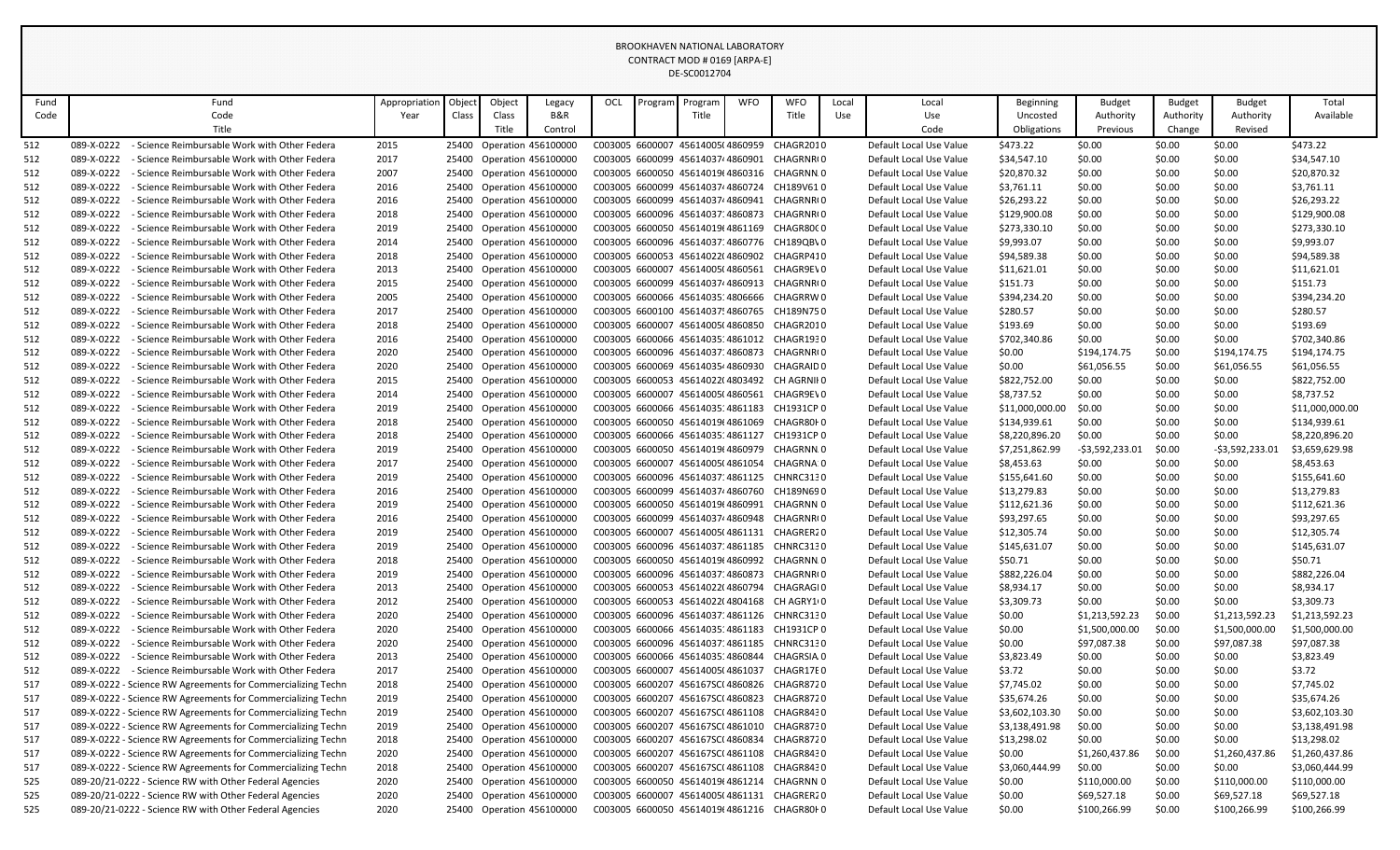|            | <b>BROOKHAVEN NATIONAL LABORATORY</b><br>CONTRACT MOD # 0169 [ARPA-E] |                                                                                                |               |       |        |                                                        |     |         |                                                                      |            |                                              |       |                                                    |                           |                  |                  |                  |                           |
|------------|-----------------------------------------------------------------------|------------------------------------------------------------------------------------------------|---------------|-------|--------|--------------------------------------------------------|-----|---------|----------------------------------------------------------------------|------------|----------------------------------------------|-------|----------------------------------------------------|---------------------------|------------------|------------------|------------------|---------------------------|
|            |                                                                       |                                                                                                |               |       |        |                                                        |     |         |                                                                      |            |                                              |       |                                                    |                           |                  |                  |                  |                           |
|            |                                                                       |                                                                                                |               |       |        |                                                        |     |         | DE-SC0012704                                                         |            |                                              |       |                                                    |                           |                  |                  |                  |                           |
|            |                                                                       |                                                                                                |               |       |        |                                                        |     |         |                                                                      |            |                                              |       |                                                    |                           |                  |                  |                  |                           |
| Fund       |                                                                       | Fund                                                                                           | Appropriation | Objec | Object | Legacy                                                 | OCL | Progran | Program                                                              | <b>WFO</b> | <b>WFO</b>                                   | Local | Local                                              | Beginning                 | <b>Budget</b>    | <b>Budget</b>    | <b>Budget</b>    | Total                     |
| Code       |                                                                       | Code                                                                                           | Year          | Class | Class  | B&R                                                    |     |         | Title                                                                |            | Title                                        | Use   | Use                                                | Uncosted                  | Authority        | Authority        | Authority        | Available                 |
|            |                                                                       | Title                                                                                          |               |       | Title  | Control                                                |     |         |                                                                      |            |                                              |       | Code                                               | Obligations               | Previous         | Change           | Revised          |                           |
| 512        | 089-X-0222                                                            | - Science Reimbursable Work with Other Federa                                                  | 2015          |       |        | 25400 Operation 456100000                              |     |         | C003005 6600007 45614005(4860959                                     |            | CHAGR2010                                    |       | Default Local Use Value                            | \$473.22                  | \$0.00           | \$0.00           | \$0.00           | \$473.22                  |
| 512        | 089-X-0222                                                            | - Science Reimbursable Work with Other Federa                                                  | 2017          |       |        | 25400 Operation 456100000                              |     |         | C003005 6600099 456140374 4860901                                    |            | CHAGRNR(0                                    |       | Default Local Use Value                            | \$34,547.10               | \$0.00           | \$0.00           | \$0.00           | \$34,547.10               |
| 512        | 089-X-0222<br>089-X-0222                                              | - Science Reimbursable Work with Other Federa<br>- Science Reimbursable Work with Other Federa | 2007          |       |        | 25400 Operation 456100000                              |     |         | C003005 6600050 45614019(4860316<br>C003005 6600099 4561403744860724 |            | CHAGRNN.0<br>CH189V610                       |       | Default Local Use Value                            | \$20,870.32               | \$0.00           | \$0.00           | \$0.00           | \$20,870.32               |
| 512<br>512 | 089-X-0222                                                            | - Science Reimbursable Work with Other Federa                                                  | 2016<br>2016  |       |        | 25400 Operation 456100000<br>25400 Operation 456100000 |     |         |                                                                      |            | C003005 6600099 456140374860941 CHAGRNRO     |       | Default Local Use Value<br>Default Local Use Value | \$3,761.11<br>\$26,293.22 | \$0.00<br>\$0.00 | \$0.00<br>\$0.00 | \$0.00<br>\$0.00 | \$3,761.11<br>\$26,293.22 |
| 512        | 089-X-0222                                                            | - Science Reimbursable Work with Other Federa                                                  | 2018          |       |        | 25400 Operation 456100000                              |     |         | C003005 6600096 4561403714860873                                     |            | CHAGRNR(0                                    |       | Default Local Use Value                            | \$129,900.08              | \$0.00           | \$0.00           | \$0.00           | \$129,900.08              |
| 512        | 089-X-0222                                                            | - Science Reimbursable Work with Other Federa                                                  | 2019          |       |        | 25400 Operation 456100000                              |     |         | C003005 6600050 45614019(4861169                                     |            | CHAGR80C0                                    |       | Default Local Use Value                            | \$273,330.10              | \$0.00           | \$0.00           | \$0.00           | \$273,330.10              |
| 512        | 089-X-0222                                                            | - Science Reimbursable Work with Other Federa                                                  | 2014          |       |        | 25400 Operation 456100000                              |     |         |                                                                      |            | C003005 6600096 4561403714860776 CH189QBV0   |       | Default Local Use Value                            | \$9,993.07                | \$0.00           | \$0.00           | \$0.00           | \$9,993.07                |
| 512        | 089-X-0222                                                            | - Science Reimbursable Work with Other Federa                                                  | 2018          |       |        | 25400 Operation 456100000                              |     |         | C003005 6600053 45614022(4860902                                     |            | CHAGRP410                                    |       | Default Local Use Value                            | \$94,589.38               | \$0.00           | \$0.00           | \$0.00           | \$94,589.38               |
| 512        | 089-X-0222                                                            | - Science Reimbursable Work with Other Federa                                                  | 2013          |       |        | 25400 Operation 456100000                              |     |         | C003005 6600007 45614005(4860561                                     |            | CHAGR9EV0                                    |       | Default Local Use Value                            | \$11,621.01               | \$0.00           | \$0.00           | \$0.00           | \$11,621.01               |
| 512        | 089-X-0222                                                            | - Science Reimbursable Work with Other Federa                                                  | 2015          |       |        | 25400 Operation 456100000                              |     |         | C003005 6600099 4561403744860913                                     |            | CHAGRNR(0                                    |       | Default Local Use Value                            | \$151.73                  | \$0.00           | \$0.00           | \$0.00           | \$151.73                  |
| 512        | 089-X-0222                                                            | - Science Reimbursable Work with Other Federa                                                  | 2005          |       |        | 25400 Operation 456100000                              |     |         | C003005 6600066 4561403514806666                                     |            | CHAGRRW 0                                    |       | Default Local Use Value                            | \$394,234.20              | \$0.00           | \$0.00           | \$0.00           | \$394,234.20              |
| 512        | 089-X-0222                                                            | - Science Reimbursable Work with Other Federa                                                  | 2017          |       |        | 25400 Operation 456100000                              |     |         | C003005 6600100 45614037!4860765                                     |            | CH189N750                                    |       | Default Local Use Value                            | \$280.57                  | \$0.00           | \$0.00           | \$0.00           | \$280.57                  |
| 512        | 089-X-0222                                                            | - Science Reimbursable Work with Other Federa                                                  | 2018          |       |        | 25400 Operation 456100000                              |     |         |                                                                      |            | C003005 6600007 45614005(4860850 CHAGR2010   |       | Default Local Use Value                            | \$193.69                  | \$0.00           | \$0.00           | \$0.00           | \$193.69                  |
| 512        | 089-X-0222                                                            | - Science Reimbursable Work with Other Federa                                                  | 2016          |       |        | 25400 Operation 456100000                              |     |         | C003005 6600066 4561403514861012                                     |            | CHAGR1930                                    |       | Default Local Use Value                            | \$702,340.86              | \$0.00           | \$0.00           | \$0.00           | \$702,340.86              |
| 512        | 089-X-0222                                                            | - Science Reimbursable Work with Other Federa                                                  | 2020          |       |        | 25400 Operation 456100000                              |     |         | C003005 6600096 4561403714860873                                     |            | CHAGRNR(0                                    |       | Default Local Use Value                            | \$0.00                    | \$194,174.75     | \$0.00           | \$194,174.75     | \$194,174.75              |
| 512        | 089-X-0222                                                            | - Science Reimbursable Work with Other Federa                                                  | 2020          |       |        | 25400 Operation 456100000                              |     |         | C003005 6600069 4561403544860930                                     |            | CHAGRAID 0                                   |       | Default Local Use Value                            | \$0.00                    | \$61,056.55      | \$0.00           | \$61,056.55      | \$61,056.55               |
| 512        | 089-X-0222                                                            | - Science Reimbursable Work with Other Federa                                                  | 2015          |       |        | 25400 Operation 456100000                              |     |         |                                                                      |            | C003005 6600053 45614022(4803492 CH AGRNII 0 |       | Default Local Use Value                            | \$822,752.00              | \$0.00           | \$0.00           | \$0.00           | \$822,752.00              |
| 512        | 089-X-0222                                                            | - Science Reimbursable Work with Other Federa                                                  | 2014          |       |        | 25400 Operation 456100000                              |     |         | C003005 6600007 45614005(4860561                                     |            | CHAGR9EV0                                    |       | Default Local Use Value                            | \$8,737.52                | \$0.00           | \$0.00           | \$0.00           | \$8,737.52                |
| 512        | 089-X-0222                                                            | - Science Reimbursable Work with Other Federa                                                  | 2019          |       |        | 25400 Operation 456100000                              |     |         | C003005 6600066 4561403514861183                                     |            | CH1931CP 0                                   |       | Default Local Use Value                            | \$11,000,000.00           | \$0.00           | \$0.00           | \$0.00           | \$11,000,000.00           |
| 512        | 089-X-0222                                                            | - Science Reimbursable Work with Other Federa                                                  | 2018          |       |        | 25400 Operation 456100000                              |     |         | C003005 6600050 45614019(4861069                                     |            | CHAGR80I 0                                   |       | Default Local Use Value                            | \$134,939.61              | \$0.00           | \$0.00           | \$0.00           | \$134,939.61              |
| 512        | 089-X-0222                                                            | - Science Reimbursable Work with Other Federa                                                  | 2018          |       |        | 25400 Operation 456100000                              |     |         | C003005 6600066 4561403514861127                                     |            | CH1931CP 0                                   |       | Default Local Use Value                            | \$8,220,896.20            | \$0.00           | \$0.00           | \$0.00           | \$8,220,896.20            |
| 512        | 089-X-0222                                                            | - Science Reimbursable Work with Other Federa                                                  | 2019          |       |        | 25400 Operation 456100000                              |     |         | C003005 6600050 45614019(4860979                                     |            | CHAGRNN.0                                    |       | Default Local Use Value                            | \$7,251,862.99            | $-53,592,233.01$ | \$0.00           | -\$3,592,233.01  | \$3,659,629.98            |
| 512        | 089-X-0222                                                            | - Science Reimbursable Work with Other Federa                                                  | 2017          |       |        | 25400 Operation 456100000                              |     |         | C003005 6600007 45614005(4861054                                     |            | CHAGRNA: 0                                   |       | Default Local Use Value                            | \$8,453.63                | \$0.00           | \$0.00           | \$0.00           | \$8,453.63                |
| 512        | 089-X-0222                                                            | - Science Reimbursable Work with Other Federa                                                  | 2019          |       |        | 25400 Operation 456100000                              |     |         | C003005 6600096 4561403714861125                                     |            | CHNRC3130                                    |       | Default Local Use Value                            | \$155,641.60              | \$0.00           | \$0.00           | \$0.00           | \$155,641.60              |
| 512        | 089-X-0222                                                            | - Science Reimbursable Work with Other Federa                                                  | 2016          |       |        | 25400 Operation 456100000                              |     |         | C003005 6600099 4561403744860760                                     |            | CH189N690                                    |       | Default Local Use Value                            | \$13,279.83               | \$0.00           | \$0.00           | \$0.00           | \$13,279.83               |
| 512        | 089-X-0222                                                            | - Science Reimbursable Work with Other Federa                                                  | 2019          |       |        | 25400 Operation 456100000                              |     |         | C003005 6600050 45614019(4860991                                     |            | CHAGRNN 0                                    |       | Default Local Use Value                            | \$112,621.36              | \$0.00           | \$0.00           | \$0.00           | \$112,621.36              |
| 512        | 089-X-0222                                                            | - Science Reimbursable Work with Other Federa                                                  | 2016          |       |        | 25400 Operation 456100000                              |     |         | C003005 6600099 456140374 4860948                                    |            | CHAGRNR(0                                    |       | Default Local Use Value                            | \$93,297.65               | \$0.00           | \$0.00           | \$0.00           | \$93,297.65               |
| 512        | 089-X-0222                                                            | - Science Reimbursable Work with Other Federa                                                  | 2019          |       |        | 25400 Operation 456100000                              |     |         | C003005 6600007 45614005(4861131                                     |            | CHAGRER20                                    |       | Default Local Use Value                            | \$12,305.74               | \$0.00           | \$0.00           | \$0.00           | \$12,305.74               |
| 512        | 089-X-0222                                                            | - Science Reimbursable Work with Other Federa                                                  | 2019          |       |        | 25400 Operation 456100000                              |     |         | C003005 6600096 4561403714861185                                     |            | CHNRC3130                                    |       | Default Local Use Value                            | \$145,631.07              | \$0.00           | \$0.00           | \$0.00           | \$145,631.07              |
| 512        | 089-X-0222                                                            | - Science Reimbursable Work with Other Federa                                                  | 2018          |       |        | 25400 Operation 456100000                              |     |         | C003005 6600050 45614019(4860992                                     |            | CHAGRNN.0                                    |       | Default Local Use Value                            | \$50.71                   | \$0.00           | \$0.00           | \$0.00           | \$50.71                   |
| 512        | 089-X-0222                                                            | - Science Reimbursable Work with Other Federa                                                  | 2019          |       |        | 25400 Operation 456100000                              |     |         | C003005 6600096 4561403714860873                                     |            | CHAGRNR(0                                    |       | Default Local Use Value                            | \$882,226.04              | \$0.00           | \$0.00           | \$0.00           | \$882,226.04              |
| 512        | 089-X-0222                                                            | - Science Reimbursable Work with Other Federa                                                  | 2013          |       |        | 25400 Operation 456100000                              |     |         | C003005 6600053 45614022(4860794                                     |            | CHAGRAGI 0                                   |       | Default Local Use Value                            | \$8,934.17                | \$0.00           | \$0.00           | \$0.00           | \$8,934.17                |
| 512        | 089-X-0222                                                            | - Science Reimbursable Work with Other Federa                                                  | 2012          |       |        | 25400 Operation 456100000                              |     |         | C003005 6600053 45614022(4804168                                     |            | CH AGRY1(0                                   |       | Default Local Use Value                            | \$3,309.73                | \$0.00           | \$0.00           | \$0.00           | \$3,309.73                |
| 512        | 089-X-0222                                                            | - Science Reimbursable Work with Other Federa                                                  | 2020          |       |        | 25400 Operation 456100000                              |     |         |                                                                      |            | C003005 6600096 4561403714861126 CHNRC3130   |       | Default Local Use Value                            | \$0.00                    | \$1,213,592.23   | \$0.00           | \$1,213,592.23   | \$1,213,592.23            |
| 512        | 089-X-0222                                                            | - Science Reimbursable Work with Other Federa                                                  | 2020          |       |        | 25400 Operation 456100000                              |     |         | C003005 6600066 4561403514861183                                     |            | CH1931CP 0                                   |       | Default Local Use Value                            | \$0.00                    | \$1,500,000.00   | \$0.00           | \$1,500,000.00   | \$1,500,000.00            |
| 512        | 089-X-0222                                                            | - Science Reimbursable Work with Other Federa                                                  | 2020          |       |        | 25400 Operation 456100000                              |     |         | C003005 6600096 4561403714861185                                     |            | CHNRC3130                                    |       | Default Local Use Value                            | \$0.00                    | \$97,087.38      | \$0.00           | \$97,087.38      | \$97,087.38               |
| 512        | 089-X-0222                                                            | - Science Reimbursable Work with Other Federa                                                  | 2013          |       |        | 25400 Operation 456100000                              |     |         |                                                                      |            | C003005 6600066 4561403514860844 CHAGRSIA.0  |       | Default Local Use Value                            | \$3,823.49                | \$0.00           | \$0.00           | \$0.00           | \$3,823.49                |
| 512        |                                                                       | 089-X-0222 - Science Reimbursable Work with Other Federa                                       | 2017          |       |        | 25400 Operation 456100000                              |     |         |                                                                      |            | C003005 6600007 45614005(4861037 CHAGR17E0   |       | Default Local Use Value                            | \$3.72                    | \$0.00           | \$0.00           | \$0.00           | \$3.72                    |
| 517        |                                                                       | 089-X-0222 - Science RW Agreements for Commercializing Techn                                   | 2018          |       |        | 25400 Operation 456100000                              |     |         |                                                                      |            | C003005 6600207 456167SC(4860826 CHAGR8720   |       | Default Local Use Value                            | \$7,745.02                | \$0.00           | \$0.00           | \$0.00           | \$7,745.02                |
| 517        |                                                                       | 089-X-0222 - Science RW Agreements for Commercializing Techn                                   | 2019          |       |        | 25400 Operation 456100000                              |     |         |                                                                      |            | C003005 6600207 456167SC(4860823 CHAGR8720   |       | Default Local Use Value                            | \$35,674.26               | \$0.00           | \$0.00           | \$0.00           | \$35,674.26               |
| 517        |                                                                       | 089-X-0222 - Science RW Agreements for Commercializing Techn                                   | 2019          |       |        | 25400 Operation 456100000                              |     |         |                                                                      |            | C003005 6600207 456167SC(4861108 CHAGR8430   |       | Default Local Use Value                            | \$3,602,103.30            | \$0.00           | \$0.00           | \$0.00           | \$3,602,103.30            |
| 517        |                                                                       | 089-X-0222 - Science RW Agreements for Commercializing Techn                                   | 2019          |       |        | 25400 Operation 456100000                              |     |         |                                                                      |            | C003005 6600207 456167SC(4861010 CHAGR8730   |       | Default Local Use Value                            | \$3,138,491.98            | \$0.00           | \$0.00           | \$0.00           | \$3,138,491.98            |
| 517        |                                                                       | 089-X-0222 - Science RW Agreements for Commercializing Techn                                   | 2018          |       |        | 25400 Operation 456100000                              |     |         |                                                                      |            | C003005 6600207 456167SC(4860834 CHAGR8720   |       | Default Local Use Value                            | \$13,298.02               | \$0.00           | \$0.00           | \$0.00           | \$13,298.02               |
| 517        |                                                                       | 089-X-0222 - Science RW Agreements for Commercializing Techn                                   | 2020          |       |        | 25400 Operation 456100000                              |     |         |                                                                      |            | C003005 6600207 456167SC(4861108 CHAGR8430   |       | Default Local Use Value                            | \$0.00                    | \$1,260,437.86   | \$0.00           | \$1,260,437.86   | \$1,260,437.86            |
| 517        |                                                                       | 089-X-0222 - Science RW Agreements for Commercializing Techn                                   | 2018          |       |        | 25400 Operation 456100000                              |     |         |                                                                      |            | C003005 6600207 456167SC(4861108 CHAGR8430   |       | Default Local Use Value                            | \$3,060,444.99            | \$0.00           | \$0.00           | \$0.00           | \$3,060,444.99            |
| 525        |                                                                       | 089-20/21-0222 - Science RW with Other Federal Agencies                                        | 2020          |       |        | 25400 Operation 456100000                              |     |         |                                                                      |            | C003005 6600050 45614019(4861214 CHAGRNN 0   |       | Default Local Use Value                            | \$0.00                    | \$110,000.00     | \$0.00           | \$110,000.00     | \$110,000.00              |
| 525        |                                                                       | 089-20/21-0222 - Science RW with Other Federal Agencies                                        | 2020          |       |        | 25400 Operation 456100000                              |     |         |                                                                      |            | C003005 6600007 45614005(4861131 CHAGRER20   |       | Default Local Use Value                            | \$0.00                    | \$69,527.18      | \$0.00           | \$69,527.18      | \$69,527.18               |
| 525        |                                                                       | 089-20/21-0222 - Science RW with Other Federal Agencies                                        | 2020          |       |        | 25400 Operation 456100000                              |     |         |                                                                      |            | C003005 6600050 45614019(4861216 CHAGR80I 0  |       | Default Local Use Value                            | \$0.00                    | \$100,266.99     | \$0.00           | \$100,266.99     | \$100,266.99              |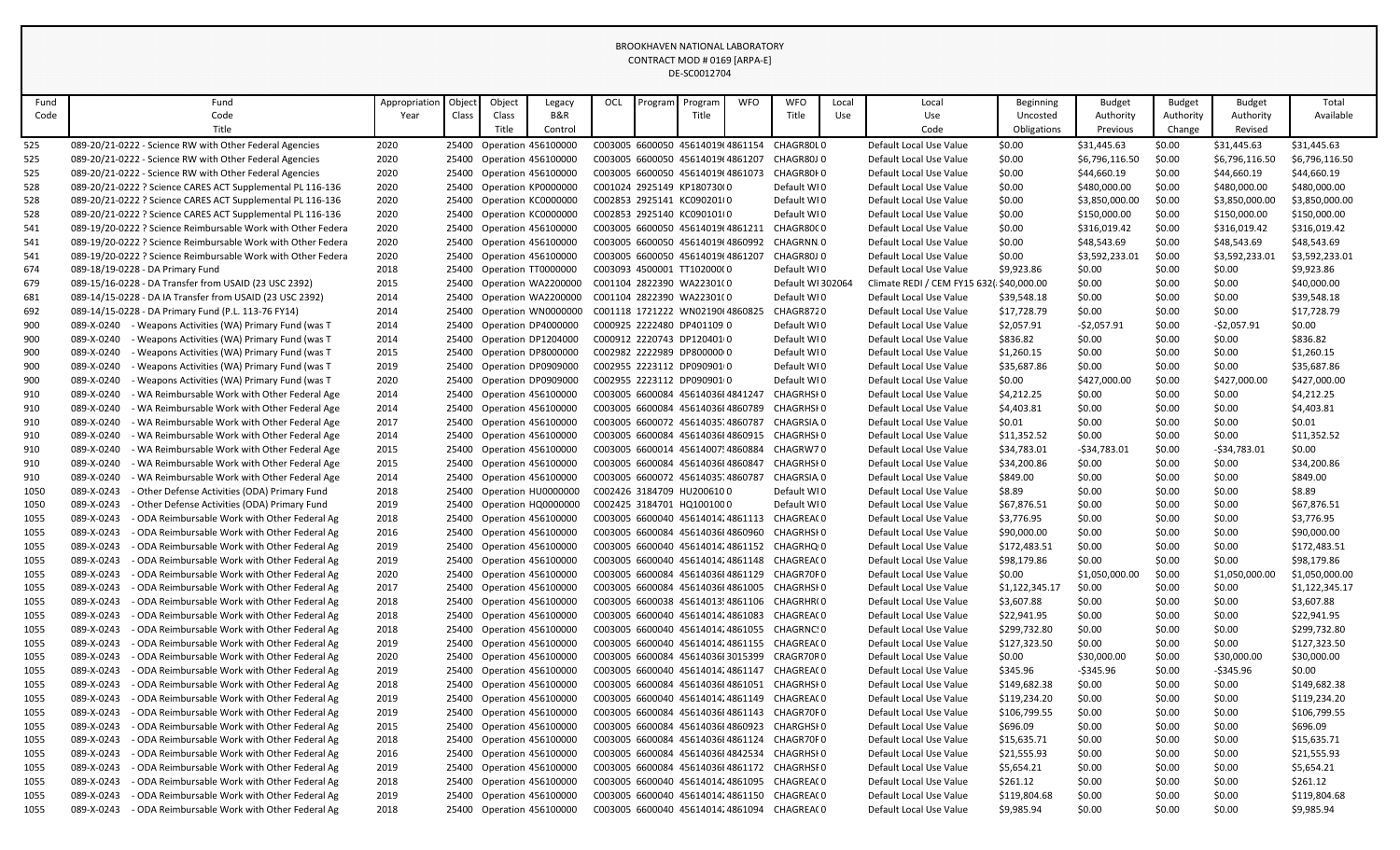|      |                                                                                                                                                                                                                                                                                                                                                                                                                                                  |                                                              |               |       |        |                           |     |         | BROOKHAVEN NATIONAL LABORATORY    |            |                                              |       |                         |                |                |                |                |                |
|------|--------------------------------------------------------------------------------------------------------------------------------------------------------------------------------------------------------------------------------------------------------------------------------------------------------------------------------------------------------------------------------------------------------------------------------------------------|--------------------------------------------------------------|---------------|-------|--------|---------------------------|-----|---------|-----------------------------------|------------|----------------------------------------------|-------|-------------------------|----------------|----------------|----------------|----------------|----------------|
|      |                                                                                                                                                                                                                                                                                                                                                                                                                                                  |                                                              |               |       |        |                           |     |         | CONTRACT MOD # 0169 [ARPA-E]      |            |                                              |       |                         |                |                |                |                |                |
|      |                                                                                                                                                                                                                                                                                                                                                                                                                                                  |                                                              |               |       |        |                           |     |         | DE-SC0012704                      |            |                                              |       |                         |                |                |                |                |                |
|      |                                                                                                                                                                                                                                                                                                                                                                                                                                                  |                                                              |               |       |        |                           |     |         |                                   |            |                                              |       |                         |                |                |                |                |                |
| Fund |                                                                                                                                                                                                                                                                                                                                                                                                                                                  | Fund                                                         | Appropriation | Objec | Object | Legacy                    | OCL | Program | Program                           | <b>WFO</b> | <b>WFO</b>                                   | Local | Local                   | Beginning      | <b>Budget</b>  | <b>Budget</b>  | <b>Budget</b>  | Total          |
| Code |                                                                                                                                                                                                                                                                                                                                                                                                                                                  | Code                                                         | Year          | Class | Class  | B&R                       |     |         | Title                             |            | Title                                        | Use   | Use                     | Uncosted       | Authority      | Authority      | Authority      | Available      |
|      |                                                                                                                                                                                                                                                                                                                                                                                                                                                  | Title                                                        |               |       | Title  | Control                   |     |         |                                   |            |                                              |       | Code                    | Obligations    | Previous       | Change         | Revised        |                |
| 525  |                                                                                                                                                                                                                                                                                                                                                                                                                                                  | 089-20/21-0222 - Science RW with Other Federal Agencies      | 2020          | 25400 |        | Operation 456100000       |     |         | C003005 6600050 45614019(4861154  |            | CHAGR80L0                                    |       | Default Local Use Value | \$0.00         | \$31,445.63    | \$0.00         | \$31,445.63    | \$31,445.63    |
| 525  |                                                                                                                                                                                                                                                                                                                                                                                                                                                  | 089-20/21-0222 - Science RW with Other Federal Agencies      | 2020          | 25400 |        | Operation 456100000       |     |         | C003005 6600050 45614019(4861207  |            | CHAGR80J0                                    |       | Default Local Use Value | \$0.00         | \$6,796,116.50 | \$0.00         | \$6,796,116.50 | \$6,796,116.50 |
| 525  |                                                                                                                                                                                                                                                                                                                                                                                                                                                  | 089-20/21-0222 - Science RW with Other Federal Agencies      | 2020          | 25400 |        | Operation 456100000       |     |         | C003005 6600050 45614019(4861073  |            | CHAGR80F0                                    |       | Default Local Use Value | \$0.00         | \$44,660.19    | \$0.00         | \$44,660.19    | \$44,660.19    |
| 528  |                                                                                                                                                                                                                                                                                                                                                                                                                                                  | 089-20/21-0222 ? Science CARES ACT Supplemental PL 116-136   | 2020          | 25400 |        | Operation KP0000000       |     |         | C001024 2925149 KP180730(0        |            | Default WI0                                  |       | Default Local Use Value | \$0.00         | \$480,000.00   | \$0.00         | \$480,000.00   | \$480,000.00   |
| 528  |                                                                                                                                                                                                                                                                                                                                                                                                                                                  | 089-20/21-0222 ? Science CARES ACT Supplemental PL 116-136   | 2020          |       |        | 25400 Operation KC0000000 |     |         | C002853 2925141 KC090201(0        |            | Default WI0                                  |       | Default Local Use Value | \$0.00         | \$3,850,000.00 | \$0.00         | \$3,850,000.00 | \$3,850,000.00 |
| 528  |                                                                                                                                                                                                                                                                                                                                                                                                                                                  | 089-20/21-0222 ? Science CARES ACT Supplemental PL 116-136   | 2020          |       |        | 25400 Operation KC0000000 |     |         | C002853 2925140 KC090101(0        |            | Default WI0                                  |       | Default Local Use Value | \$0.00         | \$150,000.00   | \$0.00         | \$150,000.00   | \$150,000.00   |
| 541  |                                                                                                                                                                                                                                                                                                                                                                                                                                                  | 089-19/20-0222 ? Science Reimbursable Work with Other Federa | 2020          | 25400 |        | Operation 456100000       |     |         | C003005 6600050 45614019(4861211  |            | CHAGR80C0                                    |       | Default Local Use Value | \$0.00         | \$316,019.42   | \$0.00         | \$316,019.42   | \$316,019.42   |
| 541  |                                                                                                                                                                                                                                                                                                                                                                                                                                                  | 089-19/20-0222 ? Science Reimbursable Work with Other Federa | 2020          | 25400 |        | Operation 456100000       |     |         | C003005 6600050 45614019(4860992  |            | CHAGRNN.0                                    |       | Default Local Use Value | \$0.00         | \$48,543.69    | \$0.00         | \$48,543.69    | \$48,543.69    |
| 541  | 089-19/20-0222 ? Science Reimbursable Work with Other Federa<br>2020<br>C003005 6600050 45614019(4861207<br>CHAGR80J0<br>\$3,592,233.01<br>\$0.00<br>\$3,592,233.01<br>25400 Operation 456100000<br>Default Local Use Value<br>\$0.00<br>089-18/19-0228 - DA Primary Fund<br>25400 Operation TT0000000<br>C003093 4500001 TT102000(0<br>\$0.00<br>\$9,923.86<br>2018<br>Default WI0<br>Default Local Use Value<br>\$9,923.86<br>\$0.00<br>\$0.00 |                                                              |               |       |        |                           |     |         |                                   |            |                                              |       |                         |                |                | \$3,592,233.01 |                |                |
| 674  |                                                                                                                                                                                                                                                                                                                                                                                                                                                  |                                                              |               |       |        |                           |     |         |                                   |            |                                              |       |                         |                |                |                |                |                |
| 679  | 089-15/16-0228 - DA Transfer from USAID (23 USC 2392)<br>2015<br>25400 Operation WA2200000<br>C001104 2822390 WA22301(0<br>Default WI 302064<br>Climate REDI / CEM FY15 632( \$40,000.00<br>\$0.00<br>\$0.00<br>\$0.00<br>\$40,000.00                                                                                                                                                                                                            |                                                              |               |       |        |                           |     |         |                                   |            |                                              |       |                         |                |                |                |                |                |
| 681  | 089-14/15-0228 - DA IA Transfer from USAID (23 USC 2392)<br>C001104 2822390 WA22301(0<br>Default WI0<br>\$0.00<br>\$0.00<br>\$0.00<br>2014<br>25400 Operation WA2200000<br>Default Local Use Value<br>\$39,548.18                                                                                                                                                                                                                                |                                                              |               |       |        |                           |     |         |                                   |            |                                              |       |                         |                |                |                |                |                |
| 692  | \$39,548.18<br>\$0.00<br>\$17,728.79<br>089-14/15-0228 - DA Primary Fund (P.L. 113-76 FY14)<br>2014<br>25400<br>Operation WN0000000<br>C001118 1721222 WN02190(4860825<br>CHAGR8720<br>Default Local Use Value<br>\$17,728.79<br>\$0.00<br>\$0.00                                                                                                                                                                                                |                                                              |               |       |        |                           |     |         |                                   |            |                                              |       |                         |                |                |                |                |                |
| 900  | 089-X-0240                                                                                                                                                                                                                                                                                                                                                                                                                                       | - Weapons Activities (WA) Primary Fund (was T                | 2014          |       |        | 25400 Operation DP4000000 |     |         | C000925 2222480 DP401109 0        |            | Default WI0                                  |       | Default Local Use Value | \$2,057.91     | -\$2,057.91    | \$0.00         | -\$2,057.91    | \$0.00         |
| 900  | 089-X-0240                                                                                                                                                                                                                                                                                                                                                                                                                                       | - Weapons Activities (WA) Primary Fund (was T                | 2014          | 25400 |        | Operation DP1204000       |     |         | C000912 2220743 DP1204010         |            | Default WI0                                  |       | Default Local Use Value | \$836.82       | \$0.00         | \$0.00         | \$0.00         | \$836.82       |
| 900  | 089-X-0240                                                                                                                                                                                                                                                                                                                                                                                                                                       | - Weapons Activities (WA) Primary Fund (was T                | 2015          | 25400 |        | Operation DP8000000       |     |         | C002982 2222989 DP800000 0        |            | Default WI0                                  |       | Default Local Use Value | \$1,260.15     | \$0.00         | \$0.00         | \$0.00         | \$1,260.15     |
| 900  | 089-X-0240                                                                                                                                                                                                                                                                                                                                                                                                                                       | - Weapons Activities (WA) Primary Fund (was T                | 2019          |       |        | 25400 Operation DP0909000 |     |         | C002955 2223112 DP0909010         |            | Default WI0                                  |       | Default Local Use Value | \$35,687.86    | \$0.00         | \$0.00         | \$0.00         | \$35,687.86    |
|      | 089-X-0240                                                                                                                                                                                                                                                                                                                                                                                                                                       |                                                              |               | 25400 |        |                           |     |         | C002955 2223112 DP0909010         |            |                                              |       |                         |                |                | \$0.00         |                | \$427,000.00   |
| 900  |                                                                                                                                                                                                                                                                                                                                                                                                                                                  | - Weapons Activities (WA) Primary Fund (was T                | 2020          |       |        | Operation DP0909000       |     |         |                                   |            | Default WI0                                  |       | Default Local Use Value | \$0.00         | \$427,000.00   |                | \$427,000.00   |                |
| 910  | 089-X-0240                                                                                                                                                                                                                                                                                                                                                                                                                                       | - WA Reimbursable Work with Other Federal Age                | 2014          | 25400 |        | Operation 456100000       |     |         | C003005 6600084 45614036I 4841247 |            | CHAGRHSI 0                                   |       | Default Local Use Value | \$4,212.25     | \$0.00         | \$0.00         | \$0.00         | \$4,212.25     |
| 910  | 089-X-0240                                                                                                                                                                                                                                                                                                                                                                                                                                       | - WA Reimbursable Work with Other Federal Age                | 2014          | 25400 |        | Operation 456100000       |     |         | C003005 6600084 45614036I 4860789 |            | CHAGRHSI 0                                   |       | Default Local Use Value | \$4,403.81     | \$0.00         | \$0.00         | \$0.00         | \$4,403.81     |
| 910  | 089-X-0240                                                                                                                                                                                                                                                                                                                                                                                                                                       | - WA Reimbursable Work with Other Federal Age                | 2017          | 25400 |        | Operation 456100000       |     |         | C003005 6600072 4561403514860787  |            | CHAGRSIA 0                                   |       | Default Local Use Value | \$0.01         | \$0.00         | \$0.00         | \$0.00         | \$0.01         |
| 910  | 089-X-0240                                                                                                                                                                                                                                                                                                                                                                                                                                       | - WA Reimbursable Work with Other Federal Age                | 2014          | 25400 |        | Operation 456100000       |     |         | C003005 6600084 45614036I 4860915 |            | CHAGRHSI 0                                   |       | Default Local Use Value | \$11,352.52    | \$0.00         | \$0.00         | \$0.00         | \$11,352.52    |
| 910  | 089-X-0240                                                                                                                                                                                                                                                                                                                                                                                                                                       | - WA Reimbursable Work with Other Federal Age                | 2015          |       |        | 25400 Operation 456100000 |     |         | C003005 6600014 45614007!4860884  |            | CHAGRW70                                     |       | Default Local Use Value | \$34,783.01    | -\$34,783.01   | \$0.00         | -\$34,783.01   | \$0.00         |
| 910  | 089-X-0240                                                                                                                                                                                                                                                                                                                                                                                                                                       | - WA Reimbursable Work with Other Federal Age                | 2015          | 25400 |        | Operation 456100000       |     |         | C003005 6600084 45614036I 4860847 |            | CHAGRHSI 0                                   |       | Default Local Use Value | \$34,200.86    | \$0.00         | \$0.00         | \$0.00         | \$34,200.86    |
| 910  | 089-X-0240                                                                                                                                                                                                                                                                                                                                                                                                                                       | - WA Reimbursable Work with Other Federal Age                | 2014          |       |        | 25400 Operation 456100000 |     |         | C003005 6600072 4561403574860787  |            | CHAGRSIA.0                                   |       | Default Local Use Value | \$849.00       | \$0.00         | \$0.00         | \$0.00         | \$849.00       |
| 1050 | 089-X-0243                                                                                                                                                                                                                                                                                                                                                                                                                                       | - Other Defense Activities (ODA) Primary Fund                | 2018          |       |        | 25400 Operation HU0000000 |     |         | C002426 3184709 HU2006100         |            | Default WI0                                  |       | Default Local Use Value | \$8.89         | \$0.00         | \$0.00         | \$0.00         | \$8.89         |
| 1050 | 089-X-0243                                                                                                                                                                                                                                                                                                                                                                                                                                       | - Other Defense Activities (ODA) Primary Fund                | 2019          | 25400 |        | Operation HQ0000000       |     |         | C002425 3184701 HQ1001000         |            | Default WI0                                  |       | Default Local Use Value | \$67,876.51    | \$0.00         | \$0.00         | \$0.00         | \$67,876.51    |
| 1055 | 089-X-0243                                                                                                                                                                                                                                                                                                                                                                                                                                       | - ODA Reimbursable Work with Other Federal Ag                | 2018          |       |        | 25400 Operation 456100000 |     |         | C003005 6600040 45614014;4861113  |            | CHAGREA(0                                    |       | Default Local Use Value | \$3,776.95     | \$0.00         | \$0.00         | \$0.00         | \$3,776.95     |
| 1055 | 089-X-0243                                                                                                                                                                                                                                                                                                                                                                                                                                       | - ODA Reimbursable Work with Other Federal Ag                | 2016          |       |        | 25400 Operation 456100000 |     |         | C003005 6600084 45614036I 4860960 |            | CHAGRHSI 0                                   |       | Default Local Use Value | \$90,000.00    | \$0.00         | \$0.00         | \$0.00         | \$90,000.00    |
| 1055 | 089-X-0243                                                                                                                                                                                                                                                                                                                                                                                                                                       | - ODA Reimbursable Work with Other Federal Ag                | 2019          | 25400 |        | Operation 456100000       |     |         | C003005 6600040 4561401424861152  |            | CHAGRHQ <sub>10</sub>                        |       | Default Local Use Value | \$172,483.51   | \$0.00         | \$0.00         | \$0.00         | \$172,483.51   |
| 1055 | 089-X-0243                                                                                                                                                                                                                                                                                                                                                                                                                                       | - ODA Reimbursable Work with Other Federal Ag                | 2019          |       |        | 25400 Operation 456100000 |     |         | C003005 6600040 45614014;4861148  |            | CHAGREA(0                                    |       | Default Local Use Value | \$98,179.86    | \$0.00         | \$0.00         | \$0.00         | \$98,179.86    |
| 1055 | 089-X-0243                                                                                                                                                                                                                                                                                                                                                                                                                                       | - ODA Reimbursable Work with Other Federal Ag                | 2020          | 25400 |        | Operation 456100000       |     |         | C003005 6600084 45614036I 4861129 |            | CHAGR70F0                                    |       | Default Local Use Value | \$0.00         | \$1,050,000.00 | \$0.00         | \$1,050,000.00 | \$1,050,000.00 |
| 1055 | 089-X-0243                                                                                                                                                                                                                                                                                                                                                                                                                                       | - ODA Reimbursable Work with Other Federal Ag                | 2017          | 25400 |        | Operation 456100000       |     |         | C003005 6600084 45614036I 4861005 |            | CHAGRHSI 0                                   |       | Default Local Use Value | \$1,122,345.17 | \$0.00         | \$0.00         | \$0.00         | \$1,122,345.17 |
| 1055 | 089-X-0243                                                                                                                                                                                                                                                                                                                                                                                                                                       | - ODA Reimbursable Work with Other Federal Ag                | 2018          |       |        | 25400 Operation 456100000 |     |         | C003005 6600038 45614013!4861106  |            | CHAGRHR(0                                    |       | Default Local Use Value | \$3,607.88     | \$0.00         | \$0.00         | \$0.00         | \$3,607.88     |
| 1055 | 089-X-0243                                                                                                                                                                                                                                                                                                                                                                                                                                       | - ODA Reimbursable Work with Other Federal Ag                | 2018          |       |        | 25400 Operation 456100000 |     |         | C003005 6600040 4561401424861083  |            | CHAGREA(0                                    |       | Default Local Use Value | \$22,941.95    | \$0.00         | \$0.00         | \$0.00         | \$22,941.95    |
| 1055 | 089-X-0243                                                                                                                                                                                                                                                                                                                                                                                                                                       | - ODA Reimbursable Work with Other Federal Ag                | 2018          | 25400 |        | Operation 456100000       |     |         | C003005 6600040 45614014;4861055  |            | CHAGRNC: 0                                   |       | Default Local Use Value | \$299,732.80   | \$0.00         | \$0.00         | \$0.00         | \$299,732.80   |
| 1055 | 089-X-0243                                                                                                                                                                                                                                                                                                                                                                                                                                       | - ODA Reimbursable Work with Other Federal Ag                | 2019          |       |        | 25400 Operation 456100000 |     |         |                                   |            | C003005 6600040 4561401424861155 CHAGREA(0   |       | Default Local Use Value | \$127,323.50   | \$0.00         | \$0.00         | \$0.00         | \$127,323.50   |
| 1055 | 089-X-0243                                                                                                                                                                                                                                                                                                                                                                                                                                       | - ODA Reimbursable Work with Other Federal Ag                | 2020          |       |        | 25400 Operation 456100000 |     |         | C003005 6600084 45614036I 3015399 |            | CRAGR70R0                                    |       | Default Local Use Value | \$0.00         | \$30,000.00    | \$0.00         | \$30,000.00    | \$30,000.00    |
| 1055 | 089-X-0243                                                                                                                                                                                                                                                                                                                                                                                                                                       | - ODA Reimbursable Work with Other Federal Ag                | 2019          |       |        | 25400 Operation 456100000 |     |         |                                   |            | C003005 6600040 4561401424861147 CHAGREA(0   |       | Default Local Use Value | \$345.96       | -\$345.96      | \$0.00         | -\$345.96      | \$0.00         |
| 1055 | 089-X-0243                                                                                                                                                                                                                                                                                                                                                                                                                                       | - ODA Reimbursable Work with Other Federal Ag                | 2018          |       |        | 25400 Operation 456100000 |     |         |                                   |            | C003005 6600084 45614036I 4861051 CHAGRHSI 0 |       | Default Local Use Value | \$149,682.38   | \$0.00         | \$0.00         | \$0.00         | \$149,682.38   |
| 1055 | 089-X-0243                                                                                                                                                                                                                                                                                                                                                                                                                                       | - ODA Reimbursable Work with Other Federal Ag                | 2019          |       |        | 25400 Operation 456100000 |     |         |                                   |            | C003005 6600040 4561401424861149 CHAGREA(0   |       | Default Local Use Value | \$119,234.20   | \$0.00         | \$0.00         | \$0.00         | \$119,234.20   |
| 1055 | 089-X-0243                                                                                                                                                                                                                                                                                                                                                                                                                                       | - ODA Reimbursable Work with Other Federal Ag                | 2019          |       |        | 25400 Operation 456100000 |     |         |                                   |            | C003005 6600084 45614036I 4861143 CHAGR70F0  |       | Default Local Use Value | \$106,799.55   | \$0.00         | \$0.00         | \$0.00         | \$106,799.55   |
| 1055 | 089-X-0243                                                                                                                                                                                                                                                                                                                                                                                                                                       | - ODA Reimbursable Work with Other Federal Ag                | 2015          |       |        | 25400 Operation 456100000 |     |         |                                   |            | C003005 6600084 45614036I 4860923 CHARGHSI 0 |       | Default Local Use Value | \$696.09       | \$0.00         | \$0.00         | \$0.00         | \$696.09       |
| 1055 | 089-X-0243                                                                                                                                                                                                                                                                                                                                                                                                                                       | - ODA Reimbursable Work with Other Federal Ag                | 2018          |       |        | 25400 Operation 456100000 |     |         |                                   |            | C003005 6600084 45614036I 4861124 CHAGR70F0  |       | Default Local Use Value | \$15,635.71    | \$0.00         | \$0.00         | \$0.00         | \$15,635.71    |
| 1055 | 089-X-0243                                                                                                                                                                                                                                                                                                                                                                                                                                       | - ODA Reimbursable Work with Other Federal Ag                | 2016          |       |        | 25400 Operation 456100000 |     |         |                                   |            | C003005 6600084 45614036I 4842534 CHAGRHSI 0 |       | Default Local Use Value | \$21,555.93    | \$0.00         | \$0.00         | \$0.00         | \$21,555.93    |
| 1055 | 089-X-0243                                                                                                                                                                                                                                                                                                                                                                                                                                       | - ODA Reimbursable Work with Other Federal Ag                | 2019          |       |        | 25400 Operation 456100000 |     |         |                                   |            | C003005 6600084 45614036I 4861172 CHAGRHSF0  |       | Default Local Use Value | \$5,654.21     | \$0.00         | \$0.00         | \$0.00         | \$5,654.21     |
| 1055 | 089-X-0243                                                                                                                                                                                                                                                                                                                                                                                                                                       | - ODA Reimbursable Work with Other Federal Ag                | 2018          |       |        | 25400 Operation 456100000 |     |         |                                   |            | C003005 6600040 4561401424861095 CHAGREA(0   |       | Default Local Use Value | \$261.12       | \$0.00         | \$0.00         | \$0.00         | \$261.12       |
| 1055 | 089-X-0243                                                                                                                                                                                                                                                                                                                                                                                                                                       | - ODA Reimbursable Work with Other Federal Ag                | 2019          |       |        | 25400 Operation 456100000 |     |         |                                   |            | C003005 6600040 4561401424861150 CHAGREA(0   |       | Default Local Use Value | \$119,804.68   | \$0.00         | \$0.00         | \$0.00         | \$119,804.68   |
|      |                                                                                                                                                                                                                                                                                                                                                                                                                                                  |                                                              | 2018          |       |        |                           |     |         |                                   |            |                                              |       |                         |                |                |                |                | \$9,985.94     |
| 1055 | 089-X-0243                                                                                                                                                                                                                                                                                                                                                                                                                                       | - ODA Reimbursable Work with Other Federal Ag                |               |       |        | 25400 Operation 456100000 |     |         |                                   |            | C003005 6600040 4561401424861094 CHAGREA(0   |       | Default Local Use Value | \$9,985.94     | \$0.00         | \$0.00         | \$0.00         |                |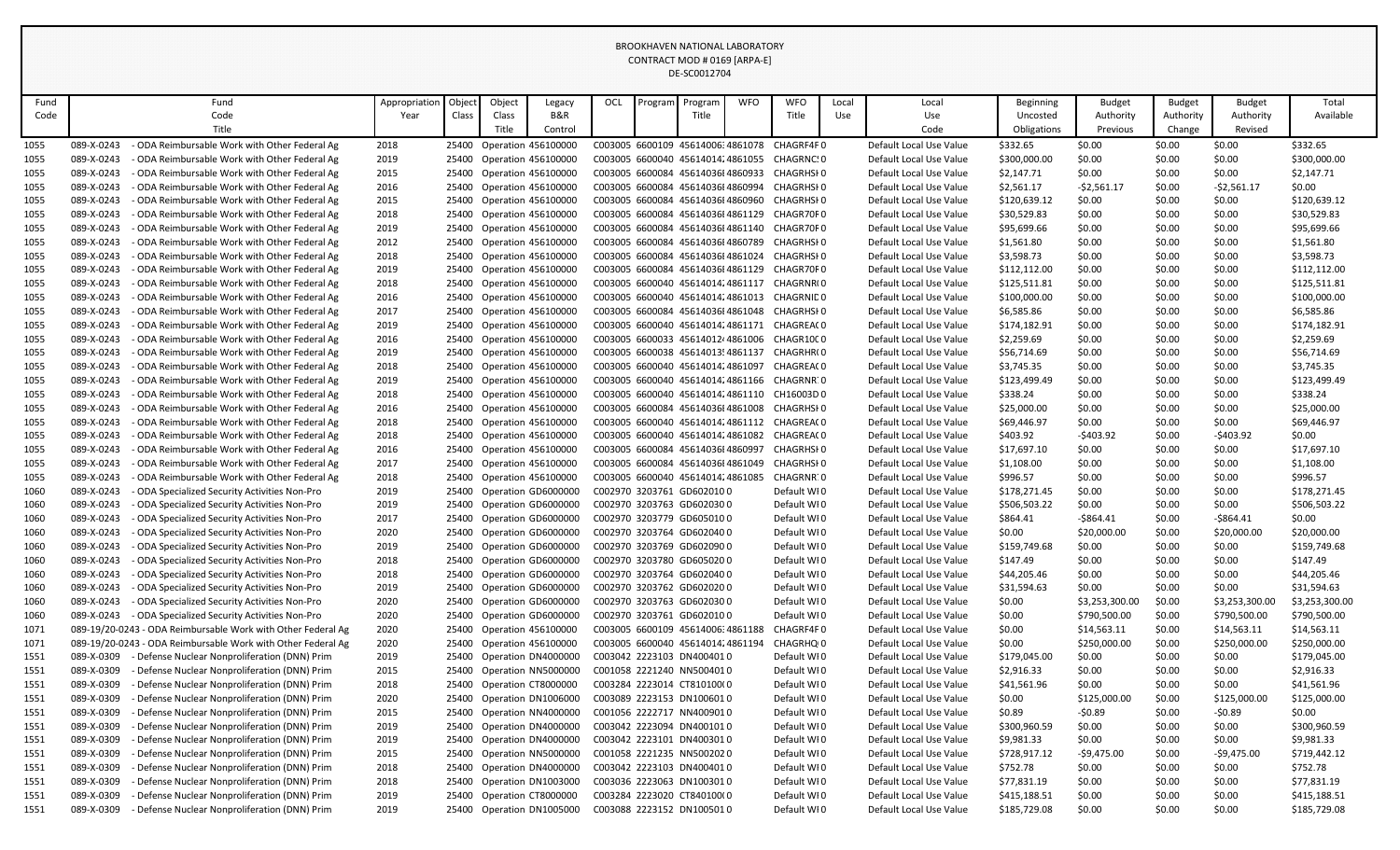|      |            |                                                              |               |       |        |                           |     |         | BROOKHAVEN NATIONAL LABORATORY    |            |                                             |       |                         |              |                |               |                |                |
|------|------------|--------------------------------------------------------------|---------------|-------|--------|---------------------------|-----|---------|-----------------------------------|------------|---------------------------------------------|-------|-------------------------|--------------|----------------|---------------|----------------|----------------|
|      |            |                                                              |               |       |        |                           |     |         | CONTRACT MOD # 0169 [ARPA-E]      |            |                                             |       |                         |              |                |               |                |                |
|      |            |                                                              |               |       |        |                           |     |         | DE-SC0012704                      |            |                                             |       |                         |              |                |               |                |                |
|      |            |                                                              |               |       |        |                           |     |         |                                   |            |                                             |       |                         |              |                |               |                |                |
| Fund |            | Fund                                                         | Appropriation | Objec | Object | Legacy                    | OCL | Program | Program                           | <b>WFO</b> | <b>WFO</b>                                  | Local | Local                   | Beginning    | <b>Budget</b>  | <b>Budget</b> | <b>Budget</b>  | Total          |
| Code |            | Code                                                         | Year          | Class | Class  | B&R                       |     |         | Title                             |            | Title                                       | Use   | Use                     | Uncosted     | Authority      | Authority     | Authority      | Available      |
|      |            | Title                                                        |               |       | Title  | Control                   |     |         |                                   |            |                                             |       | Code                    | Obligations  | Previous       | Change        | Revised        |                |
| 1055 | 089-X-0243 | ODA Reimbursable Work with Other Federal Ag                  | 2018          | 25400 |        | Operation 456100000       |     |         | C003005 6600109 45614006:4861078  |            | CHAGRF4F0                                   |       | Default Local Use Value | \$332.65     | \$0.00         | \$0.00        | \$0.00         | \$332.65       |
| 1055 | 089-X-0243 | - ODA Reimbursable Work with Other Federal Ag                | 2019          |       |        | 25400 Operation 456100000 |     |         | C003005 6600040 4561401424861055  |            | CHAGRNC.0                                   |       | Default Local Use Value | \$300,000.00 | \$0.00         | \$0.00        | \$0.00         | \$300,000.00   |
| 1055 | 089-X-0243 | - ODA Reimbursable Work with Other Federal Ag                | 2015          | 25400 |        | Operation 456100000       |     |         | C003005 6600084 45614036I 4860933 |            | CHAGRHSI 0                                  |       | Default Local Use Value | \$2,147.71   | \$0.00         | \$0.00        | \$0.00         | \$2,147.71     |
| 1055 | 089-X-0243 | - ODA Reimbursable Work with Other Federal Ag                | 2016          |       |        | 25400 Operation 456100000 |     |         | C003005 6600084 45614036I 4860994 |            | CHAGRHSI 0                                  |       | Default Local Use Value | \$2,561.17   | $-$ \$2,561.17 | \$0.00        | $-52,561.17$   | \$0.00         |
| 1055 | 089-X-0243 | ODA Reimbursable Work with Other Federal Ag                  | 2015          |       |        | 25400 Operation 456100000 |     |         | C003005 6600084 45614036I 4860960 |            | CHAGRHSI 0                                  |       | Default Local Use Value | \$120,639.12 | \$0.00         | \$0.00        | \$0.00         | \$120,639.12   |
| 1055 | 089-X-0243 | ODA Reimbursable Work with Other Federal Ag                  | 2018          | 25400 |        | Operation 456100000       |     |         | C003005 6600084 45614036I 4861129 |            | CHAGR70F0                                   |       | Default Local Use Value | \$30,529.83  | \$0.00         | \$0.00        | \$0.00         | \$30,529.83    |
| 1055 | 089-X-0243 | - ODA Reimbursable Work with Other Federal Ag                | 2019          |       |        | 25400 Operation 456100000 |     |         |                                   |            | C003005 6600084 45614036I 4861140 CHAGR70F0 |       | Default Local Use Value | \$95,699.66  | \$0.00         | \$0.00        | \$0.00         | \$95,699.66    |
| 1055 | 089-X-0243 | - ODA Reimbursable Work with Other Federal Ag                | 2012          |       |        | 25400 Operation 456100000 |     |         | C003005 6600084 45614036I 4860789 |            | CHAGRHSI 0                                  |       | Default Local Use Value | \$1,561.80   | \$0.00         | \$0.00        | \$0.00         | \$1,561.80     |
| 1055 | 089-X-0243 | - ODA Reimbursable Work with Other Federal Ag                | 2018          |       |        | 25400 Operation 456100000 |     |         | C003005 6600084 45614036I 4861024 |            | CHAGRHSI 0                                  |       | Default Local Use Value | \$3,598.73   | \$0.00         | \$0.00        | \$0.00         | \$3,598.73     |
| 1055 | 089-X-0243 | - ODA Reimbursable Work with Other Federal Ag                | 2019          |       |        | 25400 Operation 456100000 |     |         | C003005 6600084 45614036I4861129  |            | CHAGR70F0                                   |       | Default Local Use Value | \$112,112.00 | \$0.00         | \$0.00        | \$0.00         | \$112,112.00   |
| 1055 | 089-X-0243 | - ODA Reimbursable Work with Other Federal Ag                | 2018          |       |        | 25400 Operation 456100000 |     |         | C003005 6600040 4561401424861117  |            | CHAGRNR(0                                   |       | Default Local Use Value | \$125,511.81 | \$0.00         | \$0.00        | \$0.00         | \$125,511.81   |
| 1055 | 089-X-0243 | - ODA Reimbursable Work with Other Federal Ag                | 2016          |       |        | 25400 Operation 456100000 |     |         | C003005 6600040 4561401424861013  |            | CHAGRNID 0                                  |       | Default Local Use Value | \$100,000.00 | \$0.00         | \$0.00        | \$0.00         | \$100,000.00   |
| 1055 | 089-X-0243 | - ODA Reimbursable Work with Other Federal Ag                | 2017          |       |        | 25400 Operation 456100000 |     |         | C003005 6600084 45614036I4861048  |            | CHAGRHSI 0                                  |       | Default Local Use Value | \$6,585.86   | \$0.00         | \$0.00        | \$0.00         | \$6,585.86     |
| 1055 | 089-X-0243 | - ODA Reimbursable Work with Other Federal Ag                | 2019          |       |        | 25400 Operation 456100000 |     |         | C003005 6600040 45614014;4861171  |            | CHAGREA(0                                   |       | Default Local Use Value | \$174,182.91 | \$0.00         | \$0.00        | \$0.00         | \$174,182.91   |
| 1055 | 089-X-0243 | - ODA Reimbursable Work with Other Federal Ag                | 2016          |       |        | 25400 Operation 456100000 |     |         | C003005 6600033 4561401244861006  |            | CHAGR10C0                                   |       | Default Local Use Value | \$2,259.69   | \$0.00         | \$0.00        | \$0.00         | \$2,259.69     |
| 1055 | 089-X-0243 | - ODA Reimbursable Work with Other Federal Ag                | 2019          |       |        |                           |     |         | C003005 6600038 45614013!4861137  |            | CHAGRHR(0                                   |       | Default Local Use Value | \$56,714.69  | \$0.00         | \$0.00        | \$0.00         | \$56,714.69    |
|      |            |                                                              |               |       |        | 25400 Operation 456100000 |     |         | C003005 6600040 45614014;4861097  |            |                                             |       |                         |              |                |               |                |                |
| 1055 | 089-X-0243 | ODA Reimbursable Work with Other Federal Ag                  | 2018          |       |        | 25400 Operation 456100000 |     |         |                                   |            | CHAGREA(0                                   |       | Default Local Use Value | \$3,745.35   | \$0.00         | \$0.00        | \$0.00         | \$3,745.35     |
| 1055 | 089-X-0243 | - ODA Reimbursable Work with Other Federal Ag                | 2019          |       |        | 25400 Operation 456100000 |     |         | C003005 6600040 4561401424861166  |            | CHAGRNR.0                                   |       | Default Local Use Value | \$123,499.49 | \$0.00         | \$0.00        | \$0.00         | \$123,499.49   |
| 1055 | 089-X-0243 | - ODA Reimbursable Work with Other Federal Ag                | 2018          |       |        | 25400 Operation 456100000 |     |         |                                   |            | C003005 6600040 4561401424861110 CH16003D0  |       | Default Local Use Value | \$338.24     | \$0.00         | \$0.00        | \$0.00         | \$338.24       |
| 1055 | 089-X-0243 | ODA Reimbursable Work with Other Federal Ag                  | 2016          |       |        | 25400 Operation 456100000 |     |         | C003005 6600084 45614036I 4861008 |            | CHAGRHSI 0                                  |       | Default Local Use Value | \$25,000.00  | \$0.00         | \$0.00        | \$0.00         | \$25,000.00    |
| 1055 | 089-X-0243 | - ODA Reimbursable Work with Other Federal Ag                | 2018          |       |        | 25400 Operation 456100000 |     |         | C003005 6600040 4561401424861112  |            | CHAGREA(0                                   |       | Default Local Use Value | \$69,446.97  | \$0.00         | \$0.00        | \$0.00         | \$69,446.97    |
| 1055 | 089-X-0243 | ODA Reimbursable Work with Other Federal Ag                  | 2018          |       |        | 25400 Operation 456100000 |     |         | C003005 6600040 45614014;4861082  |            | CHAGREA(0                                   |       | Default Local Use Value | \$403.92     | $-$ \$403.92   | \$0.00        | $-5403.92$     | \$0.00         |
| 1055 | 089-X-0243 | - ODA Reimbursable Work with Other Federal Ag                | 2016          |       |        | 25400 Operation 456100000 |     |         | C003005 6600084 45614036I 4860997 |            | CHAGRHSI 0                                  |       | Default Local Use Value | \$17,697.10  | \$0.00         | \$0.00        | \$0.00         | \$17,697.10    |
| 1055 | 089-X-0243 | - ODA Reimbursable Work with Other Federal Ag                | 2017          |       |        | 25400 Operation 456100000 |     |         | C003005 6600084 45614036I 4861049 |            | <b>CHAGRHSI0</b>                            |       | Default Local Use Value | \$1,108.00   | \$0.00         | \$0.00        | \$0.00         | \$1,108.00     |
| 1055 | 089-X-0243 | - ODA Reimbursable Work with Other Federal Ag                | 2018          |       |        | 25400 Operation 456100000 |     |         | C003005 6600040 4561401424861085  |            | CHAGRNR 0                                   |       | Default Local Use Value | \$996.57     | \$0.00         | \$0.00        | \$0.00         | \$996.57       |
| 1060 | 089-X-0243 | - ODA Specialized Security Activities Non-Pro                | 2019          |       |        | 25400 Operation GD6000000 |     |         | C002970 3203761 GD6020100         |            | Default WI0                                 |       | Default Local Use Value | \$178,271.45 | \$0.00         | \$0.00        | \$0.00         | \$178,271.45   |
| 1060 | 089-X-0243 | - ODA Specialized Security Activities Non-Pro                | 2019          |       |        | 25400 Operation GD6000000 |     |         | C002970 3203763 GD6020300         |            | Default WI0                                 |       | Default Local Use Value | \$506,503.22 | \$0.00         | \$0.00        | \$0.00         | \$506,503.22   |
| 1060 | 089-X-0243 | ODA Specialized Security Activities Non-Pro                  | 2017          |       |        | 25400 Operation GD6000000 |     |         | C002970 3203779 GD6050100         |            | Default WI0                                 |       | Default Local Use Value | \$864.41     | -\$864.41      | \$0.00        | $-$ \$864.41   | \$0.00         |
| 1060 | 089-X-0243 | ODA Specialized Security Activities Non-Pro                  | 2020          |       |        | 25400 Operation GD6000000 |     |         | C002970 3203764 GD6020400         |            | Default WI0                                 |       | Default Local Use Value | \$0.00       | \$20,000.00    | \$0.00        | \$20,000.00    | \$20,000.00    |
| 1060 | 089-X-0243 | ODA Specialized Security Activities Non-Pro                  | 2019          | 25400 |        | Operation GD6000000       |     |         | C002970 3203769 GD6020900         |            | Default WI0                                 |       | Default Local Use Value | \$159,749.68 | \$0.00         | \$0.00        | \$0.00         | \$159,749.68   |
| 1060 | 089-X-0243 | ODA Specialized Security Activities Non-Pro                  | 2018          |       |        | 25400 Operation GD6000000 |     |         | C002970 3203780 GD6050200         |            | Default WI0                                 |       | Default Local Use Value | \$147.49     | \$0.00         | \$0.00        | \$0.00         | \$147.49       |
| 1060 | 089-X-0243 | - ODA Specialized Security Activities Non-Pro                | 2018          | 25400 |        | Operation GD6000000       |     |         | C002970 3203764 GD6020400         |            | Default WI0                                 |       | Default Local Use Value | \$44,205.46  | \$0.00         | \$0.00        | \$0.00         | \$44,205.46    |
| 1060 | 089-X-0243 | - ODA Specialized Security Activities Non-Pro                | 2019          | 25400 |        | Operation GD6000000       |     |         | C002970 3203762 GD602020 0        |            | Default WI0                                 |       | Default Local Use Value | \$31,594.63  | \$0.00         | \$0.00        | \$0.00         | \$31,594.63    |
| 1060 | 089-X-0243 | - ODA Specialized Security Activities Non-Pro                | 2020          |       |        | 25400 Operation GD6000000 |     |         | C002970 3203763 GD6020300         |            | Default WI0                                 |       | Default Local Use Value | \$0.00       | \$3,253,300.00 | \$0.00        | \$3,253,300.00 | \$3,253,300.00 |
| 1060 | 089-X-0243 | - ODA Specialized Security Activities Non-Pro                | 2020          |       |        | 25400 Operation GD6000000 |     |         | C002970 3203761 GD6020100         |            | Default WI0                                 |       | Default Local Use Value | \$0.00       | \$790,500.00   | \$0.00        | \$790,500.00   | \$790,500.00   |
| 1071 |            | 089-19/20-0243 - ODA Reimbursable Work with Other Federal Ag | 2020          |       |        | 25400 Operation 456100000 |     |         | C003005 6600109 45614006:4861188  |            | CHAGRF4F0                                   |       | Default Local Use Value | \$0.00       | \$14,563.11    | \$0.00        | \$14,563.11    | \$14,563.11    |
| 1071 |            | 089-19/20-0243 - ODA Reimbursable Work with Other Federal Ag | 2020          |       |        | 25400 Operation 456100000 |     |         | C003005 6600040 45614014;4861194  |            | CHAGRHQ <sub>0</sub>                        |       | Default Local Use Value | \$0.00       | \$250,000.00   | \$0.00        | \$250,000.00   | \$250,000.00   |
| 1551 | 089-X-0309 | - Defense Nuclear Nonproliferation (DNN) Prim                | 2019          |       |        | 25400 Operation DN4000000 |     |         | C003042 2223103 DN4004010         |            | Default WI0                                 |       | Default Local Use Value | \$179,045.00 | \$0.00         | \$0.00        | \$0.00         | \$179,045.00   |
| 1551 | 089-X-0309 | - Defense Nuclear Nonproliferation (DNN) Prim                | 2015          |       |        | 25400 Operation NN5000000 |     |         | C001058 2221240 NN5004010         |            | Default WI0                                 |       | Default Local Use Value | \$2,916.33   | \$0.00         | \$0.00        | \$0.00         | \$2,916.33     |
| 1551 | 089-X-0309 | - Defense Nuclear Nonproliferation (DNN) Prim                | 2018          |       |        | 25400 Operation CT8000000 |     |         | C003284 2223014 CT810100(0        |            | Default WI0                                 |       | Default Local Use Value | \$41,561.96  | \$0.00         | \$0.00        | \$0.00         | \$41,561.96    |
|      | 089-X-0309 | - Defense Nuclear Nonproliferation (DNN) Prim                | 2020          |       |        | 25400 Operation DN1006000 |     |         | C003089 2223153 DN1006010         |            | Default WI0                                 |       | Default Local Use Value |              | \$125,000.00   | \$0.00        | \$125,000.00   | \$125,000.00   |
| 1551 |            | - Defense Nuclear Nonproliferation (DNN) Prim                |               |       |        | 25400 Operation NN4000000 |     |         |                                   |            |                                             |       |                         | \$0.00       |                |               |                |                |
| 1551 | 089-X-0309 |                                                              | 2015          |       |        |                           |     |         | C001056 2222717 NN4009010         |            | Default WI0                                 |       | Default Local Use Value | \$0.89       | $-50.89$       | \$0.00        | -\$0.89        | \$0.00         |
| 1551 | 089-X-0309 | - Defense Nuclear Nonproliferation (DNN) Prim                | 2019          |       |        | 25400 Operation DN4000000 |     |         | C003042 2223094 DN4001010         |            | Default WI0                                 |       | Default Local Use Value | \$300,960.59 | \$0.00         | \$0.00        | \$0.00         | \$300,960.59   |
| 1551 | 089-X-0309 | - Defense Nuclear Nonproliferation (DNN) Prim                | 2019          |       |        | 25400 Operation DN4000000 |     |         | C003042 2223101 DN4003010         |            | Default WI0                                 |       | Default Local Use Value | \$9,981.33   | \$0.00         | \$0.00        | \$0.00         | \$9,981.33     |
| 1551 | 089-X-0309 | - Defense Nuclear Nonproliferation (DNN) Prim                | 2015          |       |        | 25400 Operation NN5000000 |     |         | C001058 2221235 NN5002020         |            | Default WI0                                 |       | Default Local Use Value | \$728,917.12 | $-$9,475.00$   | \$0.00        | $-$ \$9,475.00 | \$719,442.12   |
| 1551 | 089-X-0309 | - Defense Nuclear Nonproliferation (DNN) Prim                | 2018          |       |        | 25400 Operation DN4000000 |     |         | C003042 2223103 DN4004010         |            | Default WI0                                 |       | Default Local Use Value | \$752.78     | \$0.00         | \$0.00        | \$0.00         | \$752.78       |
| 1551 | 089-X-0309 | - Defense Nuclear Nonproliferation (DNN) Prim                | 2018          |       |        | 25400 Operation DN1003000 |     |         | C003036 2223063 DN1003010         |            | Default WI0                                 |       | Default Local Use Value | \$77,831.19  | \$0.00         | \$0.00        | \$0.00         | \$77,831.19    |
| 1551 | 089-X-0309 | - Defense Nuclear Nonproliferation (DNN) Prim                | 2019          |       |        | 25400 Operation CT8000000 |     |         | C003284 2223020 CT840100(0        |            | Default WIO                                 |       | Default Local Use Value | \$415,188.51 | \$0.00         | \$0.00        | \$0.00         | \$415,188.51   |
| 1551 | 089-X-0309 | - Defense Nuclear Nonproliferation (DNN) Prim                | 2019          |       |        | 25400 Operation DN1005000 |     |         | C003088 2223152 DN1005010         |            | Default WI0                                 |       | Default Local Use Value | \$185,729.08 | \$0.00         | \$0.00        | \$0.00         | \$185,729.08   |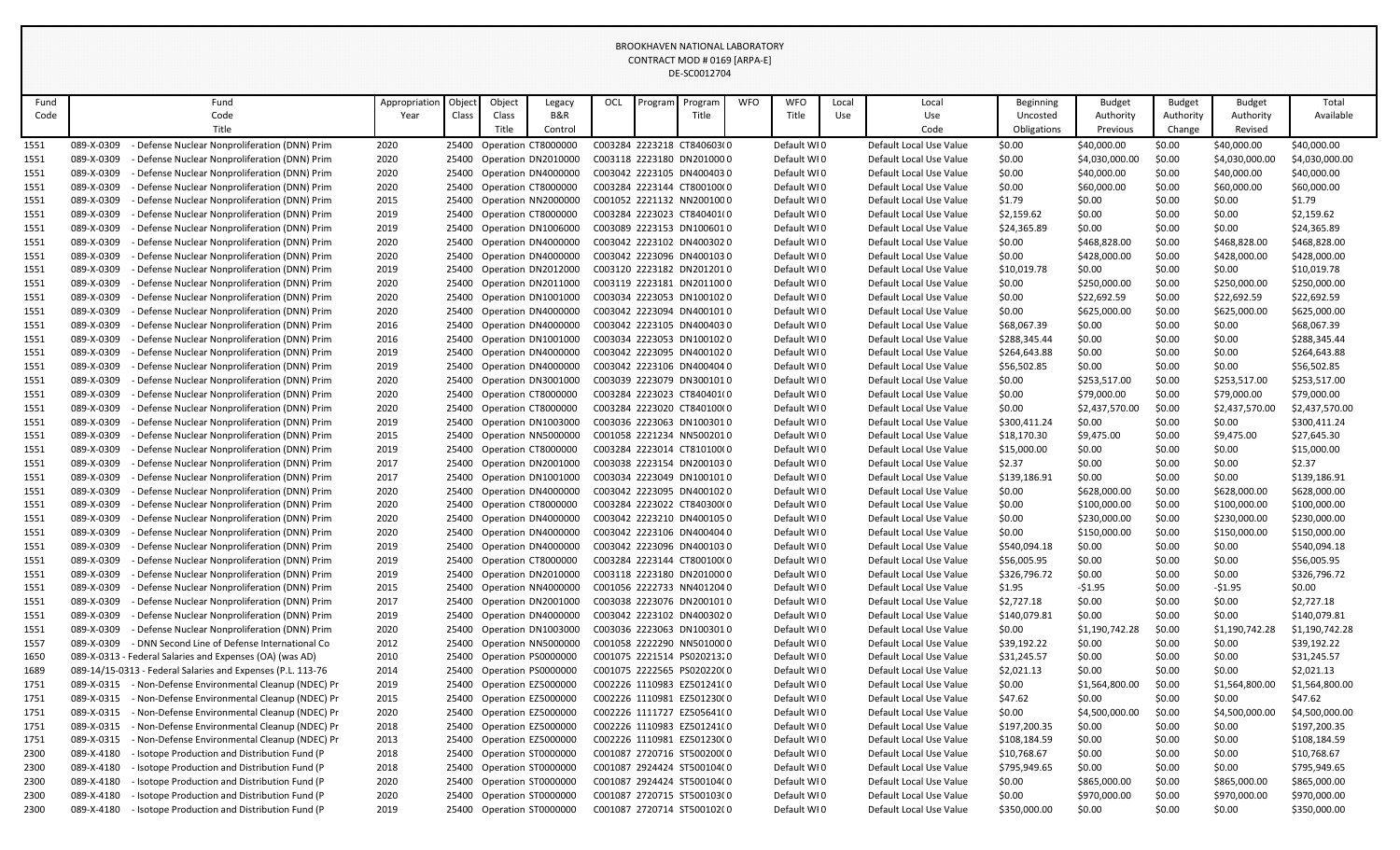|              |                          |                                                                                            |               |                |                |                                            |     |         | <b>BROOKHAVEN NATIONAL LABORATORY</b>                   |            |                            |       |                                                    |                         |                              |                     |                             |                             |
|--------------|--------------------------|--------------------------------------------------------------------------------------------|---------------|----------------|----------------|--------------------------------------------|-----|---------|---------------------------------------------------------|------------|----------------------------|-------|----------------------------------------------------|-------------------------|------------------------------|---------------------|-----------------------------|-----------------------------|
|              |                          |                                                                                            |               |                |                |                                            |     |         | CONTRACT MOD # 0169 [ARPA-E]                            |            |                            |       |                                                    |                         |                              |                     |                             |                             |
|              |                          |                                                                                            |               |                |                |                                            |     |         | DE-SC0012704                                            |            |                            |       |                                                    |                         |                              |                     |                             |                             |
|              |                          |                                                                                            |               |                |                |                                            |     |         |                                                         |            |                            |       |                                                    |                         |                              |                     |                             |                             |
| Fund         |                          | Fund                                                                                       | Appropriation | Object         | Object         | Legacy                                     | OCL | Program | Program                                                 | <b>WFO</b> | <b>WFO</b>                 | Local | Local                                              | Beginning               | Budget                       | <b>Budget</b>       | <b>Budget</b>               | Total                       |
| Code         |                          | Code<br>Title                                                                              | Year          | Class          | Class<br>Title | B&R<br>Control                             |     |         | Title                                                   |            | Title                      | Use   | Use<br>Code                                        | Uncosted<br>Obligations | Authority<br>Previous        | Authority<br>Change | Authority<br>Revised        | Available                   |
|              |                          |                                                                                            |               |                |                |                                            |     |         |                                                         |            |                            |       |                                                    |                         |                              |                     |                             |                             |
| 1551         | 089-X-0309               | Defense Nuclear Nonproliferation (DNN) Prim                                                | 2020          | 25400          |                | Operation CT8000000                        |     |         | C003284 2223218 CT840603(0                              |            | Default WI0                |       | Default Local Use Value                            | \$0.00                  | \$40,000.00                  | \$0.00              | \$40,000.00                 | \$40,000.00                 |
| 1551         | 089-X-0309               | Defense Nuclear Nonproliferation (DNN) Prim                                                | 2020          | 25400          |                | Operation DN2010000                        |     |         | C003118 2223180 DN2010000                               |            | Default WI0                |       | Default Local Use Value                            | \$0.00                  | \$4,030,000.00               | \$0.00              | \$4,030,000.00              | \$4,030,000.00              |
| 1551         | 089-X-0309               | Defense Nuclear Nonproliferation (DNN) Prim                                                | 2020          | 25400          |                | Operation DN4000000                        |     |         | C003042 2223105 DN4004030                               |            | Default WI0                |       | Default Local Use Value                            | \$0.00                  | \$40,000.00                  | \$0.00              | \$40,000.00                 | \$40,000.00                 |
| 1551         | 089-X-0309               | Defense Nuclear Nonproliferation (DNN) Prim                                                | 2020          | 25400          |                | Operation CT8000000                        |     |         | C003284 2223144 CT800100(0<br>C001052 2221132 NN2001000 |            | Default WI0                |       | Default Local Use Value                            | \$0.00                  | \$60,000.00                  | \$0.00              | \$60,000.00                 | \$60,000.00                 |
| 1551         | 089-X-0309               | Defense Nuclear Nonproliferation (DNN) Prim                                                | 2015          | 25400          |                | Operation NN2000000                        |     |         |                                                         |            | Default WI0                |       | Default Local Use Value                            | \$1.79                  | \$0.00                       | \$0.00              | \$0.00                      | \$1.79                      |
| 1551         | 089-X-0309               | Defense Nuclear Nonproliferation (DNN) Prim<br>Defense Nuclear Nonproliferation (DNN) Prim | 2019          | 25400          |                | Operation CT8000000                        |     |         | C003284 2223023 CT840401(0                              |            | Default WI0                |       | Default Local Use Value                            | \$2,159.62              | \$0.00                       | \$0.00              | \$0.00                      | \$2,159.62                  |
| 1551         | 089-X-0309<br>089-X-0309 |                                                                                            | 2019          | 25400          |                | Operation DN1006000                        |     |         | C003089 2223153 DN1006010<br>C003042 2223102 DN4003020  |            | Default WI0                |       | Default Local Use Value                            | \$24,365.89             | \$0.00                       | \$0.00              | \$0.00                      | \$24,365.89<br>\$468,828.00 |
| 1551<br>1551 | 089-X-0309               | Defense Nuclear Nonproliferation (DNN) Prim                                                | 2020          | 25400          |                | Operation DN4000000                        |     |         | C003042 2223096 DN4001030                               |            | Default WI0                |       | Default Local Use Value                            | \$0.00                  | \$468,828.00<br>\$428,000.00 | \$0.00<br>\$0.00    | \$468,828.00                | \$428,000.00                |
|              | 089-X-0309               | Defense Nuclear Nonproliferation (DNN) Prim<br>Defense Nuclear Nonproliferation (DNN) Prim | 2020          | 25400<br>25400 |                | Operation DN4000000                        |     |         | C003120 2223182 DN2012010                               |            | Default WI0                |       | Default Local Use Value                            | \$0.00                  |                              | \$0.00              | \$428,000.00                |                             |
| 1551         | 089-X-0309               |                                                                                            | 2019          |                |                | Operation DN2012000                        |     |         | C003119 2223181 DN2011000                               |            | Default WI0                |       | Default Local Use Value                            | \$10,019.78             | \$0.00                       |                     | \$0.00                      | \$10,019.78                 |
| 1551<br>1551 | 089-X-0309               | Defense Nuclear Nonproliferation (DNN) Prim<br>Defense Nuclear Nonproliferation (DNN) Prim | 2020<br>2020  | 25400<br>25400 |                | Operation DN2011000                        |     |         | C003034 2223053 DN1001020                               |            | Default WI0<br>Default WI0 |       | Default Local Use Value<br>Default Local Use Value | \$0.00<br>\$0.00        | \$250,000.00<br>\$22,692.59  | \$0.00<br>\$0.00    | \$250,000.00<br>\$22,692.59 | \$250,000.00<br>\$22,692.59 |
|              | 089-X-0309               | Defense Nuclear Nonproliferation (DNN) Prim                                                |               | 25400          |                | Operation DN1001000                        |     |         | C003042 2223094 DN4001010                               |            |                            |       | Default Local Use Value                            | \$0.00                  |                              | \$0.00              |                             |                             |
| 1551<br>1551 | 089-X-0309               | Defense Nuclear Nonproliferation (DNN) Prim                                                | 2020<br>2016  | 25400          |                | Operation DN4000000<br>Operation DN4000000 |     |         | C003042 2223105 DN4004030                               |            | Default WI0<br>Default WI0 |       | Default Local Use Value                            | \$68,067.39             | \$625,000.00<br>\$0.00       | \$0.00              | \$625,000.00                | \$625,000.00<br>\$68,067.39 |
| 1551         | 089-X-0309               | Defense Nuclear Nonproliferation (DNN) Prim                                                | 2016          | 25400          |                | Operation DN1001000                        |     |         | C003034 2223053 DN1001020                               |            | Default WI0                |       | Default Local Use Value                            | \$288,345.44            | \$0.00                       | \$0.00              | \$0.00<br>\$0.00            | \$288,345.44                |
| 1551         | 089-X-0309               | Defense Nuclear Nonproliferation (DNN) Prim                                                | 2019          | 25400          |                | Operation DN4000000                        |     |         | C003042 2223095 DN4001020                               |            | Default WI0                |       | Default Local Use Value                            | \$264,643.88            | \$0.00                       | \$0.00              | \$0.00                      | \$264,643.88                |
| 1551         | 089-X-0309               | Defense Nuclear Nonproliferation (DNN) Prim                                                | 2019          | 25400          |                | Operation DN4000000                        |     |         | C003042 2223106 DN4004040                               |            | Default WI0                |       | Default Local Use Value                            | \$56,502.85             | \$0.00                       | \$0.00              | \$0.00                      | \$56,502.85                 |
| 1551         | 089-X-0309               | Defense Nuclear Nonproliferation (DNN) Prim                                                | 2020          | 25400          |                | Operation DN3001000                        |     |         | C003039 2223079 DN3001010                               |            | Default WI0                |       | Default Local Use Value                            | \$0.00                  | \$253,517.00                 | \$0.00              | \$253,517.00                | \$253,517.00                |
| 1551         | 089-X-0309               | Defense Nuclear Nonproliferation (DNN) Prim                                                | 2020          | 25400          |                | Operation CT8000000                        |     |         | C003284 2223023 CT840401(0                              |            | Default WI0                |       | Default Local Use Value                            | \$0.00                  | \$79,000.00                  | \$0.00              | \$79,000.00                 | \$79,000.00                 |
| 1551         | 089-X-0309               | Defense Nuclear Nonproliferation (DNN) Prim                                                | 2020          | 25400          |                | Operation CT8000000                        |     |         | C003284 2223020 CT840100(0                              |            | Default WI0                |       | Default Local Use Value                            | \$0.00                  | \$2,437,570.00               | \$0.00              | \$2,437,570.00              | \$2,437,570.00              |
| 1551         | 089-X-0309               | Defense Nuclear Nonproliferation (DNN) Prim                                                | 2019          | 25400          |                | Operation DN1003000                        |     |         | C003036 2223063 DN1003010                               |            | Default WI0                |       | Default Local Use Value                            | \$300,411.24            | \$0.00                       | \$0.00              | \$0.00                      | \$300,411.24                |
| 1551         | 089-X-0309               | Defense Nuclear Nonproliferation (DNN) Prim                                                | 2015          | 25400          |                | Operation NN5000000                        |     |         | C001058 2221234 NN5002010                               |            | Default WI0                |       | Default Local Use Value                            | \$18,170.30             | \$9,475.00                   | \$0.00              | \$9,475.00                  | \$27,645.30                 |
| 1551         | 089-X-0309               | Defense Nuclear Nonproliferation (DNN) Prim                                                | 2019          | 25400          |                | Operation CT8000000                        |     |         | C003284 2223014 CT810100(0                              |            | Default WI0                |       | Default Local Use Value                            | \$15,000.00             | \$0.00                       | \$0.00              | \$0.00                      | \$15,000.00                 |
| 1551         | 089-X-0309               | Defense Nuclear Nonproliferation (DNN) Prim                                                | 2017          | 25400          |                | Operation DN2001000                        |     |         | C003038 2223154 DN2001030                               |            | Default WI0                |       | Default Local Use Value                            | \$2.37                  | \$0.00                       | \$0.00              | \$0.00                      | \$2.37                      |
| 1551         | 089-X-0309               | Defense Nuclear Nonproliferation (DNN) Prim                                                | 2017          | 25400          |                | Operation DN1001000                        |     |         | C003034 2223049 DN1001010                               |            | Default WI0                |       | Default Local Use Value                            | \$139,186.91            | \$0.00                       | \$0.00              | \$0.00                      | \$139,186.91                |
| 1551         | 089-X-0309               | Defense Nuclear Nonproliferation (DNN) Prim                                                | 2020          | 25400          |                | Operation DN4000000                        |     |         | C003042 2223095 DN4001020                               |            | Default WI0                |       | Default Local Use Value                            | \$0.00                  | \$628,000.00                 | \$0.00              | \$628,000.00                | \$628,000.00                |
| 1551         | 089-X-0309               | Defense Nuclear Nonproliferation (DNN) Prim                                                | 2020          | 25400          |                | Operation CT8000000                        |     |         | C003284 2223022 CT840300(0                              |            | Default WI0                |       | Default Local Use Value                            | \$0.00                  | \$100,000.00                 | \$0.00              | \$100,000.00                | \$100,000.00                |
| 1551         | 089-X-0309               | Defense Nuclear Nonproliferation (DNN) Prim                                                | 2020          | 25400          |                | Operation DN4000000                        |     |         | C003042 2223210 DN4001050                               |            | Default WI0                |       | Default Local Use Value                            | \$0.00                  | \$230,000.00                 | \$0.00              | \$230,000.00                | \$230,000.00                |
| 1551         | 089-X-0309               | Defense Nuclear Nonproliferation (DNN) Prim                                                | 2020          | 25400          |                | Operation DN4000000                        |     |         | C003042 2223106 DN4004040                               |            | Default WI0                |       | Default Local Use Value                            | \$0.00                  | \$150,000.00                 | \$0.00              | \$150,000.00                | \$150,000.00                |
| 1551         | 089-X-0309               | Defense Nuclear Nonproliferation (DNN) Prim                                                | 2019          | 25400          |                | Operation DN4000000                        |     |         | C003042 2223096 DN4001030                               |            | Default WI0                |       | Default Local Use Value                            | \$540,094.18            | \$0.00                       | \$0.00              | \$0.00                      | \$540,094.18                |
| 1551         | 089-X-0309               | - Defense Nuclear Nonproliferation (DNN) Prim                                              | 2019          | 25400          |                | Operation CT8000000                        |     |         | C003284 2223144 CT800100(0                              |            | Default WI0                |       | Default Local Use Value                            | \$56,005.95             | \$0.00                       | \$0.00              | \$0.00                      | \$56,005.95                 |
| 1551         | 089-X-0309               | Defense Nuclear Nonproliferation (DNN) Prim                                                | 2019          | 25400          |                | Operation DN2010000                        |     |         | C003118 2223180 DN2010000                               |            | Default WI0                |       | Default Local Use Value                            | \$326,796.72            | \$0.00                       | \$0.00              | \$0.00                      | \$326,796.72                |
| 1551         | 089-X-0309               | Defense Nuclear Nonproliferation (DNN) Prim                                                | 2015          | 25400          |                | Operation NN4000000                        |     |         | C001056 2222733 NN4012040                               |            | Default WI0                |       | Default Local Use Value                            | \$1.95                  | $-51.95$                     | \$0.00              | -\$1.95                     | \$0.00                      |
| 1551         | 089-X-0309               | Defense Nuclear Nonproliferation (DNN) Prim                                                | 2017          | 25400          |                | Operation DN2001000                        |     |         | C003038 2223076 DN2001010                               |            | Default WI0                |       | Default Local Use Value                            | \$2,727.18              | \$0.00                       | \$0.00              | \$0.00                      | \$2,727.18                  |
| 1551         | 089-X-0309               | Defense Nuclear Nonproliferation (DNN) Prim                                                | 2019          | 25400          |                | Operation DN4000000                        |     |         | C003042 2223102 DN4003020                               |            | Default WI0                |       | Default Local Use Value                            | \$140,079.81            | \$0.00                       | \$0.00              | \$0.00                      | \$140,079.81                |
| 1551         | 089-X-0309               | Defense Nuclear Nonproliferation (DNN) Prim                                                | 2020          | 25400          |                | Operation DN1003000                        |     |         | C003036 2223063 DN1003010                               |            | Default WI0                |       | Default Local Use Value                            | \$0.00                  | \$1,190,742.28               | \$0.00              | \$1,190,742.28              | \$1,190,742.28              |
| 1557         | 089-X-0309               | - DNN Second Line of Defense International Co                                              | 2012          | 25400          |                | Operation NN5000000                        |     |         | C001058 2222290 NN5010000                               |            | Default WI0                |       | Default Local Use Value                            | \$39,192.22             | \$0.00                       | \$0.00              | \$0.00                      | \$39,192.22                 |
| 1650         |                          | 089-X-0313 - Federal Salaries and Expenses (OA) (was AD)                                   | 2010          | 25400          |                | Operation PS0000000                        |     |         | C001075 2221514 PS02021320                              |            | Default WI0                |       | Default Local Use Value                            | \$31,245.57             | \$0.00                       | \$0.00              | \$0.00                      | \$31,245.57                 |
| 1689         |                          | 089-14/15-0313 - Federal Salaries and Expenses (P.L. 113-76                                | 2014          |                |                | 25400 Operation PS0000000                  |     |         | C001075 2222565 PS020220(0                              |            | Default WI0                |       | Default Local Use Value                            | \$2,021.13              | \$0.00                       | \$0.00              | \$0.00                      | \$2,021.13                  |
| 1751         | 089-X-0315               | - Non-Defense Environmental Cleanup (NDEC) Pr                                              | 2019          |                |                | 25400 Operation EZ5000000                  |     |         | C002226 1110983 EZ501241(0                              |            | Default WI0                |       | Default Local Use Value                            | \$0.00                  | \$1,564,800.00               | \$0.00              | \$1,564,800.00              | \$1,564,800.00              |
| 1751         | 089-X-0315               | - Non-Defense Environmental Cleanup (NDEC) Pr                                              | 2015          |                |                | 25400 Operation EZ5000000                  |     |         | C002226 1110981 EZ501230(0                              |            | Default WI0                |       | Default Local Use Value                            | \$47.62                 | \$0.00                       | \$0.00              | \$0.00                      | \$47.62                     |
| 1751         | 089-X-0315               | - Non-Defense Environmental Cleanup (NDEC) Pr                                              | 2020          |                |                | 25400 Operation EZ5000000                  |     |         | C002226 1111727 EZ505641(0                              |            | Default WI0                |       | Default Local Use Value                            | \$0.00                  | \$4,500,000.00               | \$0.00              | \$4,500,000.00              | \$4,500,000.00              |
| 1751         | 089-X-0315               | - Non-Defense Environmental Cleanup (NDEC) Pr                                              | 2018          |                |                | 25400 Operation EZ5000000                  |     |         | C002226 1110983 EZ501241(0                              |            | Default WI0                |       | Default Local Use Value                            | \$197,200.35            | \$0.00                       | \$0.00              | \$0.00                      | \$197,200.35                |
| 1751         | 089-X-0315               | - Non-Defense Environmental Cleanup (NDEC) Pr                                              | 2013          |                |                | 25400 Operation EZ5000000                  |     |         | C002226 1110981 EZ501230(0                              |            | Default WI0                |       | Default Local Use Value                            | \$108,184.59            | \$0.00                       | \$0.00              | \$0.00                      | \$108,184.59                |
| 2300         | 089-X-4180               | - Isotope Production and Distribution Fund (P                                              | 2018          |                |                | 25400 Operation ST0000000                  |     |         | C001087 2720716 ST500200(0                              |            | Default WI0                |       | Default Local Use Value                            | \$10,768.67             | \$0.00                       | \$0.00              | \$0.00                      | \$10,768.67                 |
| 2300         | 089-X-4180               | - Isotope Production and Distribution Fund (P                                              | 2018          |                |                | 25400 Operation ST0000000                  |     |         | C001087 2924424 ST500104(0                              |            | Default WI0                |       | Default Local Use Value                            | \$795,949.65            | \$0.00                       | \$0.00              | \$0.00                      | \$795,949.65                |
| 2300         | 089-X-4180               | Isotope Production and Distribution Fund (P                                                | 2020          |                |                | 25400 Operation ST0000000                  |     |         | C001087 2924424 ST500104(0                              |            | Default WI0                |       | Default Local Use Value                            | \$0.00                  | \$865,000.00                 | \$0.00              | \$865,000.00                | \$865,000.00                |
| 2300         | 089-X-4180               | - Isotope Production and Distribution Fund (P                                              | 2020          |                |                | 25400 Operation ST0000000                  |     |         | C001087 2720715 ST500103(0                              |            | Default WI0                |       | Default Local Use Value                            | \$0.00                  | \$970,000.00                 | \$0.00              | \$970,000.00                | \$970,000.00                |
| 2300         | 089-X-4180               | - Isotope Production and Distribution Fund (P                                              | 2019          |                |                | 25400 Operation ST0000000                  |     |         | C001087 2720714 ST500102(0                              |            | Default WI0                |       | Default Local Use Value                            | \$350,000.00            | \$0.00                       | \$0.00              | \$0.00                      | \$350,000.00                |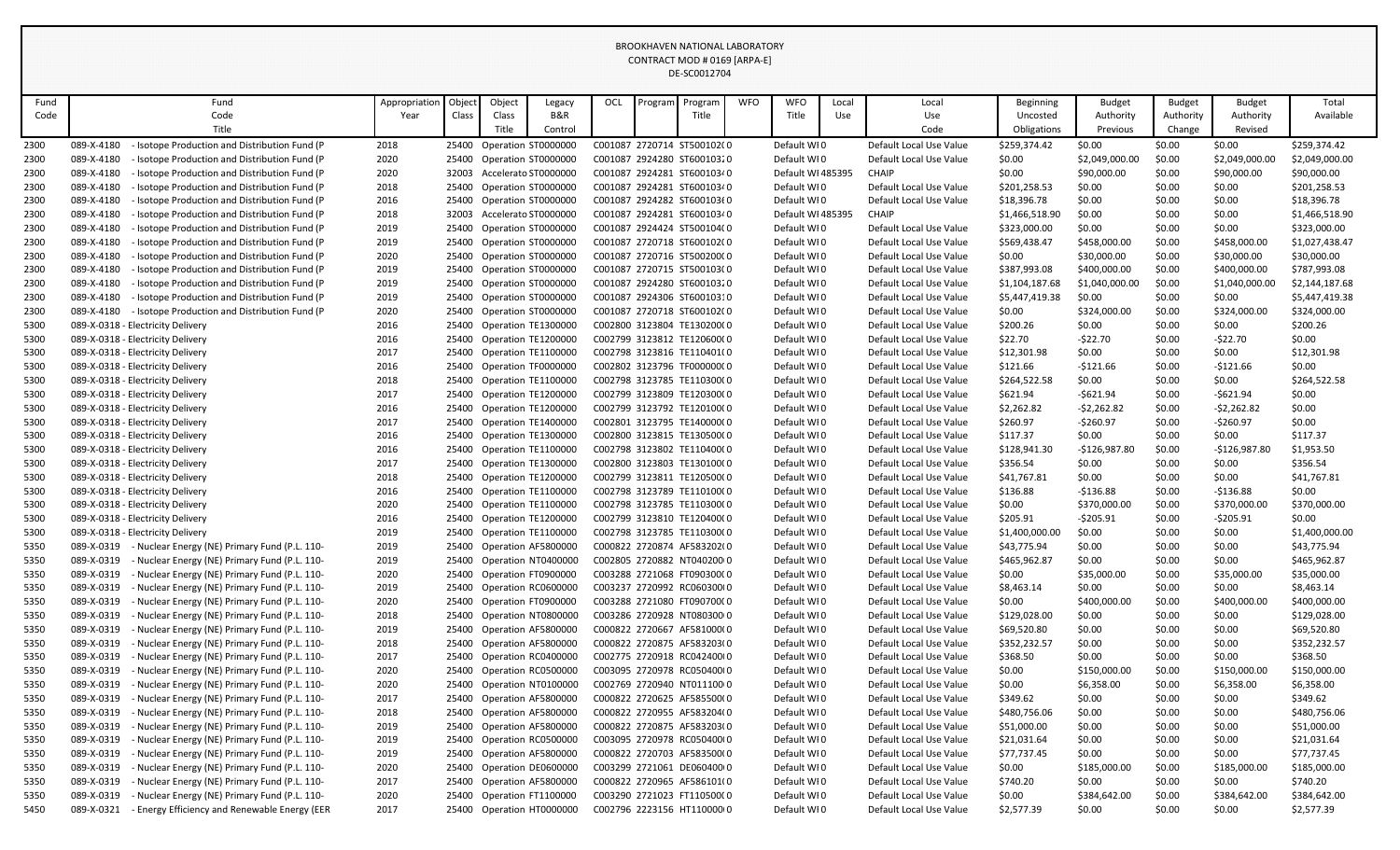|      |            |                                                          |               |        |        |                           |     |         | BROOKHAVEN NATIONAL LABORATORY |            |                   |       |                         |                |                |               |                |                |
|------|------------|----------------------------------------------------------|---------------|--------|--------|---------------------------|-----|---------|--------------------------------|------------|-------------------|-------|-------------------------|----------------|----------------|---------------|----------------|----------------|
|      |            |                                                          |               |        |        |                           |     |         | CONTRACT MOD # 0169 [ARPA-E]   |            |                   |       |                         |                |                |               |                |                |
|      |            |                                                          |               |        |        |                           |     |         | DE-SC0012704                   |            |                   |       |                         |                |                |               |                |                |
|      |            |                                                          |               |        |        |                           |     |         |                                |            |                   |       |                         |                |                |               |                |                |
| Fund |            | Fund                                                     | Appropriation | Object | Object | Legacy                    | OCL | Program | Program                        | <b>WFO</b> | <b>WFO</b>        | Local | Local                   | Beginning      | <b>Budget</b>  | <b>Budget</b> | <b>Budget</b>  | Total          |
| Code |            | Code                                                     | Year          | Class  | Class  | B&R                       |     |         | Title                          |            | Title             | Use   | Use                     | Uncosted       | Authority      | Authority     | Authority      | Available      |
|      |            | Title                                                    |               |        | Title  | Control                   |     |         |                                |            |                   |       | Code                    | Obligations    | Previous       | Change        | Revised        |                |
| 2300 | 089-X-4180 | - Isotope Production and Distribution Fund (P            | 2018          |        |        | 25400 Operation ST0000000 |     |         | C001087 2720714 ST500102(0     |            | Default WI0       |       | Default Local Use Value | \$259,374.42   | \$0.00         | \$0.00        | \$0.00         | \$259,374.42   |
| 2300 | 089-X-4180 | - Isotope Production and Distribution Fund (P            | 2020          |        |        | 25400 Operation ST0000000 |     |         | C001087 2924280 ST60010320     |            | Default WI0       |       | Default Local Use Value | \$0.00         | \$2,049,000.00 | \$0.00        | \$2,049,000.00 | \$2,049,000.00 |
| 2300 | 089-X-4180 | Isotope Production and Distribution Fund (P              | 2020          | 32003  |        | Accelerato ST0000000      |     |         | C001087 2924281 ST60010340     |            | Default WI 485395 |       | <b>CHAIP</b>            | \$0.00         | \$90,000.00    | \$0.00        | \$90,000.00    | \$90,000.00    |
| 2300 | 089-X-4180 | - Isotope Production and Distribution Fund (P            | 2018          | 25400  |        | Operation ST0000000       |     |         | C001087 2924281 ST60010340     |            | Default WI0       |       | Default Local Use Value | \$201,258.53   | \$0.00         | \$0.00        | \$0.00         | \$201,258.53   |
| 2300 | 089-X-4180 | - Isotope Production and Distribution Fund (P            | 2016          |        |        | 25400 Operation ST0000000 |     |         | C001087 2924282 ST60010360     |            | Default WI0       |       | Default Local Use Value | \$18,396.78    | \$0.00         | \$0.00        | \$0.00         | \$18,396.78    |
| 2300 | 089-X-4180 | Isotope Production and Distribution Fund (P              | 2018          | 32003  |        | Accelerato ST0000000      |     |         | C001087 2924281 ST60010340     |            | Default WI 485395 |       | <b>CHAIP</b>            | \$1,466,518.90 | \$0.00         | \$0.00        | \$0.00         | \$1,466,518.90 |
| 2300 | 089-X-4180 | - Isotope Production and Distribution Fund (P            | 2019          | 25400  |        | Operation ST0000000       |     |         | C001087 2924424 ST500104(0     |            | Default WI0       |       | Default Local Use Value | \$323,000.00   | \$0.00         | \$0.00        | \$0.00         | \$323,000.00   |
| 2300 | 089-X-4180 | - Isotope Production and Distribution Fund (P)           | 2019          | 25400  |        | Operation ST0000000       |     |         | C001087 2720718 ST600102(0     |            | Default WI0       |       | Default Local Use Value | \$569,438.47   | \$458,000.00   | \$0.00        | \$458,000.00   | \$1,027,438.47 |
| 2300 | 089-X-4180 | Isotope Production and Distribution Fund (P              | 2020          |        |        | 25400 Operation ST0000000 |     |         | C001087 2720716 ST500200(0     |            | Default WI0       |       | Default Local Use Value | \$0.00         | \$30,000.00    | \$0.00        | \$30,000.00    | \$30,000.00    |
| 2300 | 089-X-4180 | - Isotope Production and Distribution Fund (P)           | 2019          | 25400  |        | Operation ST0000000       |     |         | C001087 2720715 ST500103(0     |            | Default WI0       |       | Default Local Use Value | \$387,993.08   | \$400,000.00   | \$0.00        | \$400,000.00   | \$787,993.08   |
| 2300 | 089-X-4180 | - Isotope Production and Distribution Fund (P            | 2019          |        |        | 25400 Operation ST0000000 |     |         | C001087 2924280 ST60010320     |            | Default WI0       |       | Default Local Use Value | \$1,104,187.68 | \$1,040,000.00 | \$0.00        | \$1,040,000.00 | \$2,144,187.68 |
| 2300 | 089-X-4180 | - Isotope Production and Distribution Fund (P            | 2019          |        |        | 25400 Operation ST0000000 |     |         | C001087 2924306 ST60010310     |            | Default WI0       |       | Default Local Use Value | \$5,447,419.38 | \$0.00         | \$0.00        | \$0.00         | \$5,447,419.38 |
| 2300 | 089-X-4180 | - Isotope Production and Distribution Fund (P            | 2020          | 25400  |        | Operation ST0000000       |     |         | C001087 2720718 ST600102(0     |            | Default WI0       |       | Default Local Use Value | \$0.00         | \$324,000.00   | \$0.00        | \$324,000.00   | \$324,000.00   |
| 5300 |            | 089-X-0318 - Electricity Delivery                        | 2016          |        |        | 25400 Operation TE1300000 |     |         | C002800 3123804 TE130200(0     |            | Default WI0       |       | Default Local Use Value | \$200.26       | \$0.00         | \$0.00        | \$0.00         | \$200.26       |
| 5300 |            | 089-X-0318 - Electricity Delivery                        | 2016          |        |        | 25400 Operation TE1200000 |     |         | C002799 3123812 TE120600(0     |            | Default WI0       |       | Default Local Use Value | \$22.70        | -\$22.70       | \$0.00        | -\$22.70       | \$0.00         |
| 5300 |            | 089-X-0318 - Electricity Delivery                        | 2017          |        |        | 25400 Operation TE1100000 |     |         | C002798 3123816 TE110401(0     |            | Default WI0       |       | Default Local Use Value | \$12,301.98    | \$0.00         | \$0.00        | \$0.00         | \$12,301.98    |
| 5300 |            | 089-X-0318 - Electricity Delivery                        | 2016          |        |        | 25400 Operation TF0000000 |     |         | C002802 3123796 TF000000C0     |            | Default WI0       |       | Default Local Use Value | \$121.66       | -\$121.66      | \$0.00        | -\$121.66      | \$0.00         |
| 5300 |            | 089-X-0318 - Electricity Delivery                        | 2018          |        |        | 25400 Operation TE1100000 |     |         | C002798 3123785 TE110300(0     |            | Default WI0       |       | Default Local Use Value | \$264,522.58   | \$0.00         | \$0.00        | \$0.00         | \$264,522.58   |
| 5300 |            | 089-X-0318 - Electricity Delivery                        | 2017          |        |        | 25400 Operation TE1200000 |     |         | C002799 3123809 TE120300(0     |            | Default WI0       |       | Default Local Use Value | \$621.94       | $-$621.94$     | \$0.00        | -\$621.94      | \$0.00         |
| 5300 |            | 089-X-0318 - Electricity Delivery                        | 2016          |        |        | 25400 Operation TE1200000 |     |         | C002799 3123792 TE120100(0     |            | Default WI0       |       | Default Local Use Value | \$2,262.82     | -\$2,262.82    | \$0.00        | -\$2,262.82    | \$0.00         |
| 5300 |            | 089-X-0318 - Electricity Delivery                        | 2017          |        |        | 25400 Operation TE1400000 |     |         | C002801 3123795 TE140000(0     |            | Default WI0       |       | Default Local Use Value | \$260.97       | $-$260.97$     | \$0.00        | -\$260.97      | \$0.00         |
| 5300 |            | 089-X-0318 - Electricity Delivery                        | 2016          |        |        | 25400 Operation TE1300000 |     |         | C002800 3123815 TE130500(0     |            | Default WI0       |       | Default Local Use Value | \$117.37       | \$0.00         | \$0.00        | \$0.00         | \$117.37       |
| 5300 |            | 089-X-0318 - Electricity Delivery                        | 2016          |        |        | 25400 Operation TE1100000 |     |         | C002798 3123802 TE110400(0     |            | Default WI0       |       | Default Local Use Value | \$128,941.30   | $-$126,987.80$ | \$0.00        | -\$126,987.80  | \$1,953.50     |
| 5300 |            | 089-X-0318 - Electricity Delivery                        | 2017          |        |        | 25400 Operation TE1300000 |     |         | C002800 3123803 TE130100(0     |            | Default WI0       |       | Default Local Use Value | \$356.54       | \$0.00         | \$0.00        | \$0.00         | \$356.54       |
| 5300 |            | 089-X-0318 - Electricity Delivery                        | 2018          |        |        | 25400 Operation TE1200000 |     |         | C002799 3123811 TE120500(0     |            | Default WI0       |       | Default Local Use Value | \$41,767.81    | \$0.00         | \$0.00        | \$0.00         | \$41,767.81    |
| 5300 |            | 089-X-0318 - Electricity Delivery                        | 2016          |        |        | 25400 Operation TE1100000 |     |         | C002798 3123789 TE110100(0     |            | Default WI0       |       | Default Local Use Value | \$136.88       | $-$136.88$     | \$0.00        | -\$136.88      | \$0.00         |
| 5300 |            | 089-X-0318 - Electricity Delivery                        | 2020          |        |        | 25400 Operation TE1100000 |     |         | C002798 3123785 TE110300(0     |            | Default WI0       |       | Default Local Use Value | \$0.00         | \$370,000.00   | \$0.00        | \$370,000.00   | \$370,000.00   |
| 5300 |            | 089-X-0318 - Electricity Delivery                        | 2016          |        |        | 25400 Operation TE1200000 |     |         | C002799 3123810 TE120400(0     |            | Default WI0       |       | Default Local Use Value | \$205.91       | -\$205.91      | \$0.00        | -\$205.91      | \$0.00         |
| 5300 |            | 089-X-0318 - Electricity Delivery                        | 2019          |        |        | 25400 Operation TE1100000 |     |         | C002798 3123785 TE110300(0     |            | Default WI0       |       | Default Local Use Value | \$1,400,000.00 | \$0.00         | \$0.00        | \$0.00         | \$1,400,000.00 |
| 5350 | 089-X-0319 | - Nuclear Energy (NE) Primary Fund (P.L. 110-            | 2019          |        |        | 25400 Operation AF5800000 |     |         | C000822 2720874 AF583202(0     |            | Default WI0       |       | Default Local Use Value | \$43,775.94    | \$0.00         | \$0.00        | \$0.00         | \$43,775.94    |
| 5350 | 089-X-0319 | - Nuclear Energy (NE) Primary Fund (P.L. 110-            | 2019          |        |        | 25400 Operation NT0400000 |     |         | C002805 2720882 NT040200 0     |            | Default WI0       |       | Default Local Use Value | \$465,962.87   | \$0.00         | \$0.00        | \$0.00         | \$465,962.87   |
| 5350 | 089-X-0319 | - Nuclear Energy (NE) Primary Fund (P.L. 110-            | 2020          |        |        | 25400 Operation FT0900000 |     |         | C003288 2721068 FT09030000     |            | Default WI0       |       | Default Local Use Value | \$0.00         | \$35,000.00    | \$0.00        | \$35,000.00    | \$35,000.00    |
| 5350 | 089-X-0319 | - Nuclear Energy (NE) Primary Fund (P.L. 110-            | 2019          |        |        | 25400 Operation RC0600000 |     |         | C003237 2720992 RC060300(0     |            | Default WI0       |       | Default Local Use Value | \$8,463.14     | \$0.00         | \$0.00        | \$0.00         | \$8,463.14     |
| 5350 | 089-X-0319 | - Nuclear Energy (NE) Primary Fund (P.L. 110-            | 2020          |        |        | 25400 Operation FT0900000 |     |         | C003288 2721080 FT09070000     |            | Default WI0       |       | Default Local Use Value | \$0.00         | \$400,000.00   | \$0.00        | \$400,000.00   | \$400,000.00   |
| 5350 | 089-X-0319 | - Nuclear Energy (NE) Primary Fund (P.L. 110-            | 2018          |        |        | 25400 Operation NT0800000 |     |         | C003286 2720928 NT080300 0     |            | Default WI0       |       | Default Local Use Value | \$129,028.00   | \$0.00         | \$0.00        | \$0.00         | \$129,028.00   |
| 5350 | 089-X-0319 | - Nuclear Energy (NE) Primary Fund (P.L. 110-            | 2019          | 25400  |        | Operation AF5800000       |     |         | C000822 2720667 AF581000(0     |            | Default WI0       |       | Default Local Use Value | \$69,520.80    | \$0.00         | \$0.00        | \$0.00         | \$69,520.80    |
| 5350 | 089-X-0319 | - Nuclear Energy (NE) Primary Fund (P.L. 110-            | 2018          |        |        | 25400 Operation AF5800000 |     |         | C000822 2720875 AF583203(0     |            | Default WI0       |       | Default Local Use Value | \$352,232.57   | \$0.00         | \$0.00        | \$0.00         | \$352,232.57   |
| 5350 | 089-X-0319 | - Nuclear Energy (NE) Primary Fund (P.L. 110-            | 2017          |        |        | 25400 Operation RC0400000 |     |         | C002775 2720918 RC042400(0     |            | Default WI0       |       | Default Local Use Value | \$368.50       | \$0.00         | \$0.00        | \$0.00         | \$368.50       |
| 5350 | 089-X-0319 | - Nuclear Energy (NE) Primary Fund (P.L. 110-            | 2020          |        |        | 25400 Operation RC0500000 |     |         | C003095 2720978 RC050400(0     |            | Default WI0       |       | Default Local Use Value | \$0.00         | \$150,000.00   | \$0.00        | \$150,000.00   | \$150,000.00   |
| 5350 | 089-X-0319 | - Nuclear Energy (NE) Primary Fund (P.L. 110-            | 2020          |        |        | 25400 Operation NT0100000 |     |         | C002769 2720940 NT0111000      |            | Default WI0       |       | Default Local Use Value | \$0.00         | \$6,358.00     | \$0.00        | \$6,358.00     | \$6,358.00     |
| 5350 | 089-X-0319 | - Nuclear Energy (NE) Primary Fund (P.L. 110-            | 2017          |        |        | 25400 Operation AF5800000 |     |         | C000822 2720625 AF585500(0     |            | Default WI0       |       | Default Local Use Value | \$349.62       | \$0.00         | \$0.00        | \$0.00         | \$349.62       |
| 5350 | 089-X-0319 | - Nuclear Energy (NE) Primary Fund (P.L. 110-            | 2018          |        |        | 25400 Operation AF5800000 |     |         | C000822 2720955 AF583204(0     |            | Default WI0       |       | Default Local Use Value | \$480,756.06   | \$0.00         | \$0.00        | \$0.00         | \$480,756.06   |
| 5350 | 089-X-0319 | - Nuclear Energy (NE) Primary Fund (P.L. 110-            | 2019          |        |        | 25400 Operation AF5800000 |     |         | C000822 2720875 AF583203(0     |            | Default WI0       |       | Default Local Use Value | \$51,000.00    | \$0.00         | \$0.00        | \$0.00         | \$51,000.00    |
| 5350 | 089-X-0319 | - Nuclear Energy (NE) Primary Fund (P.L. 110-            | 2019          |        |        | 25400 Operation RC0500000 |     |         | C003095 2720978 RC050400(0     |            | Default WI0       |       | Default Local Use Value | \$21,031.64    | \$0.00         | \$0.00        | \$0.00         | \$21,031.64    |
| 5350 | 089-X-0319 | - Nuclear Energy (NE) Primary Fund (P.L. 110-            | 2019          |        |        | 25400 Operation AF5800000 |     |         | C000822 2720703 AF583500(0     |            | Default WI0       |       | Default Local Use Value | \$77,737.45    | \$0.00         | \$0.00        | \$0.00         | \$77,737.45    |
| 5350 | 089-X-0319 | - Nuclear Energy (NE) Primary Fund (P.L. 110-            | 2020          |        |        | 25400 Operation DE0600000 |     |         | C003299 2721061 DE060400(0     |            | Default WI0       |       | Default Local Use Value | \$0.00         | \$185,000.00   | \$0.00        | \$185,000.00   | \$185,000.00   |
| 5350 | 089-X-0319 | - Nuclear Energy (NE) Primary Fund (P.L. 110-            | 2017          |        |        | 25400 Operation AF5800000 |     |         | C000822 2720965 AF586101(0     |            | Default WI0       |       | Default Local Use Value | \$740.20       | \$0.00         | \$0.00        | \$0.00         | \$740.20       |
| 5350 | 089-X-0319 | - Nuclear Energy (NE) Primary Fund (P.L. 110-            | 2020          |        |        | 25400 Operation FT1100000 |     |         | C003290 2721023 FT11050000     |            | Default WI0       |       | Default Local Use Value | \$0.00         | \$384,642.00   | \$0.00        | \$384,642.00   | \$384,642.00   |
| 5450 |            | 089-X-0321 - Energy Efficiency and Renewable Energy (EER | 2017          |        |        | 25400 Operation HT0000000 |     |         | C002796 2223156 HT110000(0     |            | Default WI0       |       | Default Local Use Value | \$2,577.39     | \$0.00         | \$0.00        | \$0.00         | \$2,577.39     |
|      |            |                                                          |               |        |        |                           |     |         |                                |            |                   |       |                         |                |                |               |                |                |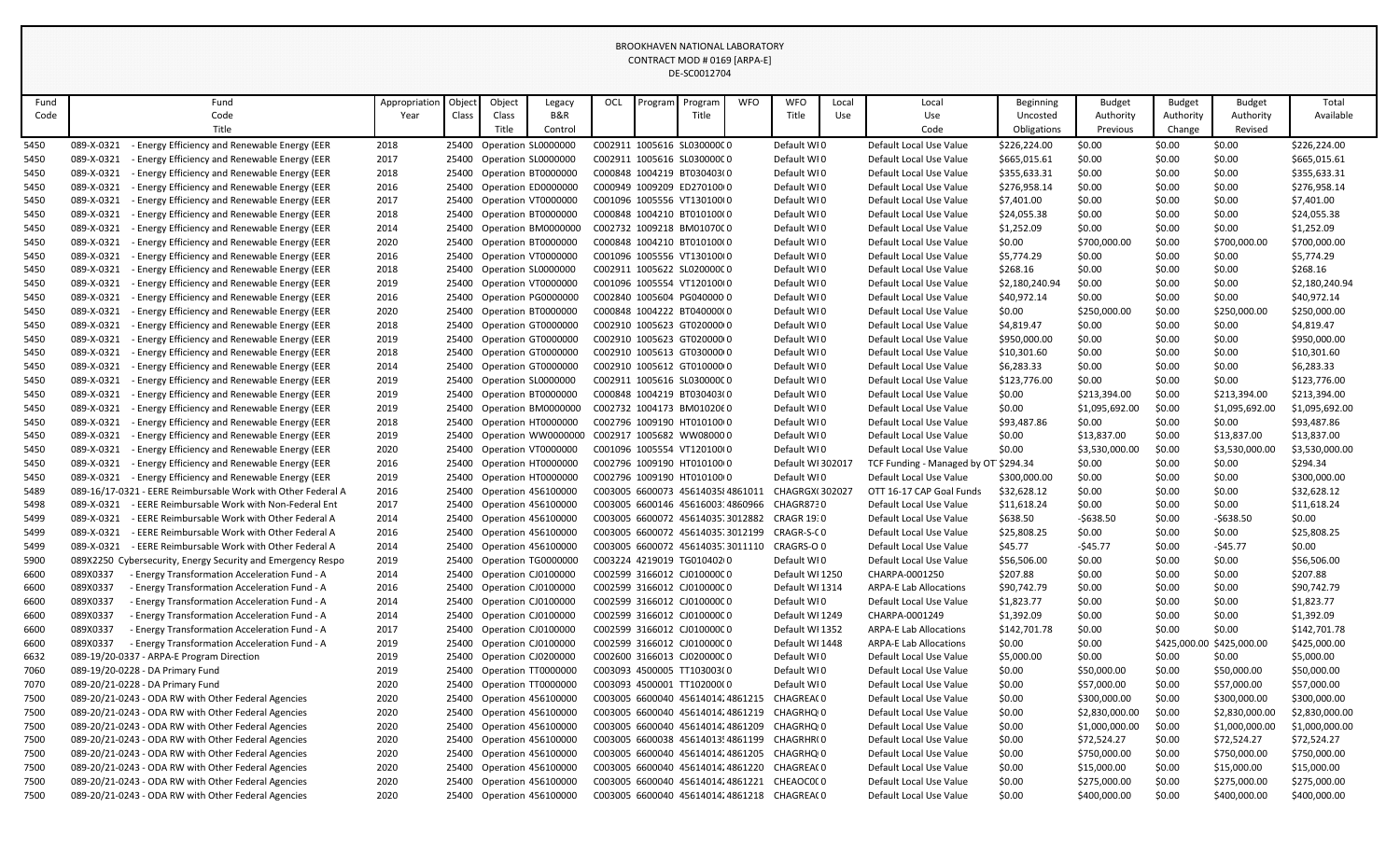|              |                          |                                                                                                            |               |       |        |                                                        |     |         | BROOKHAVEN NATIONAL LABORATORY<br>CONTRACT MOD # 0169 [ARPA-E] |            |                                                          |       |                                                    |                      |                             |                  |                             |                             |
|--------------|--------------------------|------------------------------------------------------------------------------------------------------------|---------------|-------|--------|--------------------------------------------------------|-----|---------|----------------------------------------------------------------|------------|----------------------------------------------------------|-------|----------------------------------------------------|----------------------|-----------------------------|------------------|-----------------------------|-----------------------------|
|              |                          |                                                                                                            |               |       |        |                                                        |     |         | DE-SC0012704                                                   |            |                                                          |       |                                                    |                      |                             |                  |                             |                             |
|              |                          |                                                                                                            |               |       |        |                                                        |     |         |                                                                |            |                                                          |       |                                                    |                      |                             |                  |                             |                             |
| Fund         |                          | Fund                                                                                                       | Appropriatior | Objec | Object | Legacy                                                 | OCL | Program | Program                                                        | <b>WFO</b> | <b>WFO</b>                                               | Local | Local                                              | Beginning            | <b>Budget</b>               | <b>Budget</b>    | <b>Budget</b>               | Total                       |
| Code         |                          | Code                                                                                                       | Year          | Class | Class  | B&R                                                    |     |         | Title                                                          |            | Title                                                    | Use   | Use                                                | Uncosted             | Authority                   | Authority        | Authority                   | Available                   |
|              |                          | Title                                                                                                      |               |       | Title  | Control                                                |     |         |                                                                |            |                                                          |       | Code                                               | Obligations          | Previous                    | Change           | Revised                     |                             |
| 5450         | 089-X-0321               | - Energy Efficiency and Renewable Energy (EER                                                              | 2018          |       |        | 25400 Operation SL0000000                              |     |         | C002911 1005616 SL030000C0                                     |            | Default WI0                                              |       | Default Local Use Value                            | \$226,224.00         | \$0.00                      | \$0.00           | \$0.00                      | \$226,224.00                |
| 5450         | 089-X-0321               | - Energy Efficiency and Renewable Energy (EER                                                              | 2017          | 25400 |        | Operation SL0000000                                    |     |         | C002911 1005616 SL030000C0                                     |            | Default WI0                                              |       | Default Local Use Value                            | \$665,015.61         | \$0.00                      | \$0.00           | \$0.00                      | \$665,015.61                |
| 5450         | 089-X-0321               | - Energy Efficiency and Renewable Energy (EER                                                              | 2018          |       |        | 25400 Operation BT0000000                              |     |         | C000848 1004219 BT030403(0                                     |            | Default WI0                                              |       | Default Local Use Value                            | \$355,633.31         | \$0.00                      | \$0.00           | \$0.00                      | \$355,633.31                |
| 5450         | 089-X-0321               | Energy Efficiency and Renewable Energy (EER                                                                | 2016          | 25400 |        | Operation ED0000000                                    |     |         | C000949 1009209 ED270100(0                                     |            | Default WI0                                              |       | Default Local Use Value                            | \$276,958.14         | \$0.00                      | \$0.00           | \$0.00                      | \$276,958.14                |
| 5450         | 089-X-0321               | Energy Efficiency and Renewable Energy (EER                                                                | 2017          | 25400 |        | Operation VT0000000                                    |     |         | C001096 1005556 VT130100(0                                     |            | Default WI0                                              |       | Default Local Use Value                            | \$7,401.00           | \$0.00                      | \$0.00           | \$0.00                      | \$7,401.00                  |
| 5450         | 089-X-0321               | - Energy Efficiency and Renewable Energy (EER                                                              | 2018          |       |        | 25400 Operation BT0000000                              |     |         | C000848 1004210 BT010100(0                                     |            | Default WI0                                              |       | Default Local Use Value                            | \$24,055.38          | \$0.00                      | \$0.00           | \$0.00                      | \$24,055.38                 |
| 5450         | 089-X-0321               | Energy Efficiency and Renewable Energy (EER                                                                | 2014          | 25400 |        | Operation BM0000000                                    |     |         | C002732 1009218 BM01070C0                                      |            | Default WI0                                              |       | Default Local Use Value                            | \$1,252.09           | \$0.00                      | \$0.00           | \$0.00                      | \$1,252.09                  |
| 5450<br>5450 | 089-X-0321<br>089-X-0321 | Energy Efficiency and Renewable Energy (EER<br>Energy Efficiency and Renewable Energy (EER                 | 2020<br>2016  | 25400 |        | Operation BT0000000                                    |     |         | C000848 1004210 BT010100(0<br>C001096 1005556 VT130100(0       |            | Default WI0<br>Default WI0                               |       | Default Local Use Value<br>Default Local Use Value | \$0.00<br>\$5,774.29 | \$700,000.00<br>\$0.00      | \$0.00<br>\$0.00 | \$700,000.00<br>\$0.00      | \$700,000.00<br>\$5,774.29  |
| 5450         | 089-X-0321               | - Energy Efficiency and Renewable Energy (EER                                                              | 2018          | 25400 |        | 25400 Operation VT0000000                              |     |         | C002911 1005622 SL02000000                                     |            | Default WI0                                              |       | Default Local Use Value                            | \$268.16             | \$0.00                      | \$0.00           | \$0.00                      | \$268.16                    |
| 5450         | 089-X-0321               | - Energy Efficiency and Renewable Energy (EER                                                              | 2019          |       |        | Operation SL0000000<br>25400 Operation VT0000000       |     |         | C001096 1005554 VT120100(0                                     |            | Default WI0                                              |       | Default Local Use Value                            | \$2,180,240.94       | \$0.00                      | \$0.00           | \$0.00                      | \$2,180,240.94              |
| 5450         | 089-X-0321               | - Energy Efficiency and Renewable Energy (EER                                                              | 2016          |       |        | 25400 Operation PG0000000                              |     |         | C002840 1005604 PG040000 0                                     |            | Default WI0                                              |       | Default Local Use Value                            | \$40,972.14          | \$0.00                      | \$0.00           | \$0.00                      | \$40,972.14                 |
| 5450         | 089-X-0321               | Energy Efficiency and Renewable Energy (EER                                                                | 2020          | 25400 |        | Operation BT0000000                                    |     |         | C000848 1004222 BT040000(0                                     |            | Default WI0                                              |       | Default Local Use Value                            | \$0.00               | \$250,000.00                | \$0.00           | \$250,000.00                | \$250,000.00                |
| 5450         | 089-X-0321               | <b>Energy Efficiency and Renewable Energy (EER</b>                                                         | 2018          | 25400 |        | Operation GT0000000                                    |     |         | C002910 1005623 GT020000 0                                     |            | Default WI0                                              |       | Default Local Use Value                            | \$4,819.47           | \$0.00                      | \$0.00           | \$0.00                      | \$4,819.47                  |
| 5450         | 089-X-0321               | - Energy Efficiency and Renewable Energy (EER                                                              | 2019          | 25400 |        | Operation GT0000000                                    |     |         | C002910 1005623 GT020000 0                                     |            | Default WI0                                              |       | Default Local Use Value                            | \$950,000.00         | \$0.00                      | \$0.00           | \$0.00                      | \$950,000.00                |
| 5450         | 089-X-0321               | - Energy Efficiency and Renewable Energy (EER                                                              | 2018          | 25400 |        | Operation GT0000000                                    |     |         | C002910 1005613 GT030000 0                                     |            | Default WI0                                              |       | Default Local Use Value                            | \$10,301.60          | \$0.00                      | \$0.00           | \$0.00                      | \$10,301.60                 |
| 5450         | 089-X-0321               | Energy Efficiency and Renewable Energy (EER                                                                | 2014          | 25400 |        | Operation GT0000000                                    |     |         | C002910 1005612 GT010000(0                                     |            | Default WI0                                              |       | Default Local Use Value                            | \$6,283.33           | \$0.00                      | \$0.00           | \$0.00                      | \$6,283.33                  |
| 5450         | 089-X-0321               | Energy Efficiency and Renewable Energy (EER                                                                | 2019          |       |        | 25400 Operation SL0000000                              |     |         | C002911 1005616 SL03000000                                     |            | Default WIO                                              |       | Default Local Use Value                            | \$123,776.00         | \$0.00                      | \$0.00           | \$0.00                      | \$123,776.00                |
| 5450         | 089-X-0321               | - Energy Efficiency and Renewable Energy (EER                                                              | 2019          | 25400 |        | Operation BT0000000                                    |     |         | C000848 1004219 BT030403(0                                     |            | Default WI0                                              |       | Default Local Use Value                            | \$0.00               | \$213,394.00                | \$0.00           | \$213,394.00                | \$213,394.00                |
| 5450         | 089-X-0321               | - Energy Efficiency and Renewable Energy (EER                                                              | 2019          | 25400 |        | Operation BM0000000                                    |     |         | C002732 1004173 BM0102060                                      |            | Default WI0                                              |       | Default Local Use Value                            | \$0.00               | \$1,095,692.00              | \$0.00           | \$1,095,692.00              | \$1,095,692.00              |
| 5450         | 089-X-0321               | Energy Efficiency and Renewable Energy (EER                                                                | 2018          |       |        | 25400 Operation HT0000000                              |     |         | C002796 1009190 HT01010000                                     |            | Default WIO                                              |       | Default Local Use Value                            | \$93,487.86          | \$0.00                      | \$0.00           | \$0.00                      | \$93,487.86                 |
| 5450         | 089-X-0321               | - Energy Efficiency and Renewable Energy (EER                                                              | 2019          | 25400 |        | Operation WW0000000                                    |     |         | C002917 1005682 WW080000                                       |            | Default WI0                                              |       | Default Local Use Value                            | \$0.00               | \$13,837.00                 | \$0.00           | \$13,837.00                 | \$13,837.00                 |
| 5450         | 089-X-0321               | - Energy Efficiency and Renewable Energy (EER                                                              | 2020          |       |        | 25400 Operation VT0000000                              |     |         | C001096 1005554 VT120100(0                                     |            | Default WI0                                              |       | Default Local Use Value                            | \$0.00               | \$3,530,000.00              | \$0.00           | \$3,530,000.00              | \$3,530,000.00              |
| 5450         | 089-X-0321               | - Energy Efficiency and Renewable Energy (EER                                                              | 2016          |       |        | 25400 Operation HT0000000                              |     |         | C002796 1009190 HT010100(0                                     |            | Default WI 302017                                        |       | TCF Funding - Managed by OT \$294.34               |                      | \$0.00                      | \$0.00           | \$0.00                      | \$294.34                    |
| 5450         | 089-X-0321               | - Energy Efficiency and Renewable Energy (EER                                                              | 2019          | 25400 |        | Operation HT0000000                                    |     |         | C002796 1009190 HT010100(0                                     |            | Default WI0                                              |       | Default Local Use Value                            | \$300,000.00         | \$0.00                      | \$0.00           | \$0.00                      | \$300,000.00                |
| 5489         |                          | 089-16/17-0321 - EERE Reimbursable Work with Other Federal A                                               | 2016          |       |        | 25400 Operation 456100000                              |     |         | C003005 6600073 4561403584861011                               |            | <b>CHAGRGX(302027</b>                                    |       | OTT 16-17 CAP Goal Funds                           | \$32,628.12          | \$0.00                      | \$0.00           | \$0.00                      | \$32,628.12                 |
| 5498         | 089-X-0321               | - EERE Reimbursable Work with Non-Federal Ent                                                              | 2017          | 25400 |        | Operation 456100000                                    |     |         | C003005 6600146 4561600314860966                               |            | CHAGR8730                                                |       | Default Local Use Value                            | \$11,618.24          | \$0.00                      | \$0.00           | \$0.00                      | \$11,618.24                 |
| 5499         | 089-X-0321               | - EERE Reimbursable Work with Other Federal A                                                              | 2014          | 25400 |        | Operation 456100000                                    |     |         | C003005 6600072 45614035.3012882                               |            | <b>CRAGR 19:0</b>                                        |       | Default Local Use Value                            | \$638.50             | $-$638.50$                  | \$0.00           | $-$638.50$                  | \$0.00                      |
| 5499         | 089-X-0321               | - EERE Reimbursable Work with Other Federal A                                                              | 2016          | 25400 |        | Operation 456100000                                    |     |         | C003005 6600072 45614035.3012199                               |            | CRAGR-S-CO                                               |       | Default Local Use Value                            | \$25,808.25          | \$0.00                      | \$0.00           | \$0.00                      | \$25,808.25                 |
| 5499         | 089-X-0321               | - EERE Reimbursable Work with Other Federal A                                                              | 2014          |       |        | 25400 Operation 456100000                              |     |         | C003005 6600072 45614035.3011110                               |            | CRAGRS-O 0                                               |       | Default Local Use Value                            | \$45.77              | $-$45.77$                   | \$0.00           | $-$45.77$                   | \$0.00                      |
| 5900         |                          | 089X2250 Cybersecurity, Energy Security and Emergency Respo                                                | 2019          | 25400 |        | Operation TG0000000                                    |     |         | C003224 4219019 TG010402(0                                     |            | Default WI0                                              |       | Default Local Use Value                            | \$56,506.00          | \$0.00                      | \$0.00           | \$0.00                      | \$56,506.00                 |
| 6600         | 089X0337                 | - Energy Transformation Acceleration Fund - A                                                              | 2014          | 25400 |        | Operation CJ0100000                                    |     |         | C002599 3166012 CJ010000C0                                     |            | Default WI 1250                                          |       | CHARPA-0001250                                     | \$207.88             | \$0.00                      | \$0.00           | \$0.00                      | \$207.88                    |
| 6600         | 089X0337                 | - Energy Transformation Acceleration Fund - A                                                              | 2016          |       |        | 25400 Operation CJ0100000                              |     |         | C002599 3166012 CJ010000C0                                     |            | Default WI 1314                                          |       | <b>ARPA-E Lab Allocations</b>                      | \$90,742.79          | \$0.00                      | \$0.00           | \$0.00                      | \$90,742.79                 |
| 6600         | 089X0337                 | - Energy Transformation Acceleration Fund - A                                                              | 2014          | 25400 |        | Operation CJ0100000                                    |     |         | C002599 3166012 CJ01000000                                     |            | Default WIO                                              |       | Default Local Use Value                            | \$1,823.77           | \$0.00                      | \$0.00           | \$0.00                      | \$1,823.77                  |
| 6600         | 089X0337                 | - Energy Transformation Acceleration Fund - A                                                              | 2014          |       |        | 25400 Operation CJ0100000                              |     |         | C002599 3166012 CJ010000C0                                     |            | Default WI 1249                                          |       | CHARPA-0001249                                     | \$1,392.09           | \$0.00                      | \$0.00           | \$0.00                      | \$1,392.09                  |
| 6600         | 089X0337                 | - Energy Transformation Acceleration Fund - A                                                              | 2017          |       |        | 25400 Operation CJ0100000                              |     |         | C002599 3166012 CJ01000000                                     |            | Default WI 1352                                          |       | <b>ARPA-E Lab Allocations</b>                      | \$142,701.78         | \$0.00                      | \$0.00           | \$0.00                      | \$142,701.78                |
| 6600         | 089X0337                 | - Energy Transformation Acceleration Fund - A                                                              | 2019          |       |        | 25400 Operation CJ0100000                              |     |         | C002599 3166012 CJ010000C0                                     |            | Default WI 1448                                          |       | <b>ARPA-E Lab Allocations</b>                      | \$0.00               | \$0.00                      |                  | \$425,000.00 \$425,000.00   | \$425,000.00                |
| 6632         |                          | 089-19/20-0337 - ARPA-E Program Direction                                                                  | 2019          |       |        | 25400 Operation CJ0200000                              |     |         | C002600 3166013 CJ020000C0                                     |            | Default WIO                                              |       | Default Local Use Value                            | \$5,000.00           | \$0.00                      | \$0.00           | \$0.00                      | \$5,000.00                  |
| 7060         |                          | 089-19/20-0228 - DA Primary Fund                                                                           | 2019          |       |        | 25400 Operation TT0000000                              |     |         | C003093 4500005 TT103003(0                                     |            | Default WI0                                              |       | Default Local Use Value                            | \$0.00               | \$50,000.00                 | \$0.00           | \$50,000.00                 | \$50,000.00                 |
| 7070         |                          | 089-20/21-0228 - DA Primary Fund                                                                           | 2020          |       |        | 25400 Operation TT0000000                              |     |         | C003093 4500001 TT102000(0                                     |            | Default WI0                                              |       | Default Local Use Value                            | \$0.00               | \$57,000.00                 | \$0.00           | \$57,000.00                 | \$57,000.00                 |
| 7500         |                          | 089-20/21-0243 - ODA RW with Other Federal Agencies                                                        | 2020          |       |        | 25400 Operation 456100000                              |     |         |                                                                |            | C003005 6600040 45614014;4861215 CHAGREA(0               |       | Default Local Use Value                            | \$0.00               | \$300,000.00                | \$0.00           | \$300,000.00                | \$300,000.00                |
| 7500         |                          | 089-20/21-0243 - ODA RW with Other Federal Agencies                                                        | 2020          |       |        | 25400 Operation 456100000                              |     |         | C003005 6600040 4561401424861219                               |            | CHAGRHQ <sub>1</sub> 0                                   |       | Default Local Use Value                            | \$0.00               | \$2,830,000.00              | \$0.00           | \$2,830,000.00              | \$2,830,000.00              |
| 7500         |                          | 089-20/21-0243 - ODA RW with Other Federal Agencies                                                        | 2020<br>2020  |       |        | 25400 Operation 456100000                              |     |         | C003005 6600040 4561401424861209                               |            | CHAGRHQ 0<br>C003005 6600038 45614013! 4861199 CHAGRHR(0 |       | Default Local Use Value                            | \$0.00               | \$1,000,000.00              | \$0.00           | \$1,000,000.00              | \$1,000,000.00              |
| 7500         |                          | 089-20/21-0243 - ODA RW with Other Federal Agencies<br>089-20/21-0243 - ODA RW with Other Federal Agencies |               |       |        | 25400 Operation 456100000<br>25400 Operation 456100000 |     |         | C003005 6600040 4561401424861205                               |            | CHAGRHQ <sub>1</sub> 0                                   |       | Default Local Use Value                            | \$0.00               | \$72,524.27                 | \$0.00           | \$72,524.27                 | \$72,524.27                 |
| 7500<br>7500 |                          | 089-20/21-0243 - ODA RW with Other Federal Agencies                                                        | 2020<br>2020  |       |        | 25400 Operation 456100000                              |     |         |                                                                |            | C003005 6600040 45614014;4861220 CHAGREA(0               |       | Default Local Use Value<br>Default Local Use Value | \$0.00               | \$750,000.00<br>\$15,000.00 | \$0.00<br>\$0.00 | \$750,000.00                | \$750,000.00<br>\$15,000.00 |
| 7500         |                          | 089-20/21-0243 - ODA RW with Other Federal Agencies                                                        | 2020          |       |        | 25400 Operation 456100000                              |     |         |                                                                |            | C003005 6600040 45614014;4861221 CHEAOCOCO               |       | Default Local Use Value                            | \$0.00<br>\$0.00     | \$275,000.00                | \$0.00           | \$15,000.00<br>\$275,000.00 | \$275,000.00                |
| 7500         |                          | 089-20/21-0243 - ODA RW with Other Federal Agencies                                                        | 2020          |       |        | 25400 Operation 456100000                              |     |         |                                                                |            | C003005 6600040 4561401424861218 CHAGREA(0               |       | Default Local Use Value                            | \$0.00               | \$400,000.00                | \$0.00           | \$400,000.00                | \$400,000.00                |
|              |                          |                                                                                                            |               |       |        |                                                        |     |         |                                                                |            |                                                          |       |                                                    |                      |                             |                  |                             |                             |